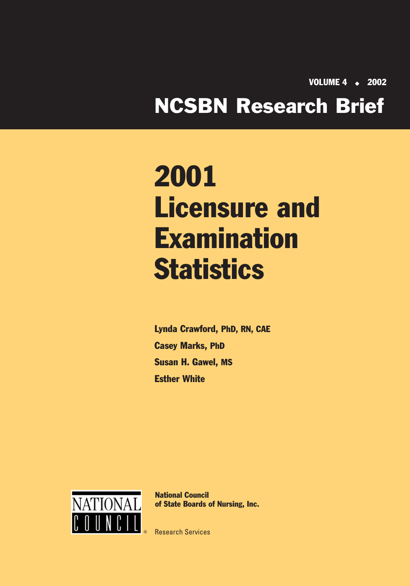VOLUME 4 ◆ 2002

## NCSBN Research Brief

# 2001 Licensure and **Examination Statistics**

Lynda Crawford, PhD, RN, CAE Casey Marks, PhD Susan H. Gawel, MS Esther White



National Council of State Boards of Nursing, Inc.

® Research Services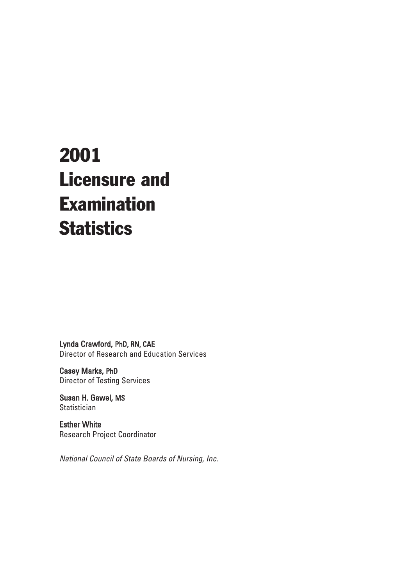## 2001 Licensure and Examination **Statistics**

Lynda Crawford, PhD, RN, CAE Director of Research and Education Services

Casey Marks, PhD Director of Testing Services

Susan H. Gawel, MS **Statistician** 

Esther White Research Project Coordinator

National Council of State Boards of Nursing, Inc.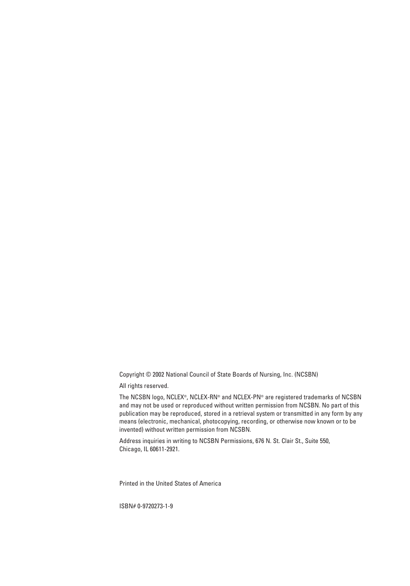Copyright © 2002 National Council of State Boards of Nursing, Inc. (NCSBN)

All rights reserved.

The NCSBN logo, NCLEX®, NCLEX-RN® and NCLEX-PN® are registered trademarks of NCSBN and may not be used or reproduced without written permission from NCSBN. No part of this publication may be reproduced, stored in a retrieval system or transmitted in any form by any means (electronic, mechanical, photocopying, recording, or otherwise now known or to be invented) without written permission from NCSBN.

Address inquiries in writing to NCSBN Permissions, 676 N. St. Clair St., Suite 550, Chicago, IL 60611-2921.

Printed in the United States of America

ISBN# 0-9720273-1-9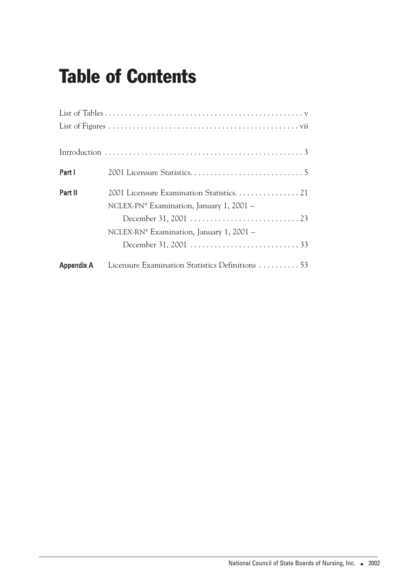## Table of Contents

| Part I     |                                                  |
|------------|--------------------------------------------------|
| Part II    |                                                  |
|            | NCLEX-PN® Examination, January 1, 2001 $-$       |
|            |                                                  |
|            | NCLEX-RN® Examination, January 1, 2001 $-$       |
|            |                                                  |
| Appendix A | Licensure Examination Statistics Definitions  53 |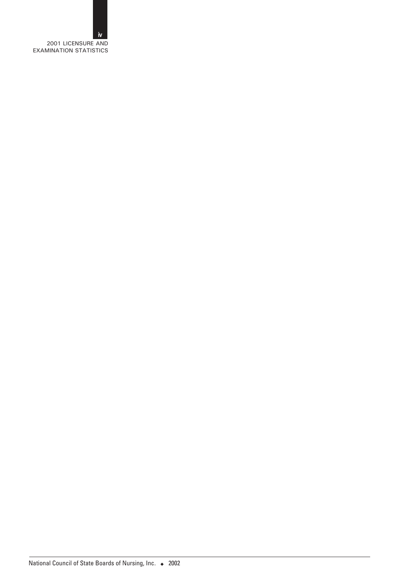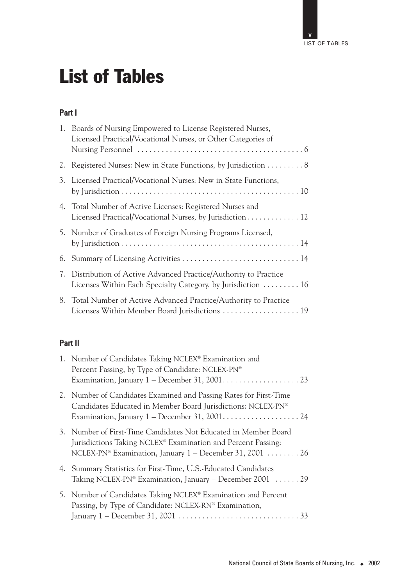

## List of Tables

### Part I

|                         | 1. Boards of Nursing Empowered to License Registered Nurses,<br>Licensed Practical/Vocational Nurses, or Other Categories of      |
|-------------------------|-----------------------------------------------------------------------------------------------------------------------------------|
| $\mathcal{L}_{\bullet}$ | Registered Nurses: New in State Functions, by Jurisdiction 8                                                                      |
|                         | 3. Licensed Practical/Vocational Nurses: New in State Functions,                                                                  |
|                         | 4. Total Number of Active Licenses: Registered Nurses and<br>Licensed Practical/Vocational Nurses, by Jurisdiction 12             |
|                         | 5. Number of Graduates of Foreign Nursing Programs Licensed,                                                                      |
|                         |                                                                                                                                   |
|                         | 7. Distribution of Active Advanced Practice/Authority to Practice<br>Licenses Within Each Specialty Category, by Jurisdiction  16 |
|                         | 8. Total Number of Active Advanced Practice/Authority to Practice<br>Licenses Within Member Board Jurisdictions  19               |
|                         |                                                                                                                                   |

## Part II

| 1. Number of Candidates Taking NCLEX® Examination and<br>Percent Passing, by Type of Candidate: NCLEX-PN®                                                                                     |
|-----------------------------------------------------------------------------------------------------------------------------------------------------------------------------------------------|
| 2. Number of Candidates Examined and Passing Rates for First-Time<br>Candidates Educated in Member Board Jurisdictions: NCLEX-PN®                                                             |
| 3. Number of First-Time Candidates Not Educated in Member Board<br>Jurisdictions Taking NCLEX® Examination and Percent Passing:<br>NCLEX-PN® Examination, January $1 -$ December 31, 2001  26 |
| 4. Summary Statistics for First-Time, U.S.-Educated Candidates<br>Taking NCLEX-PN® Examination, January – December 2001  29                                                                   |
| 5. Number of Candidates Taking NCLEX <sup>®</sup> Examination and Percent<br>Passing, by Type of Candidate: NCLEX-RN® Examination,                                                            |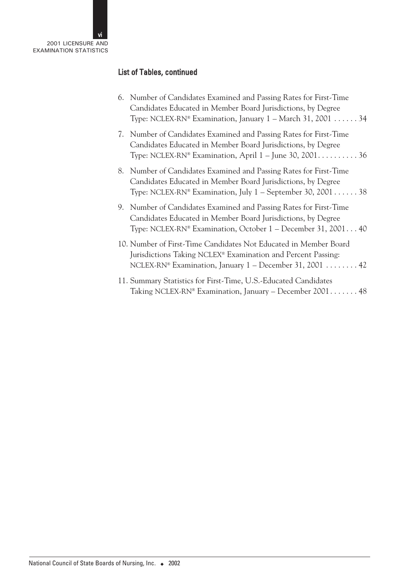

### List of Tables, continued

|  | 6. Number of Candidates Examined and Passing Rates for First-Time<br>Candidates Educated in Member Board Jurisdictions, by Degree<br>Type: NCLEX-RN® Examination, January $1 -$ March 31, 2001 34           |
|--|-------------------------------------------------------------------------------------------------------------------------------------------------------------------------------------------------------------|
|  | 7. Number of Candidates Examined and Passing Rates for First-Time<br>Candidates Educated in Member Board Jurisdictions, by Degree<br>Type: NCLEX-RN® Examination, April $1 -$ June 30, 2001 36              |
|  | 8. Number of Candidates Examined and Passing Rates for First-Time<br>Candidates Educated in Member Board Jurisdictions, by Degree<br>Type: NCLEX-RN® Examination, July 1 – September 30, 2001 38            |
|  | 9. Number of Candidates Examined and Passing Rates for First-Time<br>Candidates Educated in Member Board Jurisdictions, by Degree<br>Type: NCLEX-RN® Examination, October 1 – December 31, 200140           |
|  | 10. Number of First-Time Candidates Not Educated in Member Board<br>Jurisdictions Taking NCLEX® Examination and Percent Passing:<br>NCLEX-RN® Examination, January $1 -$ December 31, 2001 $\dots \dots$ 42 |
|  | 11. Summary Statistics for First-Time, U.S.-Educated Candidates<br>Taking NCLEX-RN® Examination, January – December $200148$                                                                                |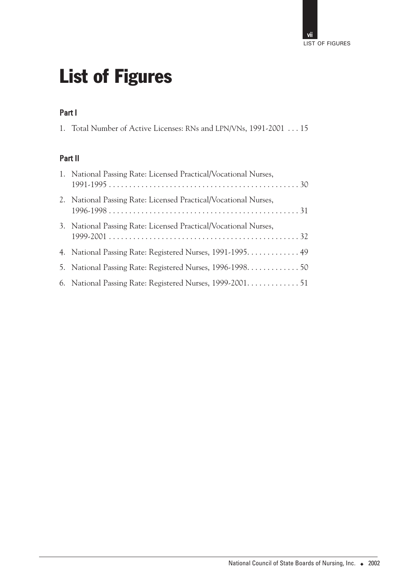

## List of Figures

### Part I

|  | 1. Total Number of Active Licenses: RNs and LPN/VNs, 1991-2001 15 |  |  |
|--|-------------------------------------------------------------------|--|--|
|  |                                                                   |  |  |

## Part II

| 1. National Passing Rate: Licensed Practical/Vocational Nurses, |
|-----------------------------------------------------------------|
| 2. National Passing Rate: Licensed Practical/Vocational Nurses, |
| 3. National Passing Rate: Licensed Practical/Vocational Nurses, |
| 4. National Passing Rate: Registered Nurses, 1991-1995. 49      |
| 5. National Passing Rate: Registered Nurses, 1996-1998. 50      |
| 6. National Passing Rate: Registered Nurses, 1999-2001. 51      |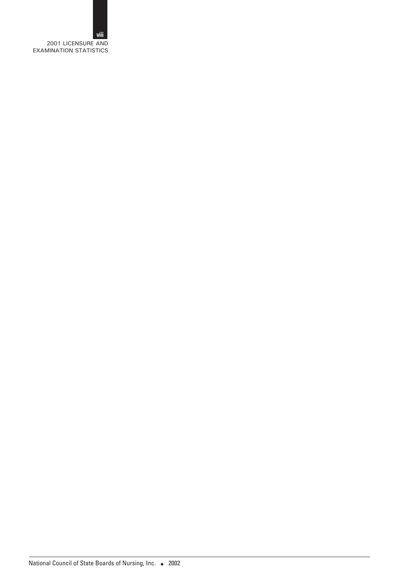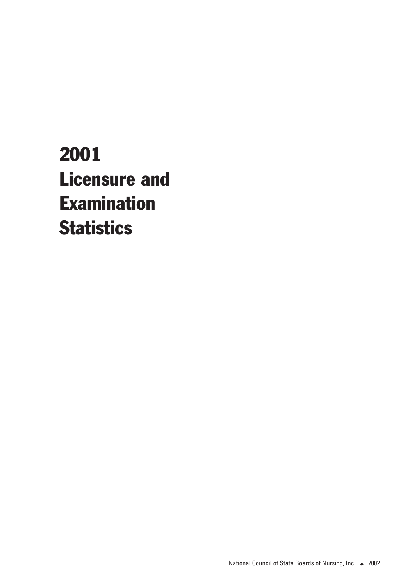## 2001 Licensure and Examination **Statistics**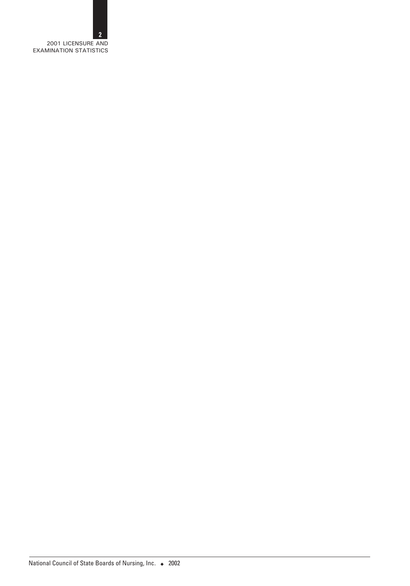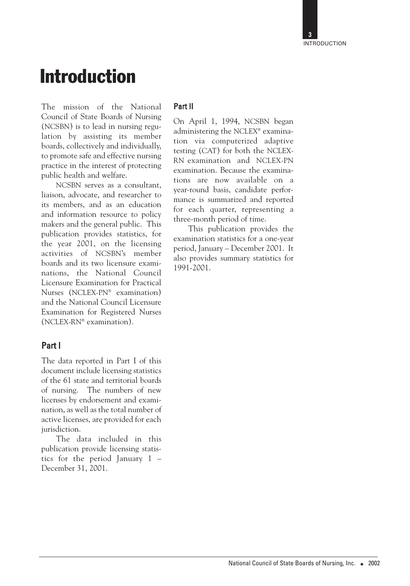

## Introduction

The mission of the National Council of State Boards of Nursing (NCSBN) is to lead in nursing regulation by assisting its member boards, collectively and individually, to promote safe and effective nursing practice in the interest of protecting public health and welfare.

NCSBN serves as a consultant, liaison, advocate, and researcher to its members, and as an education and information resource to policy makers and the general public. This publication provides statistics, for the year 2001, on the licensing activities of NCSBN's member boards and its two licensure examinations, the National Council Licensure Examination for Practical Nurses (NCLEX-PN® examination) and the National Council Licensure Examination for Registered Nurses (NCLEX-RN® examination).

### Part I

The data reported in Part I of this document include licensing statistics of the 61 state and territorial boards of nursing. The numbers of new licenses by endorsement and examination, as well as the total number of active licenses, are provided for each jurisdiction.

The data included in this publication provide licensing statistics for the period January 1 – December 31, 2001.

### Part II

On April 1, 1994, NCSBN began administering the NCLEX® examination via computerized adaptive testing (CAT) for both the NCLEX-RN examination and NCLEX-PN examination. Because the examinations are now available on a year-round basis, candidate performance is summarized and reported for each quarter, representing a three-month period of time.

This publication provides the examination statistics for a one-year period, January – December 2001. It also provides summary statistics for 1991-2001.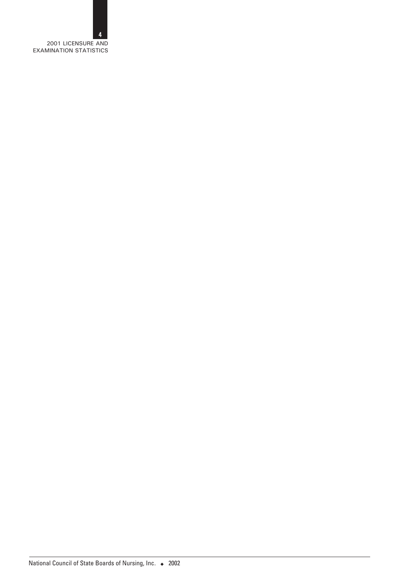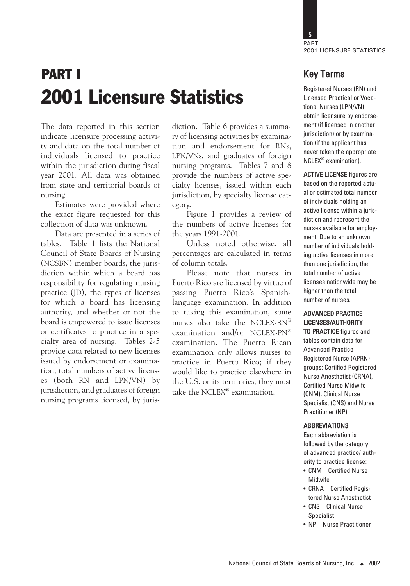5 PART I 2001 LICENSURE STATISTICS

## PART I 2001 Licensure Statistics

The data reported in this section indicate licensure processing activity and data on the total number of individuals licensed to practice within the jurisdiction during fiscal year 2001. All data was obtained from state and territorial boards of nursing.

Estimates were provided where the exact figure requested for this collection of data was unknown.

Data are presented in a series of tables. Table 1 lists the National Council of State Boards of Nursing (NCSBN) member boards, the jurisdiction within which a board has responsibility for regulating nursing practice (JD), the types of licenses for which a board has licensing authority, and whether or not the board is empowered to issue licenses or certificates to practice in a specialty area of nursing. Tables 2-5 provide data related to new licenses issued by endorsement or examination, total numbers of active licenses (both RN and LPN/VN) by jurisdiction, and graduates of foreign nursing programs licensed, by jurisdiction. Table 6 provides a summary of licensing activities by examination and endorsement for RNs, LPN/VNs, and graduates of foreign nursing programs. Tables 7 and 8 provide the numbers of active specialty licenses, issued within each jurisdiction, by specialty license category.

Figure 1 provides a review of the numbers of active licenses for the years 1991-2001.

Unless noted otherwise, all percentages are calculated in terms of column totals.

Please note that nurses in Puerto Rico are licensed by virtue of passing Puerto Rico's Spanishlanguage examination. In addition to taking this examination, some nurses also take the NCLEX-RN® examination and/or NCLEX-PN® examination. The Puerto Rican examination only allows nurses to practice in Puerto Rico; if they would like to practice elsewhere in the U.S. or its territories, they must take the NCLEX® examination.

## Key Terms

Registered Nurses (RN) and Licensed Practical or Vocational Nurses (LPN/VN) obtain licensure by endorsement (if licensed in another jurisdiction) or by examination (if the applicant has never taken the appropriate NCLEX® examination).

ACTIVE LICENSE figures are based on the reported actual or estimated total number of individuals holding an active license within a jurisdiction and represent the nurses available for employment. Due to an unknown number of individuals holding active licenses in more than one jurisdiction, the total number of active licenses nationwide may be higher than the total number of nurses.

### ADVANCED PRACTICE LICENSES/AUTHORITY

TO PRACTICE figures and tables contain data for Advanced Practice Registered Nurse (APRN) groups: Certified Registered Nurse Anesthetist (CRNA), Certified Nurse Midwife (CNM), Clinical Nurse Specialist (CNS) and Nurse Practitioner (NP).

#### ABBREVIATIONS

Each abbreviation is followed by the category of advanced practice/ authority to practice license:

- CNM Certified Nurse Midwife
- CRNA Certified Registered Nurse Anesthetist
- CNS Clinical Nurse Specialist
- NP Nurse Practitioner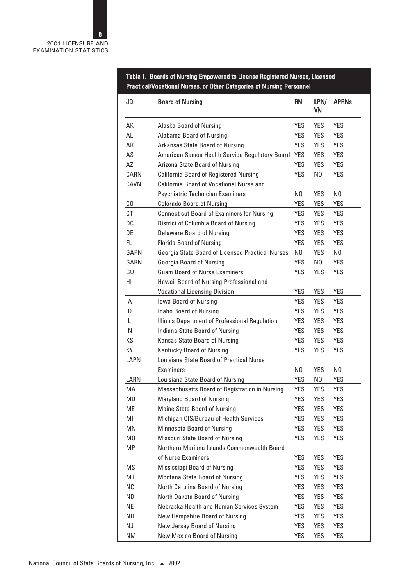| JD        | <b>Board of Nursing</b>                            | RN  | LPN/<br>VN | <b>APRNs</b> |
|-----------|----------------------------------------------------|-----|------------|--------------|
| АΚ        | Alaska Board of Nursing                            | YES | YES        | <b>YES</b>   |
| AL        | Alabama Board of Nursing                           | YES | YES        | YES          |
| AR        | Arkansas State Board of Nursing                    | YES | YES        | YES          |
| AS        | American Samoa Health Service Regulatory Board YES |     | YES        | YES          |
| AZ        | Arizona State Board of Nursing                     | YES | YES        | YES          |
| CARN      | California Board of Registered Nursing             | YES | N0         | YES          |
| CAVN      | California Board of Vocational Nurse and           |     |            |              |
|           | Psychiatric Technician Examiners                   | NO. | YES        | NO.          |
| CO        | <b>Colorado Board of Nursing</b>                   | YES | YES        | YES          |
| СT        | <b>Connecticut Board of Examiners for Nursing</b>  | YES | YES        | YES          |
| DC        | District of Columbia Board of Nursing              | YES | YES        | YES          |
| DE        | <b>Delaware Board of Nursing</b>                   | YES | YES        | YES          |
| FL.       | <b>Florida Board of Nursing</b>                    | YES | YES        | YES          |
| GAPN      | Georgia State Board of Licensed Practical Nurses   | N0  | YES        | N0           |
| GARN      | Georgia Board of Nursing                           | YES | NO.        | YES          |
| GU        | <b>Guam Board of Nurse Examiners</b>               | YES | YES        | YES          |
| HI        | Hawaii Board of Nursing Professional and           |     |            |              |
|           | <b>Vocational Licensing Division</b>               | YES | YES        | YES          |
| IA        | <b>Iowa Board of Nursing</b>                       | YES | YES        | YES          |
| ID        | <b>Idaho Board of Nursing</b>                      | YES | YES        | YES          |
| IL.       | Illinois Department of Professional Regulation     | YES | YES        | YES          |
| IN        | Indiana State Board of Nursing                     | YES | YES        | YES          |
| KS        | Kansas State Board of Nursing                      | YES | YES        | YES          |
| КY        | Kentucky Board of Nursing                          | YES | YES        | YES          |
| LAPN      | Louisiana State Board of Practical Nurse           |     |            |              |
|           | <b>Examiners</b>                                   | NO. | YES        | NO.          |
| LARN      | Louisiana State Board of Nursing                   | YES | NO         | YES          |
| МA        | Massachusetts Board of Registration in Nursing     | YES | YES        | YES.         |
| MD        | <b>Maryland Board of Nursing</b>                   | YES | YES        | YES          |
| ME        | Maine State Board of Nursing                       | YES | YES        | YES          |
| MI        | Michigan CIS/Bureau of Health Services             | YES | YES        | YES          |
| ΜN        | Minnesota Board of Nursing                         | YES | YES        | YES          |
| M0        | Missouri State Board of Nursing                    | YES | YES        | YES          |
| MP        | Northern Mariana Islands Commonwealth Board        |     |            |              |
|           | of Nurse Examiners                                 | YES | YES        | YES          |
| <b>MS</b> | Mississippi Board of Nursing                       | YES | YES        | YES          |
| MT        | Montana State Board of Nursing                     | YES | YES        | YES          |
| ΝC        | North Carolina Board of Nursing                    | YES | YES        | YES          |
| ND        | North Dakota Board of Nursing                      | YES | YES        | YES          |
| <b>NE</b> | Nebraska Health and Human Services System          | YES | YES        | YES          |
| NΗ        | New Hampshire Board of Nursing                     | YES | YES        | YES          |
| ΝJ        | New Jersey Board of Nursing                        | YES | YES        | YES          |
| <b>NM</b> | New Mexico Board of Nursing                        | YES | YES        | YES          |

### Table 1. Boards of Nursing Empowered to License Registered Nurses, Licensed Practical/Vocational Nurses, or Other Categories of Nursing Personnel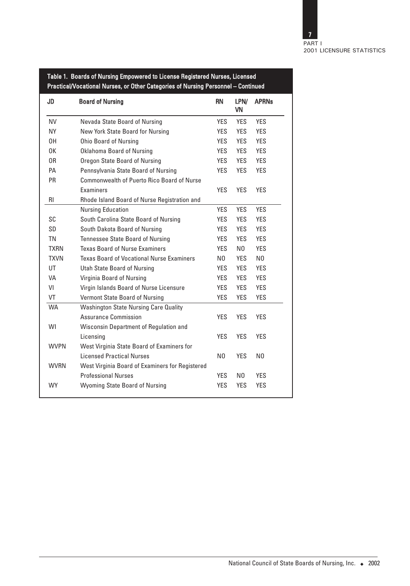| JD          | <b>Board of Nursing</b>                          | <b>RN</b>      | <b>LPN/</b><br>VN | <b>APRNs</b>   |
|-------------|--------------------------------------------------|----------------|-------------------|----------------|
| <b>NV</b>   | Nevada State Board of Nursing                    | <b>YES</b>     | <b>YES</b>        | <b>YES</b>     |
| <b>NY</b>   | New York State Board for Nursing                 | <b>YES</b>     | <b>YES</b>        | <b>YES</b>     |
| 0H          | <b>Ohio Board of Nursing</b>                     | <b>YES</b>     | <b>YES</b>        | <b>YES</b>     |
| 0K          | Oklahoma Board of Nursing                        | <b>YES</b>     | <b>YES</b>        | <b>YES</b>     |
| 0R          | Oregon State Board of Nursing                    | <b>YES</b>     | <b>YES</b>        | <b>YES</b>     |
| PA          | Pennsylvania State Board of Nursing              | YES            | YES               | <b>YES</b>     |
| <b>PR</b>   | Commonwealth of Puerto Rico Board of Nurse       |                |                   |                |
|             | Examiners                                        | <b>YES</b>     | <b>YES</b>        | <b>YES</b>     |
| RI.         | Rhode Island Board of Nurse Registration and     |                |                   |                |
|             | <b>Nursing Education</b>                         | <b>YES</b>     | <b>YES</b>        | <b>YES</b>     |
| SC          | South Carolina State Board of Nursing            | YES            | YES               | <b>YES</b>     |
| SD          | South Dakota Board of Nursing                    |                | YES               | <b>YES</b>     |
| <b>TN</b>   | Tennessee State Board of Nursing                 | <b>YES</b>     | <b>YES</b>        | <b>YES</b>     |
| <b>TXRN</b> | <b>Texas Board of Nurse Examiners</b>            | <b>YES</b>     | N0                | <b>YES</b>     |
| <b>TXVN</b> | <b>Texas Board of Vocational Nurse Examiners</b> | N <sub>0</sub> | <b>YES</b>        | N <sub>0</sub> |
| UT          | Utah State Board of Nursing                      | <b>YES</b>     | <b>YES</b>        | <b>YES</b>     |
| VA          | Virginia Board of Nursing                        | <b>YES</b>     | YES               | <b>YES</b>     |
| VI          | Virgin Islands Board of Nurse Licensure          | YES            | <b>YES</b>        | <b>YES</b>     |
| VT          | Vermont State Board of Nursing                   | <b>YES</b>     | YES               | <b>YES</b>     |
| <b>WA</b>   | <b>Washington State Nursing Care Quality</b>     |                |                   |                |
|             | <b>Assurance Commission</b>                      | <b>YES</b>     | <b>YES</b>        | <b>YES</b>     |
| WI          | Wisconsin Department of Regulation and           |                |                   |                |
|             | Licensing                                        | <b>YES</b>     | <b>YES</b>        | <b>YES</b>     |
| <b>WVPN</b> | West Virginia State Board of Examiners for       |                |                   |                |
|             | <b>Licensed Practical Nurses</b>                 | N0             | <b>YES</b>        | N <sub>0</sub> |
| <b>WVRN</b> | West Virginia Board of Examiners for Registered  |                |                   |                |
|             | <b>Professional Nurses</b>                       | <b>YES</b>     | N <sub>0</sub>    | <b>YES</b>     |
| <b>WY</b>   | <b>Wyoming State Board of Nursing</b>            | <b>YES</b>     | <b>YES</b>        | <b>YES</b>     |

### Table 1. Boards of Nursing Empowered to License Registered Nurses, Licensed Practical/Vocational Nurses, or Other Categories of Nursing Personnel – Continued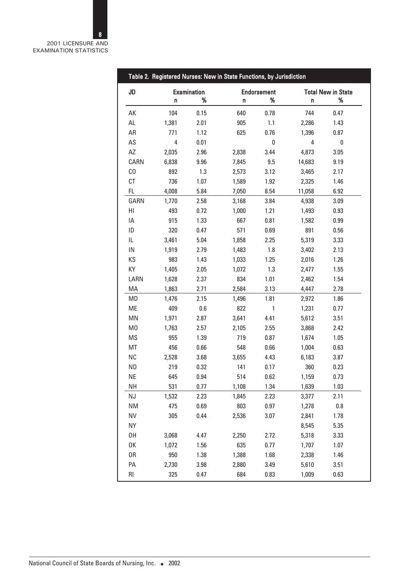| Table 2. Registered Nurses: New in State Functions, by Jurisdiction |                    |      |       |                    |        |                           |
|---------------------------------------------------------------------|--------------------|------|-------|--------------------|--------|---------------------------|
| JD                                                                  | <b>Examination</b> |      |       | <b>Endorsement</b> |        | <b>Total New in State</b> |
|                                                                     | n                  | %    | n     | %                  | n      | %                         |
| AK                                                                  | 104                | 0.15 | 640   | 0.78               | 744    | 0.47                      |
| AL                                                                  | 1,381              | 2.01 | 905   | 1.1                | 2,286  | 1.43                      |
| AR                                                                  | 771                | 1.12 | 625   | 0.76               | 1,396  | 0.87                      |
| AS                                                                  | 4                  | 0.01 |       | 0                  | 4      | 0                         |
| AZ                                                                  | 2,035              | 2.96 | 2,838 | 3.44               | 4,873  | 3.05                      |
| CARN                                                                | 6,838              | 9.96 | 7,845 | 9.5                | 14,683 | 9.19                      |
| CO                                                                  | 892                | 1.3  | 2,573 | 3.12               | 3,465  | 2.17                      |
| СT                                                                  | 736                | 1.07 | 1,589 | 1.92               | 2,325  | 1.46                      |
| FL.                                                                 | 4,008              | 5.84 | 7,050 | 8.54               | 11,058 | 6.92                      |
| GARN                                                                | 1,770              | 2.58 | 3,168 | 3.84               | 4,938  | 3.09                      |
| HI                                                                  | 493                | 0.72 | 1,000 | 1.21               | 1,493  | 0.93                      |
| ΙA                                                                  | 915                | 1.33 | 667   | 0.81               | 1,582  | 0.99                      |
| ID                                                                  | 320                | 0.47 | 571   | 0.69               | 891    | $0.56\,$                  |
| IL                                                                  | 3,461              | 5.04 | 1,858 | 2.25               | 5,319  | 3.33                      |
| IN                                                                  | 1,919              | 2.79 | 1,483 | $1.8\,$            | 3,402  | 2.13                      |
| KS                                                                  | 983                | 1.43 | 1,033 | 1.25               | 2,016  | 1.26                      |
| КY                                                                  | 1,405              | 2.05 | 1,072 | 1.3                | 2,477  | 1.55                      |
| LARN                                                                | 1,628              | 2.37 | 834   | 1.01               | 2,462  | 1.54                      |
| MA                                                                  | 1,863              | 2.71 | 2,584 | 3.13               | 4,447  | 2.78                      |
| MD                                                                  | 1,476              | 2.15 | 1,496 | 1.81               | 2,972  | 1.86                      |
| ME                                                                  | 409                | 0.6  | 822   | 1                  | 1,231  | 0.77                      |
| MN                                                                  | 1,971              | 2.87 | 3,641 | 4.41               | 5,612  | 3.51                      |
| M <sub>0</sub>                                                      | 1,763              | 2.57 | 2,105 | 2.55               | 3,868  | 2.42                      |
| MS                                                                  | 955                | 1.39 | 719   | 0.87               | 1,674  | 1.05                      |
| MT                                                                  | 456                | 0.66 | 548   | 0.66               | 1,004  | 0.63                      |
| NC                                                                  | 2,528              | 3.68 | 3,655 | 4.43               | 6,183  | 3.87                      |
| <b>ND</b>                                                           | 219                | 0.32 | 141   | 0.17               | 360    | 0.23                      |
| <b>NE</b>                                                           | 645                | 0.94 | 514   | 0.62               | 1,159  | 0.73                      |
| NΗ                                                                  | 531                | 0.77 | 1,108 | 1.34               | 1,639  | 1.03                      |
| NJ                                                                  | 1,532              | 2.23 | 1,845 | 2.23               | 3,377  | 2.11                      |
| <b>NM</b>                                                           | 475                | 0.69 | 803   | 0.97               | 1,278  | 0.8                       |
| <b>NV</b>                                                           | 305                | 0.44 | 2,536 | 3.07               | 2,841  | 1.78                      |
| NY                                                                  |                    |      |       |                    | 8,545  | 5.35                      |
| 0H                                                                  | 3,068              | 4.47 | 2,250 | 2.72               | 5,318  | 3.33                      |
| 0K                                                                  | 1,072              | 1.56 | 635   | 0.77               | 1,707  | 1.07                      |
| 0R                                                                  | 950                | 1.38 | 1,388 | 1.68               | 2,338  | 1.46                      |
| PA                                                                  | 2,730              | 3.98 | 2,880 | 3.49               | 5,610  | 3.51                      |
| RI                                                                  | 325                | 0.47 | 684   | 0.83               | 1,009  | 0.63                      |
|                                                                     |                    |      |       |                    |        |                           |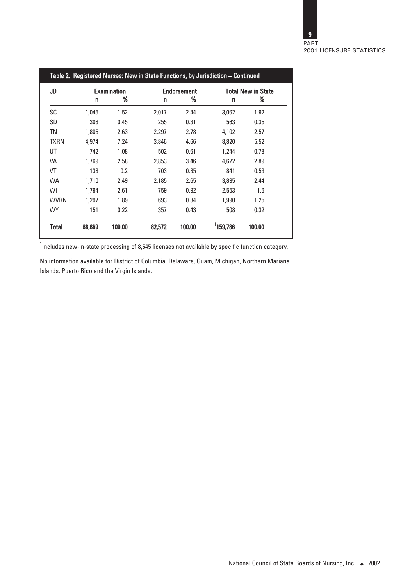|             | Table 2. Registered Nurses: New in State Functions, by Jurisdiction - Continued |                         |        |                         |         |                                |  |
|-------------|---------------------------------------------------------------------------------|-------------------------|--------|-------------------------|---------|--------------------------------|--|
| JD          | n                                                                               | <b>Examination</b><br>% | n      | <b>Endorsement</b><br>% | n       | <b>Total New in State</b><br>% |  |
| SC          | 1.045                                                                           | 1.52                    | 2,017  | 2.44                    | 3,062   | 1.92                           |  |
| SD          | 308                                                                             | 0.45                    | 255    | 0.31                    | 563     | 0.35                           |  |
| ΤN          | 1.805                                                                           | 2.63                    | 2,297  | 2.78                    | 4.102   | 2.57                           |  |
| <b>TXRN</b> | 4.974                                                                           | 7.24                    | 3,846  | 4.66                    | 8,820   | 5.52                           |  |
| UT          | 742                                                                             | 1.08                    | 502    | 0.61                    | 1.244   | 0.78                           |  |
| VA          | 1,769                                                                           | 2.58                    | 2,853  | 3.46                    | 4,622   | 2.89                           |  |
| VT          | 138                                                                             | 0.2                     | 703    | 0.85                    | 841     | 0.53                           |  |
| <b>WA</b>   | 1.710                                                                           | 2.49                    | 2.185  | 2.65                    | 3.895   | 2.44                           |  |
| WI          | 1.794                                                                           | 2.61                    | 759    | 0.92                    | 2,553   | 1.6                            |  |
| <b>WVRN</b> | 1.297                                                                           | 1.89                    | 693    | 0.84                    | 1.990   | 1.25                           |  |
| <b>WY</b>   | 151                                                                             | 0.22                    | 357    | 0.43                    | 508     | 0.32                           |  |
| Total       | 68,669                                                                          | 100.00                  | 82,572 | 100.00                  | 159.786 | 100.00                         |  |

 $<sup>1</sup>$ Includes new-in-state processing of 8,545 licenses not available by specific function category.</sup>

No information available for District of Columbia, Delaware, Guam, Michigan, Northern Mariana Islands, Puerto Rico and the Virgin Islands.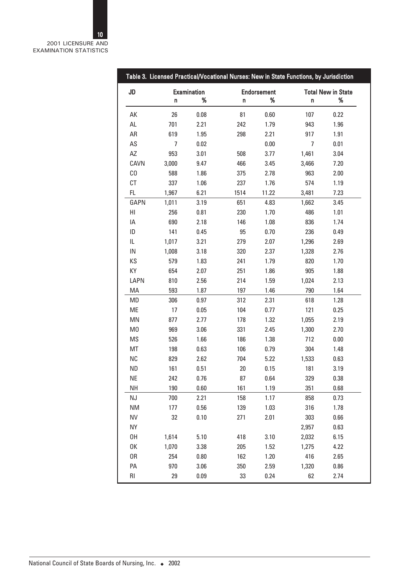| JD             | <b>Examination</b> |      |      | <b>Endorsement</b> |       | <b>Total New in State</b> |
|----------------|--------------------|------|------|--------------------|-------|---------------------------|
|                | n                  | %    | n    | %                  | n     | %                         |
| АΚ             | 26                 | 0.08 | 81   | 0.60               | 107   | 0.22                      |
| AL             | 701                | 2.21 | 242  | 1.79               | 943   | 1.96                      |
| AR             | 619                | 1.95 | 298  | 2.21               | 917   | 1.91                      |
| AS             | 7                  | 0.02 |      | 0.00               | 7     | 0.01                      |
| AZ             | 953                | 3.01 | 508  | 3.77               | 1,461 | 3.04                      |
| CAVN           | 3,000              | 9.47 | 466  | 3.45               | 3,466 | 7.20                      |
| CO             | 588                | 1.86 | 375  | 2.78               | 963   | 2.00                      |
| CT             | 337                | 1.06 | 237  | 1.76               | 574   | 1.19                      |
| FL             | 1,967              | 6.21 | 1514 | 11.22              | 3,481 | 7.23                      |
| GAPN           | 1,011              | 3.19 | 651  | 4.83               | 1,662 | 3.45                      |
| HI             | 256                | 0.81 | 230  | 1.70               | 486   | 1.01                      |
| ΙA             | 690                | 2.18 | 146  | 1.08               | 836   | 1.74                      |
| ID             | 141                | 0.45 | 95   | 0.70               | 236   | 0.49                      |
| IL             | 1,017              | 3.21 | 279  | 2.07               | 1,296 | 2.69                      |
| IN             | 1,008              | 3.18 | 320  | 2.37               | 1,328 | 2.76                      |
| KS             | 579                | 1.83 | 241  | 1.79               | 820   | 1.70                      |
| KY             | 654                | 2.07 | 251  | 1.86               | 905   | 1.88                      |
| LAPN           | 810                | 2.56 | 214  | 1.59               | 1,024 | 2.13                      |
| MA             | 593                | 1.87 | 197  | 1.46               | 790   | 1.64                      |
| MD             | 306                | 0.97 | 312  | 2.31               | 618   | 1.28                      |
| ME             | 17                 | 0.05 | 104  | 0.77               | 121   | 0.25                      |
| MN             | 877                | 2.77 | 178  | 1.32               | 1,055 | 2.19                      |
| M <sub>0</sub> | 969                | 3.06 | 331  | 2.45               | 1,300 | 2.70                      |
| MS             | 526                | 1.66 | 186  | 1.38               | 712   | 0.00                      |
| MT             | 198                | 0.63 | 106  | 0.79               | 304   | 1.48                      |
| <b>NC</b>      | 829                | 2.62 | 704  | 5.22               | 1,533 | 0.63                      |
| <b>ND</b>      | 161                | 0.51 | 20   | 0.15               | 181   | 3.19                      |
| <b>NE</b>      | 242                | 0.76 | 87   | 0.64               | 329   | 0.38                      |
| NΗ             | 190                | 0.60 | 161  | 1.19               | 351   | 0.68                      |
| NJ             | 700                | 2.21 | 158  | 1.17               | 858   | 0.73                      |
| <b>NM</b>      | 177                | 0.56 | 139  | 1.03               | 316   | 1.78                      |
| <b>NV</b>      | 32                 | 0.10 | 271  | 2.01               | 303   | 0.66                      |
| ΝY             |                    |      |      |                    | 2,957 | 0.63                      |
| 0H             | 1,614              | 5.10 | 418  | 3.10               | 2,032 | 6.15                      |
| 0K             | 1,070              | 3.38 | 205  | 1.52               | 1,275 | 4.22                      |
| 0R             | 254                | 0.80 | 162  | 1.20               | 416   | 2.65                      |
| PA             | 970                | 3.06 | 350  | 2.59               | 1,320 | 0.86                      |
| RI             | 29                 | 0.09 | 33   | 0.24               | 62    | 2.74                      |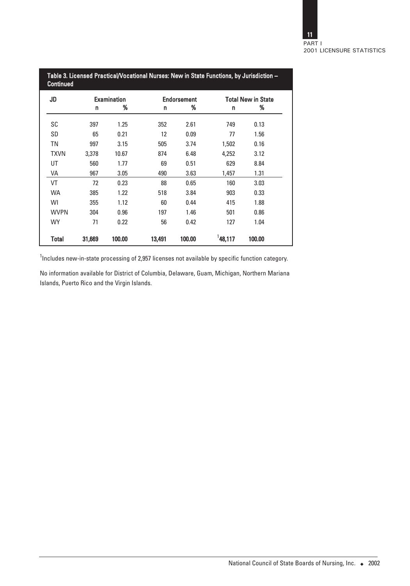| Table 3. Licensed Practical/Vocational Nurses: New in State Functions, by Jurisdiction -<br><b>Continued</b> |        |                         |        |                         |            |                                |
|--------------------------------------------------------------------------------------------------------------|--------|-------------------------|--------|-------------------------|------------|--------------------------------|
| JD<br>n                                                                                                      |        | <b>Examination</b><br>% | n      | <b>Endorsement</b><br>% | n          | <b>Total New in State</b><br>% |
| SC                                                                                                           | 397    | 1.25                    | 352    | 2.61                    | 749        | 0.13                           |
| SD                                                                                                           | 65     | 0.21                    | 12     | 0.09                    | 77         | 1.56                           |
| ΤN                                                                                                           | 997    | 3.15                    | 505    | 3.74                    | 1.502      | 0.16                           |
| <b>TXVN</b>                                                                                                  | 3,378  | 10.67                   | 874    | 6.48                    | 4,252      | 3.12                           |
| UT                                                                                                           | 560    | 1.77                    | 69     | 0.51                    | 629        | 8.84                           |
| VA                                                                                                           | 967    | 3.05                    | 490    | 3.63                    | 1,457      | 1.31                           |
| VT                                                                                                           | 72     | 0.23                    | 88     | 0.65                    | 160        | 3.03                           |
| <b>WA</b>                                                                                                    | 385    | 1.22                    | 518    | 3.84                    | 903        | 0.33                           |
| WI                                                                                                           | 355    | 1.12                    | 60     | 0.44                    | 415        | 1.88                           |
| <b>WVPN</b>                                                                                                  | 304    | 0.96                    | 197    | 1.46                    | 501        | 0.86                           |
| <b>WY</b>                                                                                                    | 71     | 0.22                    | 56     | 0.42                    | 127        | 1.04                           |
| <b>Total</b>                                                                                                 | 31,669 | 100.00                  | 13,491 | 100.00                  | $1$ 48,117 | 100.00                         |

 $^1$ Includes new-in-state processing of 2,957 licenses not available by specific function category.

No information available for District of Columbia, Delaware, Guam, Michigan, Northern Mariana Islands, Puerto Rico and the Virgin Islands.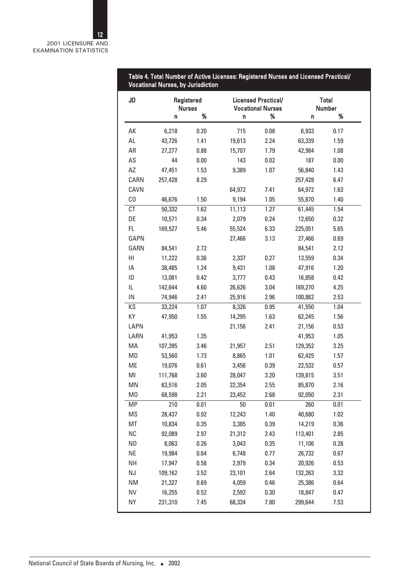#### Table 4. Total Number of Active Licenses: Registered Nurses and Licensed Practical/ Vocational Nurses, by Jurisdiction

| JD             |         | Registered<br><b>Nurses</b> |        | Licensed Practical/<br><b>Vocational Nurses</b> |         | Total<br><b>Number</b> |
|----------------|---------|-----------------------------|--------|-------------------------------------------------|---------|------------------------|
|                | n       | %                           | n      | %                                               | n       | %                      |
| АK             | 6,218   | 0.20                        | 715    | 0.08                                            | 6,933   | 0.17                   |
| AL             | 43,726  | 1.41                        | 19,613 | 2.24                                            | 63,339  | 1.59                   |
| AR             | 27,277  | 0.88                        | 15,707 | 1.79                                            | 42,984  | 1.08                   |
| AS             | 44      | 0.00                        | 143    | 0.02                                            | 187     | 0.00                   |
| AZ             | 47,451  | 1.53                        | 9,389  | 1.07                                            | 56,840  | 1.43                   |
| CARN           | 257,428 | 8.29                        |        |                                                 | 257,428 | 6.47                   |
| CAVN           |         |                             | 64,972 | 7.41                                            | 64,972  | 1.63                   |
| CO             | 46,676  | 1.50                        | 9,194  | 1.05                                            | 55,870  | 1.40                   |
| <b>CT</b>      | 50,332  | 1.62                        | 11,113 | 1.27                                            | 61,445  | 1.54                   |
| DE             | 10,571  | 0.34                        | 2,079  | 0.24                                            | 12,650  | 0.32                   |
| FL.            | 169,527 | 5.46                        | 55,524 | 6.33                                            | 225,051 | 5.65                   |
| GAPN           |         |                             | 27,466 | 3.13                                            | 27,466  | 0.69                   |
| GARN           | 84,541  | 2.72                        |        |                                                 | 84,541  | 2.12                   |
| HI.            | 11,222  | 0.36                        | 2,337  | 0.27                                            | 13,559  | 0.34                   |
| IA             | 38,485  | 1.24                        | 9,431  | 1.08                                            | 47,916  | 1.20                   |
| ID             | 13,081  | 0.42                        | 3,777  | 0.43                                            | 16,858  | 0.42                   |
| IL.            | 142,644 | 4.60                        | 26,626 | 3.04                                            | 169,270 | 4.25                   |
| IN             | 74,946  | 2.41                        | 25,916 | 2.96                                            | 100,862 | 2.53                   |
| KS             | 33,224  | 1.07                        | 8,326  | 0.95                                            | 41,550  | 1.04                   |
| KY             | 47,950  | 1.55                        | 14,295 | 1.63                                            | 62,245  | 1.56                   |
| LAPN           |         |                             | 21,156 | 2.41                                            | 21,156  | 0.53                   |
| LARN           | 41,953  | 1.35                        |        |                                                 | 41,953  | 1.05                   |
| MA             | 107,395 | 3.46                        | 21,957 | 2.51                                            | 129,352 | 3.25                   |
| MD             | 53,560  | 1.73                        | 8,865  | 1.01                                            | 62,425  | 1.57                   |
| <b>ME</b>      | 19,076  | 0.61                        | 3,456  | 0.39                                            | 22,532  | 0.57                   |
| MI             | 111,768 | 3.60                        | 28,047 | 3.20                                            | 139,815 | 3.51                   |
| <b>MN</b>      | 63,516  | 2.05                        | 22,354 | 2.55                                            | 85,870  | 2.16                   |
| M <sub>0</sub> | 68,598  | 2.21                        | 23,452 | 2.68                                            | 92,050  | 2.31                   |
| <b>MP</b>      | 210     | 0.01                        | 50     | 0.01                                            | 260     | 0.01                   |
| MS             | 28,437  | 0.92                        | 12,243 | 1.40                                            | 40,680  | 1.02                   |
| МT             | 10,834  | 0.35                        | 3,385  | 0.39                                            | 14,219  | 0.36                   |
| <b>NC</b>      | 92,089  | 2.97                        | 21,312 | 2.43                                            | 113,401 | 2.85                   |
| <b>ND</b>      | 8,063   | 0.26                        | 3,043  | 0.35                                            | 11,106  | 0.28                   |
| <b>NE</b>      | 19,984  | 0.64                        | 6,748  | 0.77                                            | 26,732  | 0.67                   |
| <b>NH</b>      | 17,947  | 0.58                        | 2,979  | 0.34                                            | 20,926  | 0.53                   |
| NJ             | 109,162 | 3.52                        | 23,101 | 2.64                                            | 132,263 | 3.32                   |
| <b>NM</b>      | 21,327  | 0.69                        | 4,059  | 0.46                                            | 25,386  | 0.64                   |
| <b>NV</b>      | 16,255  | 0.52                        | 2,592  | 0.30                                            | 18,847  | 0.47                   |
| <b>NY</b>      | 231,310 | 7.45                        | 68,334 | 7.80                                            | 299,644 | 7.53                   |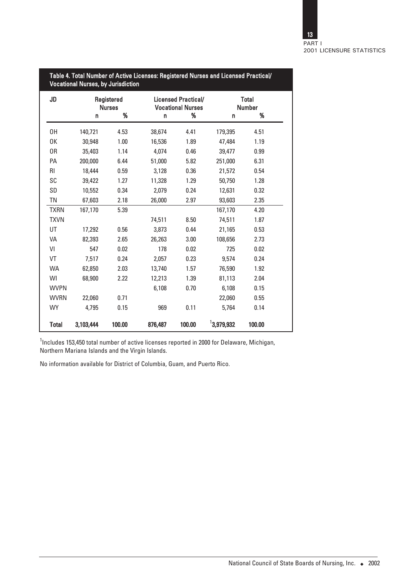| JD          |         | Registered<br><b>Nurses</b> |        | Licensed Practical/<br><b>Vocational Nurses</b> |         | <b>Total</b><br><b>Number</b> |
|-------------|---------|-----------------------------|--------|-------------------------------------------------|---------|-------------------------------|
|             | n       | %                           | n      | %                                               | n       | %                             |
| 0H          | 140,721 | 4.53                        | 38,674 | 4.41                                            | 179,395 | 4.51                          |
| 0K          | 30.948  | 1.00                        | 16,536 | 1.89                                            | 47.484  | 1.19                          |
| 0R          | 35,403  | 1.14                        | 4.074  | 0.46                                            | 39,477  | 0.99                          |
| PA          | 200,000 | 6.44                        | 51,000 | 5.82                                            | 251,000 | 6.31                          |
| RI.         | 18,444  | 0.59                        | 3,128  | 0.36                                            | 21,572  | 0.54                          |
| SC          | 39,422  | 1.27                        | 11,328 | 1.29                                            | 50,750  | 1.28                          |
| SD          | 10,552  | 0.34                        | 2.079  | 0.24                                            | 12,631  | 0.32                          |
| <b>TN</b>   | 67,603  | 2.18                        | 26,000 | 2.97                                            | 93,603  | 2.35                          |
| <b>TXRN</b> | 167,170 | 5.39                        |        |                                                 | 167,170 | 4.20                          |
| <b>TXVN</b> |         |                             | 74,511 | 8.50                                            | 74,511  | 1.87                          |
| UT          | 17,292  | 0.56                        | 3,873  | 0.44                                            | 21,165  | 0.53                          |
| VA          | 82,393  | 2.65                        | 26,263 | 3.00                                            | 108,656 | 2.73                          |
| VI          | 547     | 0.02                        | 178    | 0.02                                            | 725     | 0.02                          |
| VT          | 7,517   | 0.24                        | 2,057  | 0.23                                            | 9,574   | 0.24                          |
| <b>WA</b>   | 62,850  | 2.03                        | 13,740 | 1.57                                            | 76,590  | 1.92                          |
| WI          | 68,900  | 2.22                        | 12,213 | 1.39                                            | 81,113  | 2.04                          |
| <b>WVPN</b> |         |                             | 6,108  | 0.70                                            | 6,108   | 0.15                          |
| <b>WVRN</b> | 22,060  | 0.71                        |        |                                                 | 22,060  | 0.55                          |
| <b>WY</b>   | 4.795   | 0.15                        | 969    | 0.11                                            | 5,764   | 0.14                          |

<sup>1</sup>Includes 153,450 total number of active licenses reported in 2000 for Delaware, Michigan, Northern Mariana Islands and the Virgin Islands.

No information available for District of Columbia, Guam, and Puerto Rico.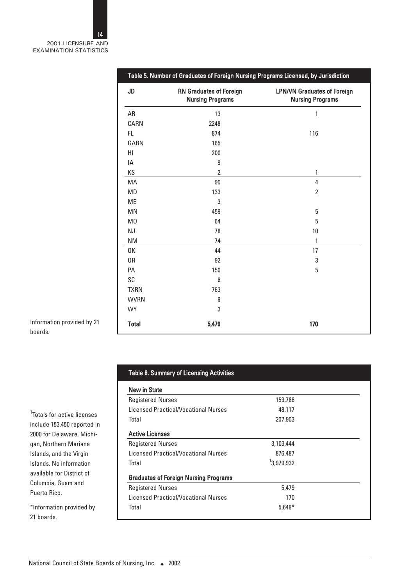| JD             | <b>RN Graduates of Foreign</b><br><b>Nursing Programs</b> | <b>LPN/VN Graduates of Foreign</b><br><b>Nursing Programs</b> |
|----------------|-----------------------------------------------------------|---------------------------------------------------------------|
| AR             | 13                                                        | 1                                                             |
| CARN           | 2248                                                      |                                                               |
| FL.            | 874                                                       | 116                                                           |
| GARN           | 165                                                       |                                                               |
| HI             | 200                                                       |                                                               |
| IA             | 9                                                         |                                                               |
| ΚS             | $\overline{2}$                                            | 1                                                             |
| MA             | 90                                                        | $\overline{4}$                                                |
| <b>MD</b>      | 133                                                       | $\overline{2}$                                                |
| <b>ME</b>      | 3                                                         |                                                               |
| <b>MN</b>      | 459                                                       | 5                                                             |
| M <sub>0</sub> | 64                                                        | 5                                                             |
| NJ             | 78                                                        | 10                                                            |
| <b>NM</b>      | 74                                                        | 1                                                             |
| 0K             | 44                                                        | 17                                                            |
| 0R             | 92                                                        | 3                                                             |
| PA             | 150                                                       | 5                                                             |
| SC             | 6                                                         |                                                               |
| <b>TXRN</b>    | 763                                                       |                                                               |
| <b>WVRN</b>    | 9                                                         |                                                               |
| <b>WY</b>      | 3                                                         |                                                               |
| <b>Total</b>   | 5,479                                                     | 170                                                           |

Information provided by 21 boards.

<sup>1</sup>Totals for active licenses include 153,450 reported in 2000 for Delaware, Michigan, Northern Mariana Islands, and the Virgin Islands. No information available for District of Columbia, Guam and Puerto Rico.

\*Information provided by 21 boards.

| Table 6. Summary of Licensing Activities     |            |  |
|----------------------------------------------|------------|--|
| <b>New in State</b>                          |            |  |
| <b>Registered Nurses</b>                     | 159,786    |  |
| <b>Licensed Practical/Vocational Nurses</b>  | 48,117     |  |
| Total                                        | 207,903    |  |
| <b>Active Licenses</b>                       |            |  |
| <b>Registered Nurses</b>                     | 3,103,444  |  |
| <b>Licensed Practical/Vocational Nurses</b>  | 876,487    |  |
| Total                                        | 13,979,932 |  |
| <b>Graduates of Foreign Nursing Programs</b> |            |  |
| <b>Registered Nurses</b>                     | 5,479      |  |
| <b>Licensed Practical/Vocational Nurses</b>  | 170        |  |
| Total                                        | $5,649*$   |  |
|                                              |            |  |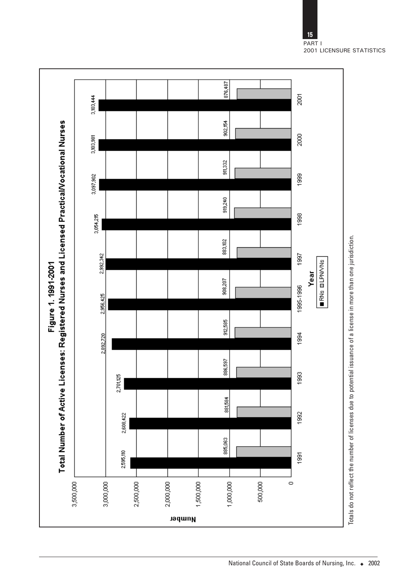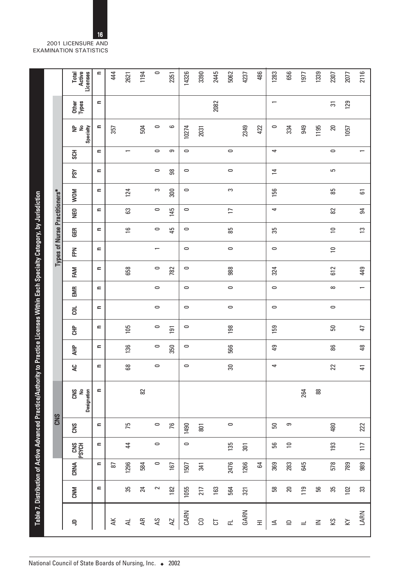| Table 7. Distribution of Active Adval |            |          |                  | <b>CNS</b>   |                          | nced Practice/Authority to Practice Licenses Within Each Specialty Category, by Jurisdiction |              |              |              |                          |              | Types of Nurse Practitioners* |                 |                |              |                |                          |                       |                          |                             |
|---------------------------------------|------------|----------|------------------|--------------|--------------------------|----------------------------------------------------------------------------------------------|--------------|--------------|--------------|--------------------------|--------------|-------------------------------|-----------------|----------------|--------------|----------------|--------------------------|-----------------------|--------------------------|-----------------------------|
| S                                     | <b>SNM</b> | CRNA     | <b>ESYCH</b>     | <b>CNS</b>   | CNS<br>Mo<br>Designation | ¥                                                                                            | <b>JHR</b>   | 훔            | g            | EMR                      | FAM          | FPN                           | GER             | <b>NEO</b>     | <b>WOM</b>   | PSY            | 5GH                      | NP<br>MP<br>Specialty | Other<br>Types           | Total<br>Active<br>Licenses |
|                                       | c          | $\equiv$ | c                | $\mathbf{r}$ | $\equiv$                 | $\mathbf{r}$                                                                                 | $\mathbf{r}$ | $\mathbf{r}$ | $\mathbf{r}$ | $\mathbf{r}$             | $\mathbf{r}$ | $\mathbf{r}$                  | $\mathbf{r}$    | $\mathbf{r}$   | $\mathbf{r}$ | $\mathbf{r}$   | $\mathbf{r}$             | $\mathbf{r}$          | $\mathbf{r}$             | $\equiv$                    |
| $\preceq$                             |            | 2        |                  |              |                          |                                                                                              |              |              |              |                          |              |                               |                 |                |              |                |                          | 357                   |                          | 444                         |
| $\overline{a}$                        | 35         | 1296     | 44               | 75           |                          | 89                                                                                           | 136          | 105          |              |                          | 658          |                               | $\frac{6}{2}$   | යි             | 124          |                | $\overline{\phantom{0}}$ |                       |                          | 2621                        |
| $\overline{\mathsf{A}}$               | 24         | 584      |                  |              | 82                       |                                                                                              |              |              |              |                          |              |                               |                 |                |              |                |                          | 504                   |                          | 1194                        |
| $4S$                                  | $\sim$     | $\circ$  | $\circ$          | $\circ$      |                          | $\circ$                                                                                      | $\circ$      | $\circ$      | $\circ$      | $\circ$                  | $\circ$      |                               | $\circ$         | $\circ$        | S            | $\circ$        | $\circ$                  | $\circ$               |                          | $\circ$                     |
| $\Delta Z$                            | 182        | 167      |                  | 76           |                          |                                                                                              | 350          | 191          |              |                          | 782          |                               | 45              | 145            | 300          | 98             | ၜ                        | $\circ$               |                          | 2351                        |
| CARN                                  | 1055       | 1507     | $\circ$          | 490          |                          | $\circ$                                                                                      | $\circ$      | $\circ$      | $\circ$      | $\circ$                  | $\circ$      | $\circ$                       | $\circ$         | $\circ$        | $\circ$      | $\circ$        | $\overline{\phantom{0}}$ | 10274                 |                          | 14326                       |
| S                                     | 217        | 341      |                  | 801          |                          |                                                                                              |              |              |              |                          |              |                               |                 |                |              |                |                          | 2031                  |                          | 3390                        |
| $\overline{\mathbb{C}}$               | 163        |          |                  |              |                          |                                                                                              |              |              |              |                          |              |                               |                 |                |              |                |                          |                       | 2082                     | 2445                        |
| $\overrightarrow{\mathbf{L}}$         | 564        | 2476     | 135              | $\circ$      |                          | $\overline{30}$                                                                              | 566          | 198          | $\circ$      | $\circ$                  | 988          | $\circ$                       | 85              | $\overline{1}$ | S            | $\circ$        | $\circ$                  |                       |                          | 5062                        |
| GARN                                  | 321        | 1266     | $\overline{301}$ |              |                          |                                                                                              |              |              |              |                          |              |                               |                 |                |              |                |                          | 2349                  |                          | 4237                        |
| Ξ                                     |            | 64       |                  |              |                          |                                                                                              |              |              |              |                          |              |                               |                 |                |              |                |                          | 422                   |                          | 486                         |
| $\triangleq$                          | 58         | 369      | 56               | 50           |                          | 4                                                                                            | 49           | 159          | $\circ$      | $\circ$                  | 324          | $\circ$                       | 35              | 4              | 156          | $\overline{1}$ | 4                        | $\circ$               | $\overline{\phantom{0}}$ | 1283                        |
| $\supseteq$                           | 20         | 283      | $\Xi$            | ၜ            |                          |                                                                                              |              |              |              |                          |              |                               |                 |                |              |                |                          | 334                   |                          | 656                         |
| $\equiv$                              | 119        | 645      |                  |              | 264                      |                                                                                              |              |              |              |                          |              |                               |                 |                |              |                |                          | 949                   |                          | 1977                        |
| $\leq$                                | 56         |          |                  |              | $88$                     |                                                                                              |              |              |              |                          |              |                               |                 |                |              |                |                          | 1195                  |                          | 1339                        |
| $\mathbb S$                           | 35         | 578      | 193              | 480          |                          | 22                                                                                           | 86           | 50           | $\circ$      | $\infty$                 | 612          | $\supseteq$                   | $\supseteq$     | 82             | 85           | 5              | $\circ$                  | 20                    | $\overline{3}$           | 2307                        |
| $\leq$                                | 102        | 789      |                  |              |                          |                                                                                              |              |              |              |                          |              |                               |                 |                |              |                |                          | 1057                  | 129                      | 2077                        |
| LARN                                  | 33         | 989      | 117              | 222          |                          | $\overline{4}$                                                                               | 48           | 47           |              | $\overline{\phantom{0}}$ | 449          |                               | $\overline{13}$ | 54             | 51           |                |                          |                       |                          | 2116                        |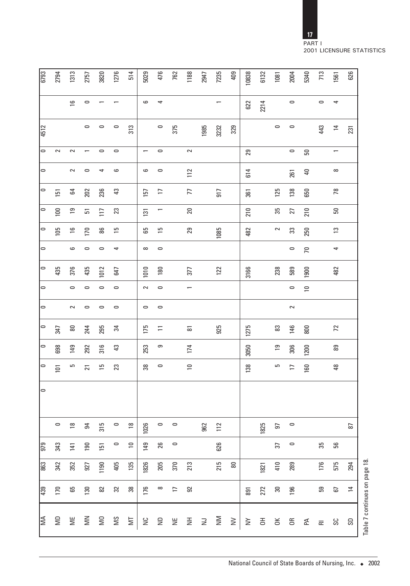| 6793    | 2794             | 1313            | 2757                                                                                                                                              | 3820                     | 1276                                                                                                                                              | 514            | 5029                  | 476                      | 762       | 1188        | 2947         | 7235         | 409         | 10838  | 6132                    | 1081                                                                                                                                              | 2004                                                                                                                                              | 5340            | 713                                                                                                                                               | 1561            | 626            |
|---------|------------------|-----------------|---------------------------------------------------------------------------------------------------------------------------------------------------|--------------------------|---------------------------------------------------------------------------------------------------------------------------------------------------|----------------|-----------------------|--------------------------|-----------|-------------|--------------|--------------|-------------|--------|-------------------------|---------------------------------------------------------------------------------------------------------------------------------------------------|---------------------------------------------------------------------------------------------------------------------------------------------------|-----------------|---------------------------------------------------------------------------------------------------------------------------------------------------|-----------------|----------------|
|         |                  | $\frac{1}{2}$   | $\circ$                                                                                                                                           |                          |                                                                                                                                                   |                | 6                     | 4                        |           |             |              |              |             | 622    | 2214                    |                                                                                                                                                   | $\overline{\phantom{0}}$                                                                                                                          |                 | $\hskip1.6pt\hskip1.3pt\hskip1.3pt\hskip1.3pt\hskip1.3pt\hskip1.3pt\hskip1.5pt\hskip1.5pt\hskip1.5pt\hskip1.5pt\hskip1.5pt\hskip1.5pt\hskip1.5pt$ | 4               |                |
|         |                  |                 |                                                                                                                                                   |                          |                                                                                                                                                   |                |                       |                          |           |             |              |              |             |        |                         |                                                                                                                                                   |                                                                                                                                                   |                 |                                                                                                                                                   |                 |                |
| 4512    |                  |                 | $\hskip1.6pt\hskip1.3pt\hskip1.3pt\hskip1.3pt\hskip1.3pt\hskip1.3pt\hskip1.5pt\hskip1.5pt\hskip1.5pt\hskip1.5pt\hskip1.5pt\hskip1.5pt\hskip1.5pt$ | $\circ$                  | $\circ$                                                                                                                                           | 313            |                       | $\circ$                  | 375       |             | 1985         | 3232         | 329         |        |                         | $\hskip1.6pt\hskip1.3pt\hskip1.3pt\hskip1.3pt\hskip1.3pt\hskip1.3pt\hskip1.5pt\hskip1.5pt\hskip1.5pt\hskip1.5pt\hskip1.5pt\hskip1.5pt\hskip1.5pt$ | $\circ$                                                                                                                                           |                 | 443                                                                                                                                               | $\overline{1}$  | 231            |
| 0       | $\sim$           | $\sim$          |                                                                                                                                                   | $\overline{\phantom{0}}$ | $\overline{\phantom{0}}$                                                                                                                          |                |                       | $\overline{\phantom{0}}$ |           | $\sim$      |              |              |             | 29     |                         |                                                                                                                                                   | $\hskip1.6pt\hskip1.3pt\hskip1.3pt\hskip1.3pt\hskip1.3pt\hskip1.5pt\hskip1.5pt\hskip1.5pt\hskip1.5pt\hskip1.5pt\hskip1.5pt\hskip1.5pt\hskip1.5pt$ | 50              |                                                                                                                                                   |                 |                |
| $\circ$ |                  | $\sim$          | $\overline{\phantom{0}}$                                                                                                                          | 4                        | 6                                                                                                                                                 |                | 6                     | $\circ$                  |           | 112         |              |              |             | 614    |                         |                                                                                                                                                   | 261                                                                                                                                               | 40              |                                                                                                                                                   | $\infty$        |                |
| $\circ$ | $\overline{151}$ | 64              | 202                                                                                                                                               | 236                      | 43                                                                                                                                                |                | 157                   | $\overline{1}$           |           | 77          |              | 917          |             | 361    |                         | 125                                                                                                                                               | 138                                                                                                                                               | 650             |                                                                                                                                                   | 78              |                |
| $\circ$ | $\overline{100}$ | $\overline{19}$ | 51                                                                                                                                                | $\overline{11}$          | 23                                                                                                                                                |                | $\overline{131}$      |                          |           | 20          |              |              |             | 210    |                         | 35                                                                                                                                                | 27                                                                                                                                                | 210             |                                                                                                                                                   | 50              |                |
| $\circ$ | 105              | $\frac{6}{1}$   | 170                                                                                                                                               | 86                       | 51                                                                                                                                                |                | 65                    | $\overline{15}$          |           | 29          |              | 1085         |             | 482    |                         | $\sim$                                                                                                                                            | 33                                                                                                                                                | 250             |                                                                                                                                                   | $\frac{3}{2}$   |                |
| $\circ$ |                  | $\rm ^{\circ}$  | $\circ$                                                                                                                                           | $\circ$                  | 4                                                                                                                                                 |                | $\infty$              | $\qquad \qquad \circ$    |           |             |              |              |             |        |                         |                                                                                                                                                   | $\circ$                                                                                                                                           | $\overline{70}$ |                                                                                                                                                   | 4               |                |
| $\circ$ | 435              | 376             | 435                                                                                                                                               | 1012                     | 647                                                                                                                                               |                | 1010                  | 180                      |           | 377         |              | 122          |             | 3166   |                         | 238                                                                                                                                               | 589                                                                                                                                               | 1900            |                                                                                                                                                   | 482             |                |
| 0       |                  | $\circ$         | $\circ$                                                                                                                                           | $\circ$                  | $\hskip1.6pt\hskip1.3pt\hskip1.3pt\hskip1.3pt\hskip1.3pt\hskip1.3pt\hskip1.5pt\hskip1.5pt\hskip1.5pt\hskip1.5pt\hskip1.5pt\hskip1.5pt\hskip1.5pt$ |                | $\sim$                | $\qquad \qquad \Box$     |           |             |              |              |             |        |                         |                                                                                                                                                   | $\circ$                                                                                                                                           | $\approx$       |                                                                                                                                                   |                 |                |
| $\circ$ |                  | $\sim$          | $\qquad \qquad \Box$                                                                                                                              | $\circ$                  | $\qquad \qquad \Box$                                                                                                                              |                | $\circ$               | $\qquad \qquad \circ$    |           |             |              |              |             |        |                         |                                                                                                                                                   | $\sim$                                                                                                                                            |                 |                                                                                                                                                   |                 |                |
| $\circ$ | 347              | $80\,$          | 244                                                                                                                                               | 295                      | 34                                                                                                                                                |                | 175                   | $\equiv$                 |           | 5           |              | 925          |             | 1275   |                         | 83                                                                                                                                                | 146                                                                                                                                               | 800             |                                                                                                                                                   | $\overline{72}$ |                |
| $\circ$ | 698              | 149             | 292                                                                                                                                               | 316                      | 43                                                                                                                                                |                | 253                   | ၜ                        |           | 174         |              |              |             | 3050   |                         | $\overline{19}$                                                                                                                                   | 306                                                                                                                                               | 1200            |                                                                                                                                                   | 89              |                |
| $\circ$ | $\overline{101}$ | 5               | $\overline{21}$                                                                                                                                   | 15                       | 23                                                                                                                                                |                | 38                    | $\circ$                  |           | $\supseteq$ |              |              |             | 138    |                         | G                                                                                                                                                 | $\overline{1}$                                                                                                                                    | 160             |                                                                                                                                                   | 48              |                |
| $\circ$ |                  |                 |                                                                                                                                                   |                          |                                                                                                                                                   |                |                       |                          |           |             |              |              |             |        |                         |                                                                                                                                                   |                                                                                                                                                   |                 |                                                                                                                                                   |                 |                |
|         |                  |                 |                                                                                                                                                   |                          |                                                                                                                                                   |                |                       |                          |           |             |              |              |             |        |                         |                                                                                                                                                   |                                                                                                                                                   |                 |                                                                                                                                                   |                 |                |
|         | $\Box$           | $\frac{8}{10}$  | တဲ                                                                                                                                                | 315                      | $\sim$                                                                                                                                            | $\frac{8}{10}$ | $\sim$ $\sim$<br>1026 |                          | $\bigcap$ |             | $\sim$<br>ë, | 112          |             |        | LO.<br>182 <sup>t</sup> | 57                                                                                                                                                | $\bigcap$                                                                                                                                         |                 |                                                                                                                                                   |                 | $\infty$       |
| 979     | 343              | 141             | 190                                                                                                                                               | 151                      | $\hskip1.6pt\hskip1.3pt\hskip1.3pt\hskip1.3pt\hskip1.3pt\hskip1.5pt\hskip1.5pt\hskip1.5pt\hskip1.5pt\hskip1.5pt\hskip1.5pt\hskip1.5pt\hskip1.5pt$ | $\overline{0}$ | 149                   | 26                       | $\circ$   |             |              | 626          |             |        |                         | 37                                                                                                                                                | $\circ$                                                                                                                                           |                 | 35                                                                                                                                                | 56              |                |
| 863     | 342              | 352             | 927                                                                                                                                               | 1190                     | 405                                                                                                                                               | 135            | 1826                  | 205                      | 370       | 213         |              | 215          | $\rm ^{80}$ |        | 1821                    | 410                                                                                                                                               | 289                                                                                                                                               |                 | 176                                                                                                                                               | 575             | 294            |
| 439     | 170              | 65              | 130                                                                                                                                               | 82                       | 32                                                                                                                                                | 38             | 176                   | $\infty$                 | 1T        | 92          |              |              |             | 891    | 272                     | $30\,$                                                                                                                                            | 196                                                                                                                                               |                 | 59                                                                                                                                                | 67              | $\overline{4}$ |
|         |                  |                 |                                                                                                                                                   |                          |                                                                                                                                                   |                |                       |                          |           |             |              |              |             |        |                         |                                                                                                                                                   |                                                                                                                                                   |                 |                                                                                                                                                   |                 |                |
| ΜA      | $\Xi$            | ăΜ              | $\leq$                                                                                                                                            | $\overline{\mathsf{N}}$  | SIN                                                                                                                                               | ΣĪ             | $\approx$             | $\supseteq$              | Ψ         | $\bar{\Xi}$ | $\supseteq$  | $\mathbb{N}$ | $\geqq$     | $\geq$ | 舌                       | ă                                                                                                                                                 | $\mathfrak S$                                                                                                                                     | 준               | $\overline{\mathbf{r}}$                                                                                                                           | SC              | SD             |

17 PART I 2001 LICENSURE STATISTICS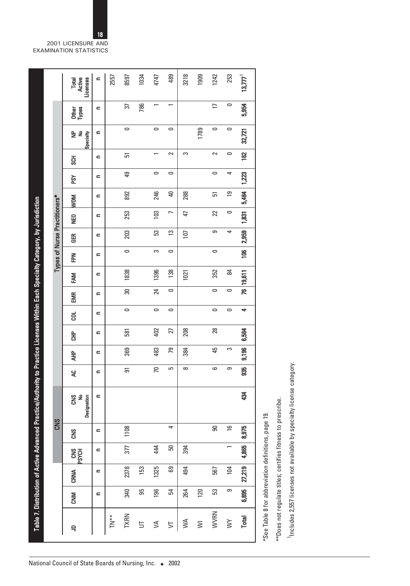|                  |            |        |             |                | <b>CNS</b>                     |          |       |       |          |          |           | Types of Nurse Practitioners* |          |            |                |          |          |                           |                |                             |
|------------------|------------|--------|-------------|----------------|--------------------------------|----------|-------|-------|----------|----------|-----------|-------------------------------|----------|------------|----------------|----------|----------|---------------------------|----------------|-----------------------------|
| ₽                | <b>CNM</b> | CRNA   | <b>ENSA</b> | g              | ż<br><b>CNS</b><br>Designation | g        | 붗     | 훔     | ತ        | EMR      | FAM       | N<br>E                        | E        | <b>DEN</b> | <b>MOM</b>     | PSY      | ŠЯ       | $\cong$<br>ş<br>Specialty | Other<br>Types | Total<br>Active<br>Licenses |
|                  | c          | c      | $\equiv$    |                | c                              | c        | c     | c     | $\equiv$ | $\equiv$ | $\equiv$  | $\equiv$                      | $\equiv$ | $\equiv$   | $\equiv$       | $\equiv$ | $\equiv$ | $\equiv$                  | c              | c                           |
| $TN**$           |            |        |             |                |                                |          |       |       |          |          |           |                               |          |            |                |          |          |                           |                | 2557                        |
| <b>TXRN</b>      | 340        | 2378   | 377         | œ<br>$\Xi$     |                                | 5        | 369   | 581   | $\circ$  | 50       | 1838      | $\circ$                       | 203      | 253        | 892            | 49       | 51       | $\circ$                   | 57             | 8597                        |
| 5                | 95         | 153    |             |                |                                |          |       |       |          |          |           |                               |          |            |                |          |          |                           | 786            | 1034                        |
| ≶                | 96         | 1325   | 444         |                |                                | 10       | 483   | 402   | $\circ$  | 24       | 1396      | S                             | S3       | 103        | 246            | $\circ$  |          | $\circ$                   |                | 4747                        |
| 5                | 54         | ශී     | 50          | 4              |                                | 5        | 79    | 27    | $\circ$  | $\circ$  | 138       | $\circ$                       | 13       | r          | đ              | $\circ$  | 2        | $\circ$                   |                | 489                         |
| WА               | 264        | 494    | 394         |                |                                | $\infty$ | 384   | 208   |          |          | 1021      |                               | io       | Ħ          | 288            |          | S        |                           |                | 3218                        |
| $\overline{\ge}$ | 120        |        |             |                |                                |          |       |       |          |          |           |                               |          |            |                |          |          | 1789                      |                | 1909                        |
| WVRN             | S          | 567    |             | g              |                                | 6        | 45    | 28    | $\circ$  | $\circ$  | 352       | $\circ$                       | တ        | 22         | 51             | $\circ$  | $\sim$   | $\circ$                   | $\overline{1}$ | 1242                        |
| $\geq$           | တ          | 104    |             | $\overline{=}$ |                                | ၜ        | S     |       | $\circ$  | $\circ$  | S4        |                               | 4        | $\circ$    | $\overline{9}$ | 4        | $\circ$  | $\circ$                   | $\circ$        | 253                         |
| Total            | 6,895      | 27,219 | 4,865       | 8,975          | 434                            | 88       | 9,196 | 6,564 | 4        |          | 76 19,611 | 106                           | 2,959    | 1,831      | 5,484          | 1,223    | 162      | 32,721                    | 5,954          | 13, 777                     |
|                  |            |        |             |                |                                |          |       |       |          |          |           |                               |          |            |                |          |          |                           |                |                             |

\*See Table 8 for abbreviation definitions, page 19. \*See Table 8 for abbreviation definitions, page 19.

\*\* Does not regulate titles; certifies fitness to prescribe.  $^{**}$ Does not regulate titles; certifies fitness to prescribe.

<sup>1</sup>Includes 2,557 licenses not available by specialty license category.  $^1$ Includes 2,557 licenses not available by specialty license category.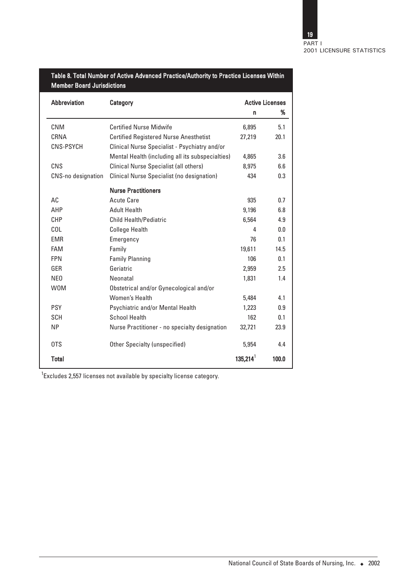| Table 8. Total Number of Active Advanced Practice/Authority to Practice Licenses Within |  |
|-----------------------------------------------------------------------------------------|--|
| <b>Member Board Jurisdictions</b>                                                       |  |

| <b>Abbreviation</b> | Category                                         |                        | <b>Active Licenses</b> |
|---------------------|--------------------------------------------------|------------------------|------------------------|
|                     |                                                  | n                      | %                      |
| CNM                 | <b>Certified Nurse Midwife</b>                   | 6.895                  | 5.1                    |
| CRNA                | <b>Certified Registered Nurse Anesthetist</b>    | 27,219                 | 20.1                   |
| CNS-PSYCH           | Clinical Nurse Specialist - Psychiatry and/or    |                        |                        |
|                     | Mental Health (including all its subspecialties) | 4,865                  | 3.6                    |
| CNS                 | Clinical Nurse Specialist (all others)           | 8,975                  | 6.6                    |
| CNS-no designation  | Clinical Nurse Specialist (no designation)       | 434                    | 0.3                    |
|                     | <b>Nurse Practitioners</b>                       |                        |                        |
| AC.                 | Acute Care                                       | 935                    | 0.7                    |
| AHP                 | <b>Adult Health</b>                              | 9,196                  | 6.8                    |
| CHP                 | Child Health/Pediatric                           | 6,564                  | 4.9                    |
| COL                 | <b>College Health</b>                            | 4                      | 0.0                    |
| <b>FMR</b>          | Emergency                                        | 76                     | 0.1                    |
| <b>FAM</b>          | Family                                           | 19.611                 | 14.5                   |
| <b>FPN</b>          | <b>Family Planning</b>                           | 106                    | 0.1                    |
| GER                 | Geriatric                                        | 2,959                  | 2.5                    |
| NE <sub>0</sub>     | Neonatal                                         | 1.831                  | 1.4                    |
| <b>WOM</b>          | Obstetrical and/or Gynecological and/or          |                        |                        |
|                     | Women's Health                                   | 5,484                  | 4.1                    |
| <b>PSY</b>          | Psychiatric and/or Mental Health                 | 1.223                  | 0.9                    |
| <b>SCH</b>          | <b>School Health</b>                             | 162                    | 0.1                    |
| <b>NP</b>           | Nurse Practitioner - no specialty designation    | 32,721                 | 23.9                   |
| 0TS                 | Other Specialty (unspecified)                    | 5,954                  | 4.4                    |
| <b>Total</b>        |                                                  | $135.214$ <sup>1</sup> | 100.0                  |

<sup>1</sup> Excludes 2,557 licenses not available by specialty license category.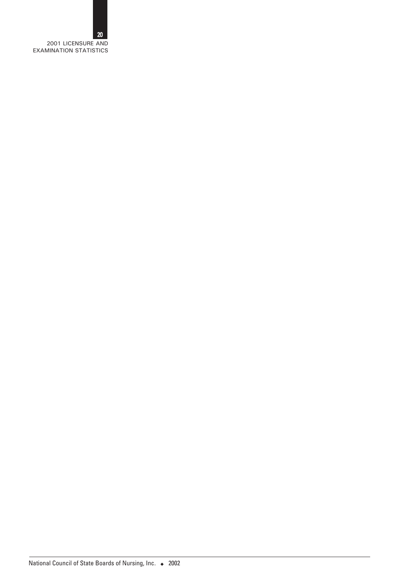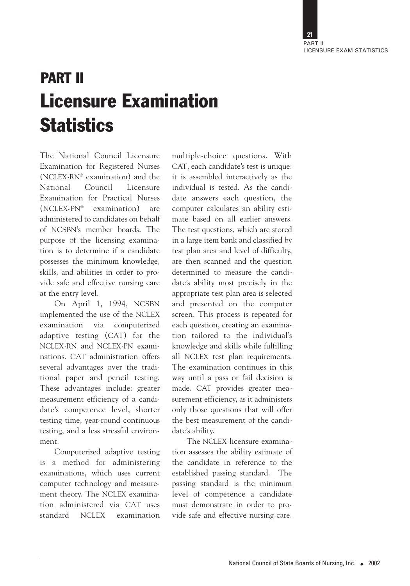

## PART II Licensure Examination **Statistics**

The National Council Licensure Examination for Registered Nurses (NCLEX-RN® examination) and the National Council Licensure Examination for Practical Nurses (NCLEX-PN® examination) are administered to candidates on behalf of NCSBN's member boards. The purpose of the licensing examination is to determine if a candidate possesses the minimum knowledge, skills, and abilities in order to provide safe and effective nursing care at the entry level.

On April 1, 1994, NCSBN implemented the use of the NCLEX examination via computerized adaptive testing (CAT) for the NCLEX-RN and NCLEX-PN examinations. CAT administration offers several advantages over the traditional paper and pencil testing. These advantages include: greater measurement efficiency of a candidate's competence level, shorter testing time, year-round continuous testing, and a less stressful environment.

Computerized adaptive testing is a method for administering examinations, which uses current computer technology and measurement theory. The NCLEX examination administered via CAT uses standard NCLEX examination

multiple-choice questions. With CAT, each candidate's test is unique: it is assembled interactively as the individual is tested. As the candidate answers each question, the computer calculates an ability estimate based on all earlier answers. The test questions, which are stored in a large item bank and classified by test plan area and level of difficulty, are then scanned and the question determined to measure the candidate's ability most precisely in the appropriate test plan area is selected and presented on the computer screen. This process is repeated for each question, creating an examination tailored to the individual's knowledge and skills while fulfilling all NCLEX test plan requirements. The examination continues in this way until a pass or fail decision is made. CAT provides greater measurement efficiency, as it administers only those questions that will offer the best measurement of the candidate's ability.

The NCLEX licensure examination assesses the ability estimate of the candidate in reference to the established passing standard. The passing standard is the minimum level of competence a candidate must demonstrate in order to provide safe and effective nursing care.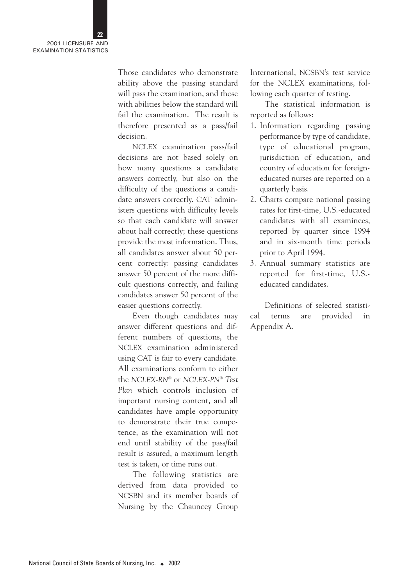Those candidates who demonstrate ability above the passing standard will pass the examination, and those with abilities below the standard will fail the examination. The result is therefore presented as a pass/fail decision.

NCLEX examination pass/fail decisions are not based solely on how many questions a candidate answers correctly, but also on the difficulty of the questions a candidate answers correctly. CAT administers questions with difficulty levels so that each candidate will answer about half correctly; these questions provide the most information. Thus, all candidates answer about 50 percent correctly: passing candidates answer 50 percent of the more difficult questions correctly, and failing candidates answer 50 percent of the easier questions correctly.

Even though candidates may answer different questions and different numbers of questions, the NCLEX examination administered using CAT is fair to every candidate. All examinations conform to either the *NCLEX-RN®* or *NCLEX-PN® Test Plan* which controls inclusion of important nursing content, and all candidates have ample opportunity to demonstrate their true competence, as the examination will not end until stability of the pass/fail result is assured, a maximum length test is taken, or time runs out.

The following statistics are derived from data provided to NCSBN and its member boards of Nursing by the Chauncey Group International, NCSBN's test service for the NCLEX examinations, following each quarter of testing.

The statistical information is reported as follows:

- 1. Information regarding passing performance by type of candidate, type of educational program, jurisdiction of education, and country of education for foreigneducated nurses are reported on a quarterly basis.
- 2. Charts compare national passing rates for first-time, U.S.-educated candidates with all examinees, reported by quarter since 1994 and in six-month time periods prior to April 1994.
- 3. Annual summary statistics are reported for first-time, U.S. educated candidates.

Definitions of selected statistical terms are provided in Appendix A.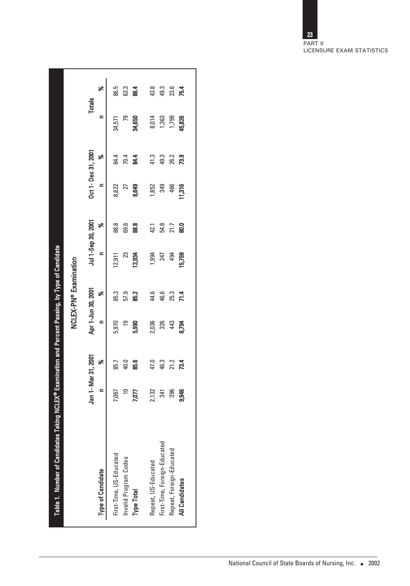| Table 1. Number of Candidates Taking NCLEX® Examination and Percent Passing, by Type of Candidate |                     |      |                    |                       |                    |      |          |                    |               |             |
|---------------------------------------------------------------------------------------------------|---------------------|------|--------------------|-----------------------|--------------------|------|----------|--------------------|---------------|-------------|
|                                                                                                   |                     |      |                    | NCLEX-PN® Examination |                    |      |          |                    |               |             |
|                                                                                                   | Jan 1- Mar 31, 2001 |      | Apr 1-Jun 30, 2001 |                       | Jul 1-Sep 30, 2001 |      |          | Oct 1-Dec 31, 2001 | <b>Totals</b> |             |
| <b>Type of Candidate</b>                                                                          | c                   | *    | $\equiv$           | శ                     | $\mathbf{r}$       | శ    | $\equiv$ | శ                  | c             | ٦g          |
| First-Time, US-Educated                                                                           | 7,067               | 85.7 | 5,970              | 85.3                  | 12,911             | 88.8 | 8,622    | 84.4               | 34,571        | 86.5        |
| Invalid Program Codes                                                                             |                     | 40.0 | $\overline{19}$    | 57.9                  | 23                 | 69.6 | 27       | 70.4               | 79            | 63.3        |
| <b>Type Total</b>                                                                                 | 7,077               | 85.6 | 5,990              | 85.2                  | 12,934             | 88.8 | 8,649    | $\vec{a}$          | 34,650        | <b>86.4</b> |
| Repeat, US-Educated                                                                               | 2,132               | 47.0 | 2,036              | 44.6                  | <b>P66</b>         | 42.1 | ,852     | 41.3               | 8,014         | 43.8        |
| First-Time, Foreign-Educated                                                                      | 341                 | 46.3 | 326                | 46.6                  | 347                | 54.8 | 349      | 49.3               | 1,363         | 49.3        |
| Repeat, Foreign-Educated                                                                          | 396                 | 21.2 | 443                | 25.3                  | 494                | 21.7 | 466      | 26.2               | 1,799         | 23.6        |
| <b>All Candidates</b>                                                                             | 9,946               | 73.4 | 8,794              | $\overline{11}$       | 15,769             | ន្ល  | 11,316   | 73.9               | 45,826        | 75.4        |
|                                                                                                   |                     |      |                    |                       |                    |      |          |                    |               |             |

2 3 PART II LICENSURE EXAM STATISTICS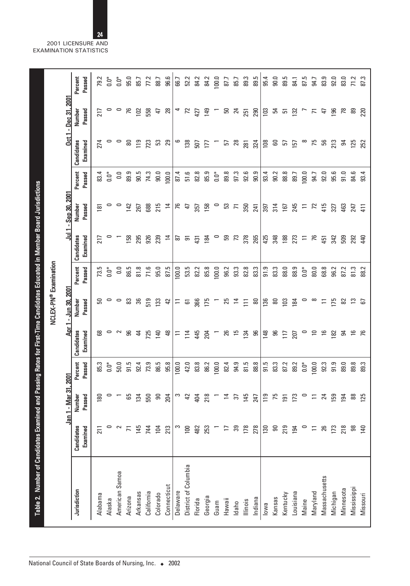| Table 2. Number of Candidates |                             | Examined and Passing Rates for First-Time Candidates Educated in Member Board Jurisdictions |                   |                        |                       |                   |                        |                     |                   |                        |                         |                   |
|-------------------------------|-----------------------------|---------------------------------------------------------------------------------------------|-------------------|------------------------|-----------------------|-------------------|------------------------|---------------------|-------------------|------------------------|-------------------------|-------------------|
|                               |                             |                                                                                             |                   |                        | NCLEX-PN® Examination |                   |                        |                     |                   |                        |                         |                   |
|                               |                             | Jan 1 - Mar 31, 2001                                                                        |                   |                        | Apr 1 - Jun 30, 2001  |                   |                        | Jul 1 - Sep 30, 200 |                   |                        | .2001<br>Oct 1 - Dec 31 |                   |
| Jurisdiction                  | lates<br>Examined<br>Candid | Passed<br>Number                                                                            | Percent<br>Passed | Candidates<br>Examined | Number<br>Passed      | Percent<br>Passed | Candidates<br>Examined | Number<br>Passed    | Percent<br>Passed | Candidates<br>Examined | Number<br>Passed        | Percent<br>Passed |
| Alabama                       | 211                         | $\frac{80}{2}$                                                                              | 85.3              | 89                     | 50                    | 73.5              | 217                    | $\overline{181}$    | 83.4              | 274                    | 217                     | 79.2              |
| Alaska                        | $\circ$                     | $\circ$                                                                                     | $0.0*$            | $\circ$                | $\circ$               | $0.0*$            |                        | $\circ$             | $0.0*$            | $\circ$                | $\circ$                 | $0.0*$            |
| American Samoa                | $\sim$                      |                                                                                             | 50.0              | $\sim$                 | $\circ$               | $\overline{0}$ .  |                        | $\circ$             | $\overline{0}$ .  | $\circ$                | $\circ$                 | $0.0*$            |
| Arizona                       | π                           | 65                                                                                          | 91.5              | ട                      | 83                    | 86.5              | 158                    | 142                 | 89.9              | 80                     | 76                      | 95.0              |
| Arkansas                      | 145                         | <b>34</b>                                                                                   | 92.4              | $\overline{4}$         | 36                    | 81.8              | 295                    | 267                 | 90.5              | $\frac{9}{2}$          | 102                     | 85.7              |
| California                    | 744                         | 550                                                                                         | 73.9              | 725                    | 519                   | 71.6              | 926                    | 688                 | 74.3              | 723                    | 558                     | 77.2              |
| Colorado                      | 104                         | 90                                                                                          | 86.5              | 140                    | 133                   | 95.0              | 239                    | 215                 | 90.0              | 53                     | $\overline{4}$          | 88.7              |
| Connecticut                   | 213                         | 204                                                                                         | 95.8              | 48                     | 42                    | 87.5              | $\overline{4}$         | $\overline{a}$      | 100.0             | 29                     | 28                      | 96.6              |
| Delaware                      | က                           | S                                                                                           | 100.0             | $\equiv$               | ニ                     | 100.0             | 52                     | 76                  | 87.4              | ڡ                      | 4                       | 66.7              |
| District of Columbia          | $\approx$                   | 42                                                                                          | 42.0              | $\overline{11}$        | డ                     | 53.5              | 5                      | $\ddot{t}$          | 51.6              | <b>138</b>             | 72                      | 52.2              |
| Florida                       | 482                         | 404                                                                                         | 83.8              | 445                    | 366                   | 82.2              | $\overline{3}$         | 357                 | 82.8              | 507                    | 427                     | 84.2              |
| Georgia                       | 253                         | 218                                                                                         | 86.2              | 204                    | 175                   | 85.8              | 184                    | 158                 | 85.9              | IЛ                     | 149                     | 84.2              |
| Guam                          |                             |                                                                                             | 100.0             |                        |                       | 100.0             | $\circ$                | $\circ$             | $0.0*$            |                        |                         | 100.0             |
| Hawaii                        |                             | $\overline{4}$                                                                              | 82.4              | 26                     | 25                    | 96.2              | 59                     | S3                  | 89.8              | 57                     | 50                      | 87.7              |
| Idaho                         | 39                          | 57                                                                                          | 94.9              | $\overline{15}$        | $\overline{4}$        | 93.3              | 73                     | $\overline{r}$      | 97.3              | 28                     | 24                      | 85.7              |
| lllinois                      | 178                         | 45                                                                                          | 81.5              | 134                    | Ξ                     | 82.8              | 378                    | 350                 | 92.6              | 281                    | 251                     | 89.3              |
| Indiana                       | 278                         | 247                                                                                         | 88.8              | 96                     | 58                    | 83.3              | 265                    | 241                 | 90.9              | 324                    | 290                     | 89.5              |
| lowa                          | 130                         | $\frac{9}{2}$                                                                               | 91.5              | 148                    | <b>36</b>             | 91.9              | 425                    | 397                 | 93.4              | 108                    | 103                     | 95.4              |
| Kansas                        | 90                          | 75                                                                                          | 83.3              | 96                     | 80                    | 83.3              | 348                    | 314                 | 90.2              | 60                     | 54                      | 90.0              |
| Kentucky                      | 219                         | $\overline{5}$                                                                              | 87.2              | $\Xi$                  | 103                   | 88.0              | 188                    | 167                 | 88.8              | 57                     | 5                       | 89.5              |
| Louisiana                     | 194                         | 173                                                                                         | 89.2              | 207                    | 184                   | 88.9              | 273                    | 245                 | 89.7              | 157                    | 132                     | 84.1              |
| Maine                         | 0                           | $\circ$                                                                                     | $0.0^\ast$        | $\circ$                | 0                     | $0.0*$            | $\overline{a}$         | $\equiv$            | 100.0             | $\infty$               |                         | 87.5              |
| Maryland                      | 드                           | $\equiv$                                                                                    | 100.0             | $\Xi$                  | $\infty$              | 80.0              | $\overline{76}$        | 72                  | 94.7              | 75                     | $\overline{r}$          | 94.7              |
| Massachusetts                 | 26                          | 24                                                                                          | 92.3              | $\frac{6}{2}$          | $\Xi$                 | 68.8              | 451                    | 415                 | 92.0              | 95                     | $\overline{4}$          | 83.9              |
| Michigan                      | 173                         | 59                                                                                          | 91.9              | 182                    | 175                   | 96.2              | 342                    | 327                 | 95.6              | 213                    | 196                     | 92.0              |
| Minnesota                     | 218                         | 194                                                                                         | 89.0              | $\overline{a}$         | 82                    | 87.2              | 503                    | 463                 | 91.0              | 54                     | 78                      | 83.0              |
| Mississippi                   | 88                          | 88                                                                                          | 89.8              | $\frac{6}{1}$          | $\tilde{c}$           | 81.3              | 292                    | 247                 | 84.6              | 125                    | 89                      | 71.2              |
| Missouri                      | 140                         | 125                                                                                         | 89.3              | 76                     | 67                    | 88.2              | 440                    | $\overline{41}$     | 93.4              | 252                    | 220                     | 87.3              |

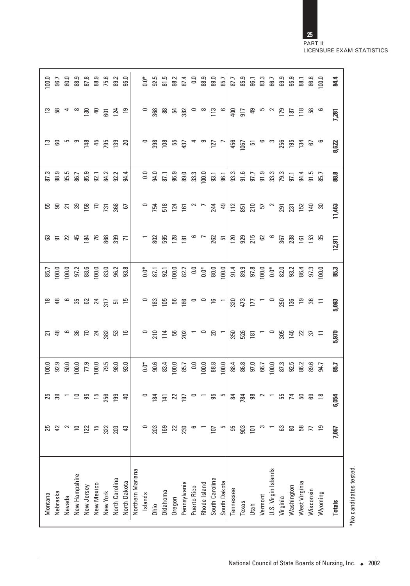|                                                                                                                                                                                                                                                                                             |        |               |            |            |          |                |              |                  |         |                                                                                                                                                                                                                                                                                                        |          |        |              |             |              |                |              |           |       |      |         |                     |          |            |               |           |         | 84.4          |                                                          |
|---------------------------------------------------------------------------------------------------------------------------------------------------------------------------------------------------------------------------------------------------------------------------------------------|--------|---------------|------------|------------|----------|----------------|--------------|------------------|---------|--------------------------------------------------------------------------------------------------------------------------------------------------------------------------------------------------------------------------------------------------------------------------------------------------------|----------|--------|--------------|-------------|--------------|----------------|--------------|-----------|-------|------|---------|---------------------|----------|------------|---------------|-----------|---------|---------------|----------------------------------------------------------|
| <b>2 8 4 8 9 9 9 9 2 9 2</b>                                                                                                                                                                                                                                                                |        |               |            |            |          |                |              |                  |         |                                                                                                                                                                                                                                                                                                        |          |        |              |             |              |                |              |           |       |      |         |                     |          |            |               |           |         | 7,281         |                                                          |
| 5 8 5 9 9 9 9 9 9 9 9                                                                                                                                                                                                                                                                       |        |               |            |            |          |                |              |                  |         | $ \frac{80}{2}$ $\frac{80}{2}$ $\frac{100}{2}$ $\frac{100}{2}$ $\frac{100}{2}$ $\frac{100}{2}$ $\frac{100}{2}$ $\frac{100}{2}$ $\frac{100}{2}$ $\frac{100}{2}$ $\frac{100}{2}$ $\frac{100}{2}$ $\frac{100}{2}$ $\frac{100}{2}$ $\frac{100}{2}$ $\frac{100}{2}$ $\frac{100}{2}$ $\frac{100}{2}$ $\frac$ |          |        |              |             |              |                |              |           |       |      |         |                     |          |            |               |           |         | 8,622         |                                                          |
|                                                                                                                                                                                                                                                                                             |        |               |            |            |          |                |              |                  |         |                                                                                                                                                                                                                                                                                                        |          |        |              |             |              |                |              |           |       |      |         |                     |          |            |               |           |         | 88.8          |                                                          |
| <b>ដូ ខូ 2 ង ឆូ 2 ង ឆូ 2 ង</b>                                                                                                                                                                                                                                                              |        |               |            |            |          |                |              |                  |         |                                                                                                                                                                                                                                                                                                        |          |        |              |             |              |                |              |           |       |      |         |                     |          |            |               |           |         | 11,463        |                                                          |
| <b>8524 26 28 36 76</b>                                                                                                                                                                                                                                                                     |        |               |            |            |          |                |              |                  |         | <b>DESERE PRESERES ESPERE</b>                                                                                                                                                                                                                                                                          |          |        |              |             |              |                |              |           |       |      |         |                     |          |            |               |           |         | 12,911        |                                                          |
|                                                                                                                                                                                                                                                                                             |        |               |            |            |          |                |              |                  |         |                                                                                                                                                                                                                                                                                                        |          |        |              |             |              |                |              |           |       |      |         |                     |          |            |               |           |         | 85.3          |                                                          |
|                                                                                                                                                                                                                                                                                             |        |               |            |            |          |                |              |                  |         |                                                                                                                                                                                                                                                                                                        |          |        |              |             |              |                |              |           |       |      |         |                     |          |            |               |           |         | 5,093         |                                                          |
| ដ ឌ ៚ ೫ ឣ ដ ឌ្ល ឌ ៓                                                                                                                                                                                                                                                                         |        |               |            |            |          |                |              |                  |         | $\sim$ 2 $\pm$ 8 $\approx$ 6 $\sim$ 6 $\sim$ 6 $\sim$ 6 $\pm$ 6 $\approx$ 6 $\pm$ 6 $\sim$ 6 $\pm$ 6 $\sim$ 6 $\pm$ 6 $\sim$ 6 $\sim$ 6 $\pm$ 6 $\sim$ 6 $\sim$                                                                                                                                        |          |        |              |             |              |                |              |           |       |      |         |                     |          |            |               |           |         | <u>ទ</u> ្ថ   |                                                          |
| $\begin{array}{c} 0.00000 \\ 0.00000 \\ 0.00000 \\ 0.00000 \\ 0.00000 \\ 0.0000 \\ 0.0000 \\ 0.0000 \\ 0.0000 \\ 0.0000 \\ 0.0000 \\ 0.0000 \\ 0.0000 \\ 0.0000 \\ 0.0000 \\ 0.0000 \\ 0.0000 \\ 0.0000 \\ 0.0000 \\ 0.0000 \\ 0.0000 \\ 0.0000 \\ 0.0000 \\ 0.0000 \\ 0.0000 \\ 0.0000 \\$ |        |               |            |            |          |                |              |                  |         |                                                                                                                                                                                                                                                                                                        |          |        |              |             |              |                |              |           |       |      |         |                     |          |            |               |           |         | 85.7          |                                                          |
|                                                                                                                                                                                                                                                                                             |        |               |            |            |          |                |              |                  |         |                                                                                                                                                                                                                                                                                                        |          |        |              |             |              |                |              |           |       |      |         |                     |          |            |               |           |         | 6,054         |                                                          |
| 5 2 3 5 5 6 7 8 9 7                                                                                                                                                                                                                                                                         |        |               |            |            |          |                |              |                  |         | o g n g s d s d l d l d s g d u l g s g s s s d s                                                                                                                                                                                                                                                      |          |        |              |             |              |                |              |           |       |      |         |                     |          |            |               |           |         | 50            |                                                          |
| Nebraska<br>Montana                                                                                                                                                                                                                                                                         | Nevada | New Hampshire | New Jersey | New Mexico | New York | North Carolina | North Dakota | Northern Mariana | Islands | Ohio                                                                                                                                                                                                                                                                                                   | Oklahoma | Oregon | Pennsylvania | Puerto Rico | Rhode Island | South Carolina | South Dakota | Tennessee | Texas | Utah | Vermont | U.S. Virgin Islands | Virginia | Washington | West Virginia | Wisconsin | Wyoming | <b>Totals</b> | *No candidates tested.                                   |
|                                                                                                                                                                                                                                                                                             |        |               |            |            |          |                |              |                  |         |                                                                                                                                                                                                                                                                                                        |          |        |              |             |              |                |              |           |       |      |         |                     |          |            |               |           |         |               | National Council of State Boards of Nursing, Inc. • 2002 |

25 PART II LICENSURE EXAM STATISTICS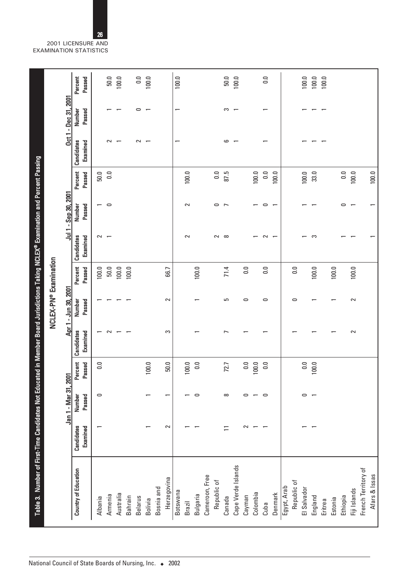| Table 3. Number of First-Time |                        |                      |                   | Candidates Not Educated in Member Board Jurisdictions Taking NCLEX® Examination and Percent Passing | NCLEX-PN® Examination |                   |                        |                      |                   |                        |                      |                   |
|-------------------------------|------------------------|----------------------|-------------------|-----------------------------------------------------------------------------------------------------|-----------------------|-------------------|------------------------|----------------------|-------------------|------------------------|----------------------|-------------------|
|                               |                        | Jan 1 - Mar 31, 2001 |                   |                                                                                                     | Apr 1 - Jun 30, 2001  |                   |                        | Jul 1 - Sep 30, 2001 |                   |                        | Oct 1 - Dec 31, 2001 |                   |
| Country of Education          | Candidates<br>Examined | Passed<br>Number     | Percent<br>Passed | <b>Candidates</b><br>Examined                                                                       | Passed<br>Number      | Percent<br>Passed | Candidates<br>Examined | Passed<br>Number     | Percent<br>Passed | Candidates<br>Examined | Passed<br>Number     | Percent<br>Passed |
| Albania                       |                        | $\circ$              | $\overline{0}$ .  |                                                                                                     |                       | 100.0             | $\sim$                 |                      | 50.0              |                        |                      |                   |
| Armenia                       |                        |                      |                   |                                                                                                     |                       | $50.0\,$          |                        | $\circ$              | 0.0               | $\sim$                 |                      | 50.0              |
| Australia                     |                        |                      |                   |                                                                                                     |                       | 100.0             |                        |                      |                   |                        |                      | 100.0             |
| Bahrain                       |                        |                      |                   |                                                                                                     |                       | 100.0             |                        |                      |                   |                        |                      |                   |
| <b>Belarus</b>                |                        |                      |                   |                                                                                                     |                       |                   |                        |                      |                   | 2                      | 0                    | 0.0               |
| Bolivia                       |                        |                      | 100.0             |                                                                                                     |                       |                   |                        |                      |                   |                        |                      | 100.0             |
| Bosnia and                    |                        |                      |                   |                                                                                                     |                       |                   |                        |                      |                   |                        |                      |                   |
| Herzegovina                   | 2                      |                      | 50.0              | S                                                                                                   | 2                     | 66.7              |                        |                      |                   |                        |                      |                   |
| Botswana                      |                        |                      |                   |                                                                                                     |                       |                   |                        |                      |                   |                        |                      | 100.0             |
| Brazil                        |                        |                      | 100.0             |                                                                                                     |                       |                   | $\sim$                 | $\sim$               | 100.0             |                        |                      |                   |
| Bulgaria                      |                        | $\circ$              | 0.0               |                                                                                                     |                       | 100.0             |                        |                      |                   |                        |                      |                   |
| Cameroon, Free                |                        |                      |                   |                                                                                                     |                       |                   |                        |                      |                   |                        |                      |                   |
| Republic of                   |                        |                      |                   |                                                                                                     |                       |                   | $\sim$                 | $\circ$              | 0.0               |                        |                      |                   |
| Canada                        |                        | $\infty$             | 72.7              |                                                                                                     | 5                     | 71.4              | $\infty$               | $\overline{ }$       | 87.5              | ص                      | S                    | 50.0              |
| Cape Verde Islands            |                        |                      |                   |                                                                                                     |                       |                   |                        |                      |                   |                        |                      | 100.0             |
| Cayman                        |                        | $\circ$              | $\overline{0}$ .  |                                                                                                     | $\circ$               | 0.0               |                        |                      |                   |                        |                      |                   |
| Colombia                      |                        |                      | 100.0             |                                                                                                     |                       |                   |                        |                      | 100.0             |                        |                      |                   |
| Cuba                          |                        | $\circ$              | 0.0               |                                                                                                     | $\circ$               | 0.0               |                        | $\circ$              | 0.0               |                        |                      | $\overline{0}$ .  |
| Denmark                       |                        |                      |                   |                                                                                                     |                       |                   |                        |                      | 100.0             |                        |                      |                   |
| Egypt, Arab                   |                        |                      |                   |                                                                                                     |                       |                   |                        |                      |                   |                        |                      |                   |
| Republic of                   |                        |                      |                   |                                                                                                     | $\circ$               | $\overline{0}$ .  |                        |                      |                   |                        |                      |                   |
| El Salvador                   |                        | $\circ$              | 0.0               |                                                                                                     |                       |                   |                        |                      | 100.0             |                        |                      | 100.0             |
| England                       |                        |                      | 100.0             |                                                                                                     |                       | 100.0             | S                      |                      | 33.0              |                        |                      | 100.0             |
| Eritrea                       |                        |                      |                   |                                                                                                     |                       |                   |                        |                      |                   |                        |                      | 100.0             |
| Estonia                       |                        |                      |                   |                                                                                                     |                       | 100.0             |                        |                      |                   |                        |                      |                   |
| Ethiopia                      |                        |                      |                   |                                                                                                     |                       |                   |                        |                      | 0.0               |                        |                      |                   |
| Fiji Islands                  |                        |                      |                   | 2                                                                                                   | 2                     | 100.0             |                        |                      | 100.0             |                        |                      |                   |
| French Territory of           |                        |                      |                   |                                                                                                     |                       |                   |                        |                      |                   |                        |                      |                   |
| Afars & Issas                 |                        |                      |                   |                                                                                                     |                       |                   |                        |                      | 100.0             |                        |                      |                   |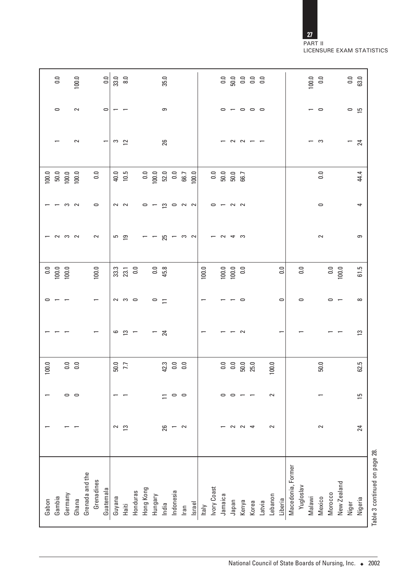| $\overline{0}$ .                                                   | 100.0                    |                          | $\frac{1}{3}$ $\frac{1}{3}$ $\frac{1}{3}$ $\frac{1}{3}$ |                                                  |          |                                                                                    |                          | 35.0       |                    |        |        |       |             |                                                     |        | ខ ខ្លួ ខ ខ ខ      |                 |         |         |                   |           | 100.0  | 0.0     |                                           |             |       | $\begin{array}{c} 0.0 \\ 63.0 \end{array}$ |
|--------------------------------------------------------------------|--------------------------|--------------------------|---------------------------------------------------------|--------------------------------------------------|----------|------------------------------------------------------------------------------------|--------------------------|------------|--------------------|--------|--------|-------|-------------|-----------------------------------------------------|--------|-------------------|-----------------|---------|---------|-------------------|-----------|--------|---------|-------------------------------------------|-------------|-------|--------------------------------------------|
| $\circ$                                                            | $\sim$                   | $\circ$                  |                                                         |                                                  |          |                                                                                    |                          | 9          |                    |        |        |       |             | $\circ$                                             |        | $-$ 0 0 0         |                 |         |         |                   |           |        | $\circ$ |                                           |             |       | ុ ក                                        |
|                                                                    | $\sim$                   | $\overline{\phantom{0}}$ | ິ ~<br>ລ                                                |                                                  |          |                                                                                    |                          | 26         |                    |        |        |       |             |                                                     |        | $\sim$ $\sim$ $-$ |                 |         |         |                   |           |        | က       |                                           |             |       | 24                                         |
| $\begin{array}{c} 100.0 \\ 50.0 \\ 100.0 \\ 100.0 \\ \end{array}$  |                          | $0.0\,$                  |                                                         | 40.0<br>10.5                                     |          | $\begin{array}{c} 0.0 \\ 0.0 \\ 52.0 \\ 66.7 \\ 66.7 \\ 0.0 \\ 0.0 \\ \end{array}$ |                          |            |                    |        |        |       |             | ី<br>ទី ទី ទី ទី<br>ទី ទី ទី                        |        |                   |                 |         |         |                   |           |        | 0.0     |                                           |             |       | 44.4                                       |
| က                                                                  | $\sim$                   | 0                        |                                                         | $\sim$ $\sim$                                    |          | $\circ$                                                                            |                          | <u>ന</u> o |                    | $\sim$ | $\sim$ |       | $\circ$     |                                                     | 22     |                   |                 |         |         |                   |           |        | $\circ$ |                                           |             |       | 4                                          |
| ా<br>$\sim$                                                        | $\sim$                   | $\sim$                   |                                                         | മ പ                                              |          |                                                                                    |                          | 25 -       |                    | က      | $\sim$ |       |             | $\sim$                                              | 4 ო    |                   |                 |         |         |                   |           |        | $\sim$  |                                           |             |       | ၜ                                          |
| $\begin{bmatrix} 0.0 \\ 0.0 \\ 0.0 \\ 0.0 \\ 0.0 \\ \end{bmatrix}$ |                          | 100.0                    |                                                         | $\begin{array}{c} 33 \\ 23 \\ 10 \\ \end{array}$ |          |                                                                                    | $0.0$<br>45.8            |            |                    |        |        | 100.0 |             | $\begin{bmatrix} 100.0 \\ 0.0 \\ 0.0 \end{bmatrix}$ |        |                   |                 |         | 0.0     |                   | $0.0\,$   |        |         | $\begin{array}{c} 0.0 \\ 0.0 \end{array}$ |             |       | 61.5                                       |
|                                                                    |                          |                          |                                                         | $\sim$ $\sim$ $\sim$                             |          |                                                                                    | $\circ$ =                |            |                    |        |        |       |             |                                                     |        | $\circ$           |                 |         | $\circ$ |                   | 0         |        |         |                                           |             |       | $\infty$                                   |
|                                                                    |                          |                          |                                                         | േ ഇ                                              |          |                                                                                    | $\overline{\phantom{0}}$ | 24         |                    |        |        |       |             |                                                     |        | $\sim$            |                 |         |         |                   |           |        |         |                                           |             |       | $\tilde{\mathbf{u}}$                       |
| 100.0                                                              | $rac{1}{6}$              |                          |                                                         | $\frac{50.0}{7.7}$                               |          |                                                                                    |                          |            | $\frac{23}{4}$ 0.0 |        |        |       |             |                                                     |        | <b>3</b> 3 6 8 8  |                 | 100.0   |         |                   |           |        | 50.0    |                                           |             |       | 62.5                                       |
| $\circ$                                                            | $\Box$                   |                          |                                                         |                                                  |          |                                                                                    |                          |            | $= 0$              |        |        |       |             | 0                                                   | ▭      |                   |                 | $\sim$  |         |                   |           |        |         |                                           |             |       | 51                                         |
|                                                                    |                          |                          |                                                         | $\sim$ $\approx$                                 |          |                                                                                    |                          |            | $26 - 2$           |        |        |       |             |                                                     | $\sim$ | $\sim$ 4          |                 | $\sim$  |         |                   |           |        | $\sim$  |                                           |             |       | 24                                         |
| Germany<br>Gambia<br>Gabon                                         | Grenada and the<br>Ghana | Grenadines<br>Guatemala  | Guyana                                                  | Haiti                                            | Honduras | Hong Kong                                                                          | Hungary                  | India      | Indonesia          | Iran   | Israel | Italy | Ivory Coast | Jamaica                                             | Japan  | Kenya             | Korea<br>Latvia | Lebanon | Liberia | Macedonia, Former | Yugloslav | Malawi | Mexico  | Morocco                                   | New Zealand | Niger | Nigeria                                    |

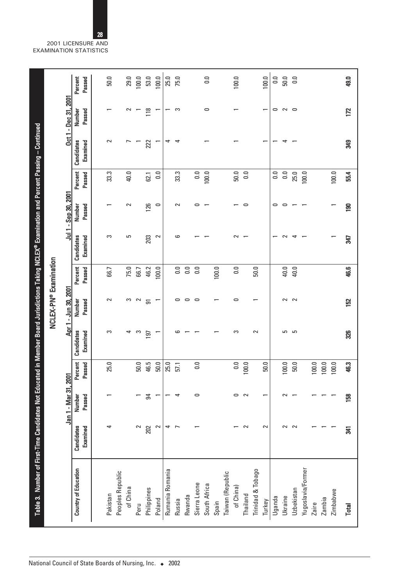| ۱ | J |
|---|---|
| ļ |   |

|                       |                        |                      |                   |                        | NCLEX-PN® Examination |                   |                               |                      |                   |                        |                      |                   |
|-----------------------|------------------------|----------------------|-------------------|------------------------|-----------------------|-------------------|-------------------------------|----------------------|-------------------|------------------------|----------------------|-------------------|
|                       |                        | Jan 1 - Mar 31, 2001 |                   |                        | Apr 1 - Jun 30, 2001  |                   |                               | Jul 1 - Sep 30, 2001 |                   |                        | Oct 1 - Dec 31, 2001 |                   |
| Country of Education  | Candidates<br>Examined | Passed<br>Number     | Percent<br>Passed | Candidates<br>Examined | Passed<br>Number      | Percent<br>Passed | <b>Candidates</b><br>Examined | Number<br>Passed     | Percent<br>Passed | Candidates<br>Examined | Passed<br>Number     | Percent<br>Passed |
|                       |                        |                      |                   |                        |                       |                   |                               |                      |                   |                        |                      |                   |
| Pakistan              |                        |                      | 25.0              | S                      | 2                     | 66.7              | S                             |                      | 33.3              | 2                      |                      | 50.0              |
| Peoples Republic      |                        |                      |                   |                        |                       |                   |                               |                      |                   |                        |                      |                   |
| of China              |                        |                      |                   | 4                      | S                     | 75.0              | 5                             | 2                    | 40.0              |                        | ∾                    | 29.0              |
| Peru                  | 2                      |                      | 50.0              | က                      | $\sim$                | 66.7              |                               |                      |                   |                        |                      | 100.0             |
| Philippines           | 202                    | 54                   | 46.5              | 197                    | 5                     | 46.2              | 203                           | 126                  | 62.1              | 222                    | 118                  | 53.0              |
| Poland                | $\sim$                 |                      | 50.0              |                        |                       | 100.0             | $\sim$                        | $\circ$              | $\overline{0}$    |                        |                      | 100.0             |
| Rumania Romania       | 4                      |                      | 25.0              |                        |                       |                   |                               |                      |                   | 4                      |                      | 25.0              |
| Russia                |                        | 4                    | 57.1              | ص                      | 0                     | 0.0               | 6                             | 2                    | 33.3              | 4                      | S                    | 75.0              |
| Rwanda                |                        |                      |                   |                        | 0                     | $\overline{0}$ .  |                               |                      |                   |                        |                      |                   |
| Sierra Leone          |                        | 0                    | $\overline{0}$ .  |                        | $\mathbf{\circ}$      | $\overline{0}$    |                               |                      | 0.0               |                        |                      |                   |
| South Africa<br>Spain |                        |                      |                   |                        |                       |                   |                               |                      | 100.0             |                        | $\circ$              | $\overline{0}$ .  |
|                       |                        |                      |                   |                        |                       | 100.0             |                               |                      |                   |                        |                      |                   |
| Taiwan (Republic      |                        |                      |                   |                        |                       |                   |                               |                      |                   |                        |                      |                   |
| of China)             |                        |                      | 0.0               | S                      | 0                     | $\overline{0}$ .  | $\sim$                        |                      | 50.0              |                        |                      | 100.0             |
| Thailand              | 2                      | $\sim$               | 100.0             |                        |                       |                   |                               | 0                    | $\overline{0}$ .  |                        |                      |                   |
| Trinidad & Tobago     |                        |                      |                   | 2                      |                       | 50.0              |                               |                      |                   |                        |                      |                   |
| Turkey                | $\sim$                 |                      | 50.0              |                        |                       |                   |                               |                      |                   |                        |                      | 100.0             |
| Uganda                |                        |                      |                   |                        |                       |                   |                               | 0                    | $\overline{0}$ .  |                        | $\circ$              | $\overline{0}$ .  |
| Ukraine               |                        |                      | 100.0             | 5                      | 2                     | 40.0              |                               |                      | 0.0               |                        | $\sim$               | 50.0              |
| Uzbekistan            |                        |                      | 50.0              | 5                      | $\sim$                | 40.0              |                               |                      | 25.0              |                        | $\circ$              | 0.0               |
| Yugoslavia/Former     |                        |                      |                   |                        |                       |                   |                               |                      | 100.0             |                        |                      |                   |
| Zaire                 |                        |                      | 100.0             |                        |                       |                   |                               |                      |                   |                        |                      |                   |
| Zambia                |                        |                      | 100.0             |                        |                       |                   |                               |                      |                   |                        |                      |                   |
| Zimbabwe              |                        |                      | 100.0             |                        |                       |                   |                               |                      | 100.0             |                        |                      |                   |
| Total                 | ਙ                      | 158                  | 46.3              | 326                    | 152                   | 46.6              | 347                           | $\overline{90}$      | 55.4              | 349                    | 172                  | 49.0              |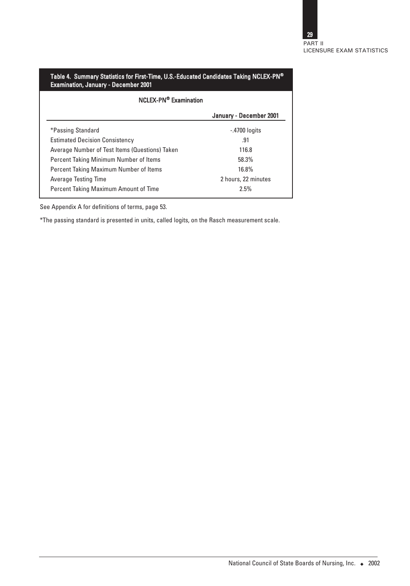### Table 4. Summary Statistics for First-Time, U.S.-Educated Candidates Taking NCLEX-PN® Examination, January - December 2001

| <b>NCLEX-PN®</b> Examination                   |                         |
|------------------------------------------------|-------------------------|
|                                                | January - December 2001 |
| *Passing Standard                              | $-4700$ logits          |
| <b>Estimated Decision Consistency</b>          | .91                     |
| Average Number of Test Items (Questions) Taken | 116.8                   |
| Percent Taking Minimum Number of Items         | 58.3%                   |
| Percent Taking Maximum Number of Items         | 16.8%                   |
| Average Testing Time                           | 2 hours, 22 minutes     |
| Percent Taking Maximum Amount of Time          | 2.5%                    |

See Appendix A for definitions of terms, page 53.

\*The passing standard is presented in units, called logits, on the Rasch measurement scale.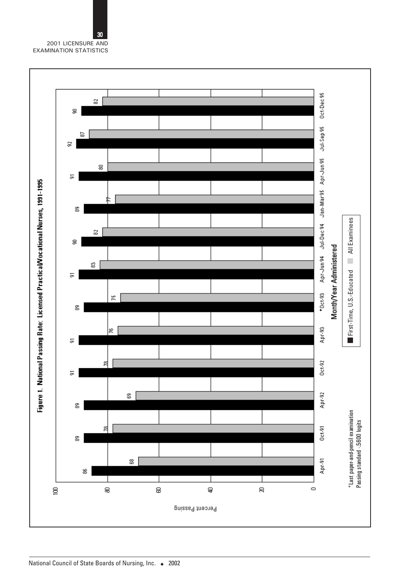

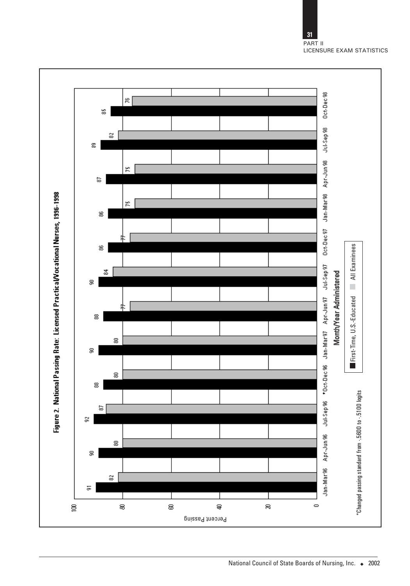

31 PART II LICENSURE EXAM STATISTICS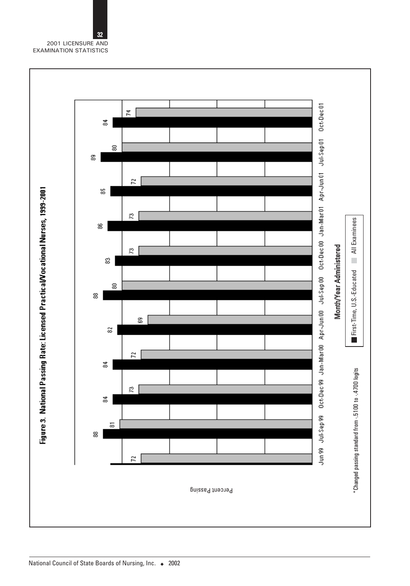

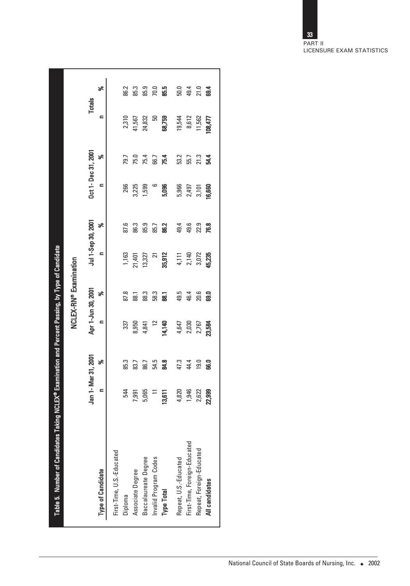|                              |                     |              |                    | NCLEX-RN® Examination |                             |      |                    |                      |                |                             |
|------------------------------|---------------------|--------------|--------------------|-----------------------|-----------------------------|------|--------------------|----------------------|----------------|-----------------------------|
|                              | Jan 1- Mar 31, 2001 |              | Apr 1-Jun 30, 2001 |                       | Jul 1-Sep 30, 2001          |      | Oct 1-Dec 31, 2001 |                      | <b>Totals</b>  |                             |
| <b>Type of Candidate</b>     | E                   | چ            | E                  | శ                     | E                           | శ    | E                  | چ                    | $\blacksquare$ | چ                           |
| First-Time, U.S.-Educated    |                     |              |                    |                       |                             |      |                    |                      |                |                             |
| Diploma                      | 544                 | 85.3         | 337                | 87.8                  | 1,163                       | 87.6 | 266                | 79.7                 | 2,310          | 86.2                        |
| Associate Degree             | 7,991               | 83.7         | 8,950              | 88.1                  | 21,401                      | 86.3 | 3,225              |                      | 11,567         | 85.3                        |
| Baccalaureate Degree         | 5,065               | 86.7<br>54.5 | 4,841              | 88.3                  | 13,327                      | 85.9 | 1,599              | 75.0<br>75.4<br>66.7 | 24,832         |                             |
| Invalid Program Codes        | $\equiv$            |              | 12                 | 58.3                  | $\overline{z}$              | 85.7 | $\circ$            |                      | 5              | 85.9<br>70.0<br><b>85.5</b> |
| <b>Type Total</b>            | 13,611              | 84.8         | 14,140             | <b>as:1</b>           | 35,912                      | 86.2 | 5,096              | 75.4                 | 68,759         |                             |
| Repeat, U.S.-Educated        | 4,820               |              |                    |                       |                             | 49.4 |                    |                      | 19,544         |                             |
| First-Time, Foreign-Educated | 1,946               | 47.3<br>44.4 | 4,647<br>2,030     | 49.5<br>46.4          | $4,111$<br>2, 140<br>3, 072 | 49.6 | 5,966<br>2,497     | 53.2<br>55.7         | 8,612          | 50 4<br>49 1<br>21 0        |
| Repeat, Foreign-Educated     | 2,622               | 19.0         | 2,767              | 20.6                  |                             | 22.9 | 3,101              | 21.3                 | 11,562         |                             |
| All candidates               | 22,999              | 66.0         | 23,584             | 69.0                  | 15,235                      | 76.8 | 16,660             |                      | 108,477        | 69.4                        |

#### 3 3 PART II LICENSURE EXAM STATISTICS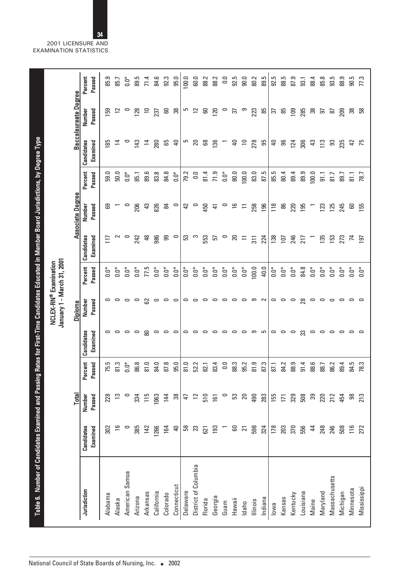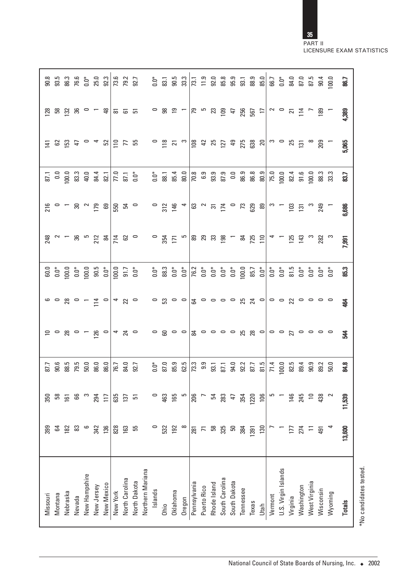|                                                                                                                                                                                                                                                                                                                     |          |        |               |            |            |          |                |              |                  |         |      |          |        |              |             |              |                |              |           |       |      |                                                                                                                                                                                                                                                                                                                                                                                        |                     |          |            |               |           |         | 86.7                                                |                        |
|---------------------------------------------------------------------------------------------------------------------------------------------------------------------------------------------------------------------------------------------------------------------------------------------------------------------|----------|--------|---------------|------------|------------|----------|----------------|--------------|------------------|---------|------|----------|--------|--------------|-------------|--------------|----------------|--------------|-----------|-------|------|----------------------------------------------------------------------------------------------------------------------------------------------------------------------------------------------------------------------------------------------------------------------------------------------------------------------------------------------------------------------------------------|---------------------|----------|------------|---------------|-----------|---------|-----------------------------------------------------|------------------------|
|                                                                                                                                                                                                                                                                                                                     |          |        |               |            |            |          |                |              |                  |         |      |          |        |              |             |              |                |              |           |       |      |                                                                                                                                                                                                                                                                                                                                                                                        |                     |          |            |               |           |         | 389                                                 |                        |
|                                                                                                                                                                                                                                                                                                                     |          |        |               |            |            |          |                |              |                  |         |      |          |        |              |             |              |                |              |           |       |      |                                                                                                                                                                                                                                                                                                                                                                                        |                     |          |            |               |           |         | 5,065                                               |                        |
|                                                                                                                                                                                                                                                                                                                     |          |        |               |            |            |          |                |              |                  |         |      |          |        |              |             |              |                |              |           |       |      |                                                                                                                                                                                                                                                                                                                                                                                        |                     |          |            |               |           |         | 83.7                                                |                        |
|                                                                                                                                                                                                                                                                                                                     |          |        |               |            |            |          |                |              |                  |         |      |          |        |              |             |              |                |              |           |       |      |                                                                                                                                                                                                                                                                                                                                                                                        |                     |          |            |               |           |         | 6,686                                               |                        |
| <sub>ᅉ</sub> ᇦᇬᆷᇮᇣᅌᅠᇯᇦᇬᇮᇮᇮᇰᇢᅌᅠᇾᇅᅌᆘᇰᇯᇯᇮᅌᅠᇕᅌᅠ<br>ᇴᅁᅙᄢᅌᅠᇯᇕᅌᅠᇯᇯ                                                                                                                                                                                                                                                         |          |        |               |            |            |          |                |              |                  |         |      |          |        |              |             |              |                |              |           |       |      |                                                                                                                                                                                                                                                                                                                                                                                        |                     |          |            |               |           |         | 59                                                  |                        |
|                                                                                                                                                                                                                                                                                                                     |          |        |               |            |            |          |                |              |                  |         |      |          |        |              |             |              |                |              |           |       |      |                                                                                                                                                                                                                                                                                                                                                                                        |                     |          |            |               |           |         | 85.3                                                |                        |
|                                                                                                                                                                                                                                                                                                                     |          |        |               |            |            |          |                |              |                  |         |      |          |        |              |             |              |                |              |           |       |      |                                                                                                                                                                                                                                                                                                                                                                                        |                     |          |            |               |           |         | \$                                                  |                        |
|                                                                                                                                                                                                                                                                                                                     |          |        |               |            |            |          |                |              |                  |         |      |          |        |              |             |              |                |              |           |       |      |                                                                                                                                                                                                                                                                                                                                                                                        |                     |          |            |               |           |         | £,                                                  |                        |
|                                                                                                                                                                                                                                                                                                                     |          |        |               |            |            |          |                |              |                  |         |      |          |        |              |             |              |                |              |           |       |      |                                                                                                                                                                                                                                                                                                                                                                                        |                     |          |            |               |           |         | 84.8                                                |                        |
|                                                                                                                                                                                                                                                                                                                     |          |        |               |            |            |          |                |              |                  |         |      |          |        |              |             |              |                |              |           |       |      | $\begin{array}{c} 0 & \frac{13}{4} & \frac{13}{4} & \frac{13}{4} & \frac{13}{4} & \frac{13}{4} & \frac{13}{4} & \frac{13}{4} & \frac{13}{4} & \frac{13}{4} & \frac{13}{4} & \frac{13}{4} & \frac{13}{4} & \frac{13}{4} & \frac{13}{4} & \frac{13}{4} & \frac{13}{4} & \frac{13}{4} & \frac{13}{4} & \frac{13}{4} & \frac{13}{4} & \frac{13}{4} & \frac{13}{4} & \frac{13}{4} & \frac{$ |                     |          |            |               |           |         | 11,539                                              |                        |
| $\frac{1}{2}$ $\frac{1}{2}$ $\frac{1}{2}$ $\frac{1}{2}$ $\frac{1}{2}$ $\frac{1}{2}$ $\frac{1}{2}$ $\frac{1}{2}$ $\frac{1}{2}$ $\frac{1}{2}$ $\frac{1}{2}$ $\frac{1}{2}$ $\frac{1}{2}$ $\frac{1}{2}$ $\frac{1}{2}$ $\frac{1}{2}$ $\frac{1}{2}$ $\frac{1}{2}$ $\frac{1}{2}$ $\frac{1}{2}$ $\frac{1}{2}$ $\frac{1}{2}$ |          |        |               |            |            |          |                |              |                  |         |      |          |        |              |             |              |                |              |           |       |      | $\frac{1}{2}$ $\frac{1}{2}$ $\frac{1}{2}$ $\frac{1}{2}$ $\frac{1}{2}$ $\frac{1}{2}$ $\frac{1}{2}$ $\frac{1}{2}$ $\frac{1}{2}$ $\frac{1}{2}$ $\frac{1}{2}$ $\frac{1}{2}$ $\frac{1}{2}$ $\frac{1}{2}$ $\frac{1}{2}$ $\frac{1}{2}$ $\frac{1}{2}$ $\frac{1}{2}$ $\frac{1}{2}$ $\frac{1}{2}$ $\frac{1}{2}$ $\frac{1}{2}$                                                                    |                     |          |            |               |           |         | 800<br>5                                            |                        |
| Montana<br>Missouri                                                                                                                                                                                                                                                                                                 | Nebraska | Nevada | New Hampshire | New Jersey | New Mexico | New York | North Carolina | North Dakota | Northern Mariana | Islands | Ohio | Oklahoma | Oregon | Pennsylvania | Puerto Rico | Rhode Island | South Carolina | South Dakota | Tennessee | Texas | Utah | Vermont                                                                                                                                                                                                                                                                                                                                                                                | U.S. Virgin Islands | Virginia | Washington | West Virginia | Wisconsin | Wyoming | <b>Totals</b>                                       | *No candidates tested. |
|                                                                                                                                                                                                                                                                                                                     |          |        |               |            |            |          |                |              |                  |         |      |          |        |              |             |              |                |              |           |       |      |                                                                                                                                                                                                                                                                                                                                                                                        |                     |          |            |               |           |         | National Council of State Boards of Nursing, Inc. + | 2002                   |

<sup>35</sup> PART II LICENSURE EXAM STATISTICS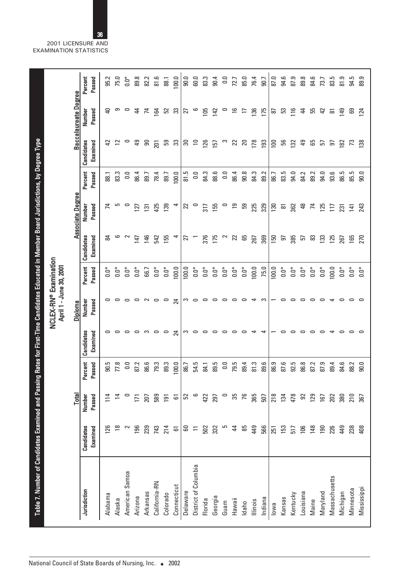| <b>Table 7. Number of Candidates</b> |                        |                  |                   |                        |                                                  |                   | Examined and Passing Rates for First-Time Candidates Educated in Member Board Jurisdictions, by Degree Type |                         |                   |                        |                             |                   |
|--------------------------------------|------------------------|------------------|-------------------|------------------------|--------------------------------------------------|-------------------|-------------------------------------------------------------------------------------------------------------|-------------------------|-------------------|------------------------|-----------------------------|-------------------|
|                                      |                        |                  |                   |                        | NCLEX-RN® Examination<br>April 1 - June 30, 2001 |                   |                                                                                                             |                         |                   |                        |                             |                   |
|                                      |                        | Total            |                   |                        | <b>Diploma</b>                                   |                   |                                                                                                             | <b>Associate Degree</b> |                   |                        | <b>Baccalaureate Degree</b> |                   |
| Jurisdiction                         | Candidates<br>Examined | Passed<br>Number | Percent<br>Passed | Candidates<br>Examined | Passed<br>Number                                 | Percent<br>Passed | Candidates<br>Examined                                                                                      | Number<br>Passed        | Percent<br>Passed | Candidates<br>Examined | Passed<br>Number            | Percent<br>Passed |
| Alabama                              | 126                    | 114              | 90.5              | $\circ$                | $\circ$                                          | $0.0*$            | ಹ                                                                                                           | 74                      | $\frac{1}{88}$    | 5,                     | ş                           | 95.2              |
| Alaska                               | $\approx$              | $\overline{1}$   | 77.8              | $\circ$                | $\circ$                                          | $0.0*$            | ڡ                                                                                                           | G                       | 83.3              | $\approx$              | ၜ                           | 75.0              |
| American Samoa                       | $\sim$                 | $\circ$          | 0.0               | $\circ$                | $\circ$                                          | $0.0*$            | $\sim$                                                                                                      | $\circ$                 | 0.0               |                        | $\Box$                      | $0.0*$            |
| Arizona                              | 96                     | Ξ                | 87.2              | $\circ$                | $\circ$                                          | $0.0*$            | 147                                                                                                         | <b>IZT</b>              | 86.4              | 49                     | $\ddot{4}$                  | 89.8              |
| Arkansas                             | 239                    | 207              | 86.6              | က                      | $\sim$                                           | 66.7              | 146                                                                                                         | $\overline{131}$        | 89.7              | 90                     | 74                          | 82.2              |
| California-RN                        | 743                    | 589              | 79.3              | $\circ$                | $\circ$                                          | $0.0*$            | 542                                                                                                         | 425                     | 78.4              | $\overline{201}$       | 164                         | 81.6              |
| Colorado                             | 214                    | $\overline{191}$ | 89.3              | $\circ$                | $\circ$                                          | $0.0*$            | 155                                                                                                         | 139                     | 89.7              | 59                     | 52                          | 88.1              |
| Connecticut                          | 5                      | డ                | 100.0             | $\overline{24}$        | 24                                               | 100.0             | 4                                                                                                           | 4                       | 100.0             | 33                     | ౢ                           | 100.0             |
| Delaware                             | GO                     | 52               | 86.7              | က                      | က                                                | 100.0             | 27                                                                                                          | 22                      | 81.5              | వె                     | 27                          | 90.0              |
| District of Columbia                 | Ξ                      | ڡ                | 54.5              | $\circ$                | $\circ$                                          | $0.0^\ast$        |                                                                                                             | $\circ$                 | $\overline{0.0}$  | $\overline{1}$         | $\circ$                     | 60.0              |
| Florida                              | 502                    | 422              | 84.1              | $\circ$                | $\circ$                                          | $0.0*$            | 376                                                                                                         | 317                     | 84.3              | <b>PZI</b>             | 105                         | 83.3              |
| Georgia                              | 332                    | 297              | 89.5              | $\circ$                | $\circ$                                          | $0.0*$            | 175                                                                                                         | 155                     | 88.6              | 157                    | 142                         | 90.4              |
| Guam                                 | G                      | $\circ$          | 0.0               | 0                      | $\circ$                                          | $0.0*$            | $\sim$                                                                                                      |                         | 0.0               | S                      | $\circ$                     | 0.0               |
| Hawaii                               | 4                      | 35               | 79.5              | $\circ$                | $\circ$                                          | $0.0*$            | 22                                                                                                          | $\overline{19}$         | 86.4              | 22                     | $\frac{6}{2}$               | 72.7              |
| Idaho                                | 85                     | 76               | 89.4              | $\circ$                | $\circ$                                          | $0.0^\ast$        | 65                                                                                                          | 59                      | 90.8              | 20                     | F                           | 85.0              |
| lllinois                             | 449                    | 365              | 81.3              | ᆉ                      | 4                                                | 100.0             | 267                                                                                                         | 225                     | 84.3              | 178                    | 136                         | 76.4              |
| Indiana                              | 566                    | 507              | 89.6              | ⇉                      | က                                                | 75.0              | 369                                                                                                         | 329                     | 89.2              | 193                    | 175                         | 90.7              |
| lowa                                 | 251                    | 218              | 86.9              |                        |                                                  | 100.0             | 150                                                                                                         | 130                     | 86.7              | $\Xi$                  | 55                          | 87.0              |
| Kansas                               | <b>I53</b>             | 134              | 87.6              | 0                      | 0                                                | $0.0*$            | 67                                                                                                          | ౚ                       | 83.5              | 56                     | 53                          | 94.6              |
| Kentucky                             | 517                    | 478              | 92.5              | 0                      | 0                                                | $0.0*$            | 385                                                                                                         | 362                     | 94.0              | 132                    | 116                         | 87.9              |
| Louisiana                            | 106                    | 92               | 86.8              | $\circ$                | 0                                                | $0.0^\ast$        | 57                                                                                                          | 48                      | 84.2              | 49                     | $\overline{4}$              | 89.8              |
| Maine                                | 148                    | 129              | 87.2              | $\circ$                | $\circ$                                          | $0.0*$            | 83                                                                                                          | $\overline{7}$          | 89.2              | 65                     | 55                          | 84.6              |
| Maryland                             | $\overline{5}$         | 167              | 87.9              | $\circ$                | $\circ$                                          | $0.0*$            | 133                                                                                                         | 125                     | 94.0              | 57                     | 42                          | 73.7              |
| Massachusetts                        | 226                    | 202              | 89.4              | 4                      | 4                                                | 100.0             | 125                                                                                                         | $\equiv$                | 93.6              | 57                     | ౚ                           | 83.5              |
| Michigan                             | 449                    | 380              | 84.6              | $\circ$                | 0                                                | $0.0*$            | 267                                                                                                         | 231                     | 86.5              | 182                    | 149                         | 81.9              |
| Minnesota                            | 238                    | 210              | 88.2              | 0                      | 0                                                | $0.0*$            | 165                                                                                                         | $\overline{141}$        | 85.5              | 73                     | 69                          | 94.5              |
| Mississippi                          | 408                    | 367              | 90.0              | $\circ$                | $\circ$                                          | $0.0*$            | 270                                                                                                         | 243                     | 90.0              | 138                    | 124                         | بە<br>89.         |

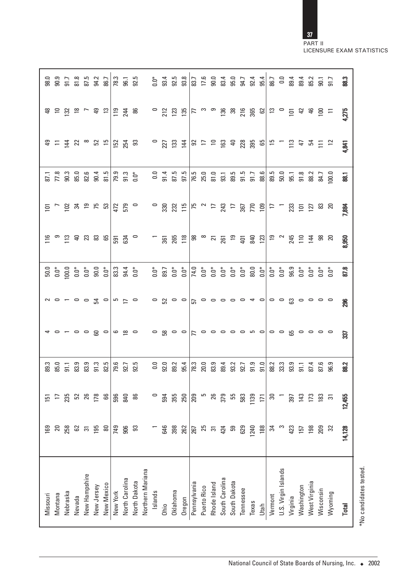|          |         |          |        |               |            |                        |          |                      |                                                                                                                                                                                                                                                                                                                                                                                      |                  |         |      |          |        |              |             |              |                |              |           |       |      |                                                                                                                                                                                                                                                                                                                                                                          |                     |                                     |            |               |           |         | 88.3                                                |                        |
|----------|---------|----------|--------|---------------|------------|------------------------|----------|----------------------|--------------------------------------------------------------------------------------------------------------------------------------------------------------------------------------------------------------------------------------------------------------------------------------------------------------------------------------------------------------------------------------|------------------|---------|------|----------|--------|--------------|-------------|--------------|----------------|--------------|-----------|-------|------|--------------------------------------------------------------------------------------------------------------------------------------------------------------------------------------------------------------------------------------------------------------------------------------------------------------------------------------------------------------------------|---------------------|-------------------------------------|------------|---------------|-----------|---------|-----------------------------------------------------|------------------------|
|          |         |          |        |               |            |                        |          |                      |                                                                                                                                                                                                                                                                                                                                                                                      |                  |         |      |          |        |              |             |              |                |              |           |       |      |                                                                                                                                                                                                                                                                                                                                                                          |                     |                                     |            |               |           |         | 275                                                 |                        |
|          |         |          |        |               |            |                        |          |                      |                                                                                                                                                                                                                                                                                                                                                                                      |                  |         |      |          |        |              |             |              |                |              |           |       |      |                                                                                                                                                                                                                                                                                                                                                                          |                     |                                     |            |               |           |         | 1,841                                               |                        |
|          |         |          |        |               |            |                        |          |                      | $\frac{1}{6}$ $\frac{2}{3}$ $\frac{2}{3}$ $\frac{3}{6}$ $\frac{3}{6}$ $\frac{3}{6}$ $\frac{3}{6}$ $\frac{4}{6}$ $\frac{5}{6}$ $\frac{1}{6}$ $\frac{3}{6}$ $\frac{3}{6}$ $\frac{3}{6}$ $\frac{4}{6}$ $\frac{5}{6}$ $\frac{1}{6}$ $\frac{3}{6}$ $\frac{3}{6}$ $\frac{4}{6}$ $\frac{5}{6}$ $\frac{1}{6}$ $\frac{3}{6}$                                                                  |                  |         |      |          |        |              |             |              |                |              |           |       |      |                                                                                                                                                                                                                                                                                                                                                                          |                     |                                     |            |               |           |         | 88                                                  |                        |
|          |         |          |        |               |            |                        |          |                      |                                                                                                                                                                                                                                                                                                                                                                                      |                  |         |      |          |        |              |             |              |                |              |           |       |      | $\overline{5}$ , $\overline{5}$ $\overline{2}$ $\overline{3}$ $\overline{4}$ $\overline{5}$ $\overline{5}$ , $\overline{2}$ , $\overline{2}$ $\overline{3}$ $\overline{4}$ , $\overline{5}$ $\overline{2}$ , $\overline{2}$ $\overline{3}$ $\overline{4}$ , $\overline{5}$ $\overline{2}$ , $\overline{2}$ $\overline{3}$ , $\overline{2}$ $\overline{4}$ , $\overline{$ |                     |                                     |            |               |           |         | 7,884                                               |                        |
|          |         |          |        |               |            |                        |          |                      |                                                                                                                                                                                                                                                                                                                                                                                      |                  |         |      |          |        |              |             |              |                |              |           |       |      |                                                                                                                                                                                                                                                                                                                                                                          |                     |                                     |            |               |           |         | 8,950                                               |                        |
|          |         |          |        |               |            |                        |          |                      |                                                                                                                                                                                                                                                                                                                                                                                      |                  |         |      |          |        |              |             |              |                |              |           |       |      |                                                                                                                                                                                                                                                                                                                                                                          |                     |                                     |            |               |           |         | 87.8                                                |                        |
|          |         |          |        |               |            |                        |          |                      |                                                                                                                                                                                                                                                                                                                                                                                      |                  |         |      |          |        |              |             |              |                |              |           |       |      |                                                                                                                                                                                                                                                                                                                                                                          |                     |                                     |            |               |           |         | 8                                                   |                        |
|          |         |          |        |               |            |                        |          |                      |                                                                                                                                                                                                                                                                                                                                                                                      |                  |         |      |          |        |              |             |              |                |              |           |       |      |                                                                                                                                                                                                                                                                                                                                                                          |                     |                                     |            |               |           |         | 37                                                  |                        |
|          |         |          |        |               |            | 8<br>8 8 5 8 8 9 5 8 9 |          | 79.6<br>92.7<br>92.5 |                                                                                                                                                                                                                                                                                                                                                                                      |                  |         |      |          |        |              |             |              |                |              |           |       |      |                                                                                                                                                                                                                                                                                                                                                                          |                     | 8<br>8 3 3 5 5 6 9<br>8 9 9 5 6 6 9 |            |               |           |         | N<br>88                                             |                        |
|          |         |          |        |               |            |                        |          |                      | $\overline{15}$ $\overline{2}$ $\overline{5}$ $\overline{8}$ $\overline{8}$ $\overline{8}$ $\overline{8}$ $\overline{8}$ $\overline{8}$ $\overline{8}$ $\overline{8}$ $\overline{8}$ $\overline{8}$ $\overline{8}$ $\overline{8}$ $\overline{8}$ $\overline{8}$ $\overline{8}$ $\overline{8}$ $\overline{8}$ $\overline{8}$ $\overline{8}$ $\overline{8}$ $\overline{8}$ $\overline$ |                  |         |      |          |        |              |             |              |                |              |           |       |      | $\begin{array}{r}\n0 & 2 & 3 \\ 0 & 0 & 3\n\end{array}$                                                                                                                                                                                                                                                                                                                  |                     |                                     |            |               |           |         | 12,455                                              |                        |
|          |         |          |        |               |            |                        |          |                      |                                                                                                                                                                                                                                                                                                                                                                                      |                  |         |      |          |        |              |             |              |                |              |           |       |      |                                                                                                                                                                                                                                                                                                                                                                          |                     |                                     |            |               |           |         | 128                                                 |                        |
| Missouri | Montana | Nebraska | Nevada | New Hampshire | New Jersey | New Mexico             | New York | North Carolina       | North Dakota                                                                                                                                                                                                                                                                                                                                                                         | Northern Mariana | Islands | Ohio | Oklahoma | Oregon | Pennsylvania | Puerto Rico | Rhode Island | South Carolina | South Dakota | Tennessee | Texas | Utah | Vermont                                                                                                                                                                                                                                                                                                                                                                  | U.S. Virgin Islands | Virginia                            | Washington | West Virginia | Wisconsin | Wyoming | Total                                               | *No candidates tested. |
|          |         |          |        |               |            |                        |          |                      |                                                                                                                                                                                                                                                                                                                                                                                      |                  |         |      |          |        |              |             |              |                |              |           |       |      |                                                                                                                                                                                                                                                                                                                                                                          |                     |                                     |            |               |           |         | National Council of State Boards of Nursing, Inc. + | 2002                   |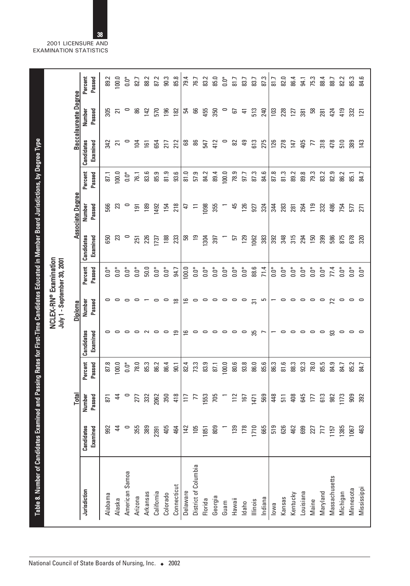| Table 8. Number of Candidate |                        |                  |                   |                        |                                                      |                   | s Examined and Passing Rates for First-Time Candidates Educated in Member Board Jurisdictions, by Degree Type |                         |                   |                        |                             |                   |
|------------------------------|------------------------|------------------|-------------------|------------------------|------------------------------------------------------|-------------------|---------------------------------------------------------------------------------------------------------------|-------------------------|-------------------|------------------------|-----------------------------|-------------------|
|                              |                        |                  |                   |                        | NCLEX-RN® Examination<br>July 1 - September 30, 2001 |                   |                                                                                                               |                         |                   |                        |                             |                   |
|                              |                        | Total            |                   |                        | <b>Diploma</b>                                       |                   |                                                                                                               | <b>Associate Degree</b> |                   |                        | <b>Baccalaureate Degree</b> |                   |
| Jurisdiction                 | Candidates<br>Examined | Passed<br>Number | Passed<br>Percent | Candidates<br>Examined | Passed<br>Number                                     | Percent<br>Passed | Candidates<br>Examined                                                                                        | Passed<br>Number        | Passed<br>Percent | Candidates<br>Examined | Passed<br>Number            | Percent<br>Passed |
| Alabama                      | 992                    | $\overline{5}$   | 87.8              |                        |                                                      | $0.0*$            | 650                                                                                                           | 566                     | $\overline{5}$    | 342                    | 305                         | 89.2              |
| Alaska                       | 4                      | 44               | 00.0              |                        | 0                                                    | $0.0*$            | 23                                                                                                            | 23                      | 00.0              | $\overline{z}$         | $\overline{z}$              | 100.0             |
| American Samoa               |                        |                  | $0.0*$            | $\circ$                | 0                                                    | $0.0^\ast$        |                                                                                                               |                         | $0.0*$            |                        | $\circ$                     | $0.0*$            |
| Arizona                      | 355                    | 277              | 78.0              | $\circ$                | $\circ$                                              | $0.0*$            | 251                                                                                                           | $\overline{9}$          | Ż.                | $\overline{5}$         | 86                          | 82.7              |
| Arkansas                     | 389                    | 332              | 85.3              |                        |                                                      | 50.0              | 226                                                                                                           | 189                     | 83.6              | $\overline{161}$       | 142                         | 88.2              |
| California                   | 2391                   | 2062             | 86.2              | 0                      | 0                                                    | $0.0*$            | 737                                                                                                           | 1492                    | 85.9              | 654                    | 570                         | 87.2              |
| Colorado                     | 405                    | 350              | 86.4              | 0                      | 0                                                    | $0.0*$            | 188                                                                                                           | 154                     | 81.9              | 217                    | 196                         | 90.3              |
| Connecticut                  | 464                    | 418              | 50.1              | ၜ                      | $\infty$                                             | 94.7              | 233                                                                                                           | 218                     | 93.6              | 212                    | 182                         | 85.8              |
| Delaware                     | 142                    | $\overline{11}$  | 82.4              | ڡ                      | ڡ                                                    | 100.0             | 58                                                                                                            | 47                      | 81.0              | 68                     | 54                          | 79.4              |
| District of Columbia         | 105                    | F                | 73.3              | $\circ$                | $\circ$                                              | $0.0*$            | $\overline{19}$                                                                                               | Ξ                       | 57.9              | 86                     | 66                          | 76.7              |
| Florida                      | 651                    | 553              | 83.9              |                        | $\circ$                                              | $0.0*$            | 304                                                                                                           | 1098                    | 84.2              | 547                    | 455                         | 83.2              |
| Georgia                      | 809                    | 705              | 87.1              | 0                      | $\circ$                                              | $0.0*$            | 397                                                                                                           | 355                     | 89.4              | 412                    | 350                         | 85.0              |
| Guam                         |                        |                  | 100.0             | 0                      | $\circ$                                              | $0.0*$            |                                                                                                               |                         | 100.0             | $\circ$                | $\circ$                     | $0.0*$            |
| Hawaii                       | 139                    | 112              | 80.6              | $\circ$                | $\circ$                                              | $0.0*$            | 57                                                                                                            | 45                      | 78.9              | 82                     | 67                          | 81.7              |
| Idaho                        | 178                    | 167              | 93.8              | $\circ$                | $\circ$                                              | $0.0^\ast$        | 129                                                                                                           | 126                     | 97.7              | 49                     | $\overline{4}$              | 83.7              |
| <b>Illinois</b>              | <b>1710</b>            | 1471             | 86.0              | 35                     | స్                                                   | 88.6              | 1062                                                                                                          | 927                     | 87.3              | 613                    | 513                         | 83.7              |
| Indiana                      | 665                    | 569              | 85.6              | $\overline{ }$         | G                                                    | 71.4              | 383                                                                                                           | 324                     | 84.6              | 275                    | 240                         | 87.3              |
| lowa                         | 519                    | 448              | 86.3              |                        |                                                      | $0.0*$            | 392                                                                                                           | 344                     | 87.8              | 126                    | 103                         | 81.7              |
| Kansas                       | 626                    | 511              | 81.6              | 0                      | $\circ$                                              | $0.0^\ast$        | 348                                                                                                           | 283                     | 81.3              | 278                    | 228                         | 82.0              |
| Kentucky                     | 462                    | 408              | 88.3              | $\circ$                | $\circ$                                              | $0.0^\ast$        | 315                                                                                                           | 281                     | 89.2              | 147                    | 127                         | 86.4              |
| Louisiana                    | 699                    | 645              | 92.3              | $\circ$                | $\circ$                                              | $0.0\,^*$         | 294                                                                                                           | 264                     | 89.8              | 405                    | $\overline{381}$            | 94.1              |
| Maine                        | 227                    | IЦ               | 78.0              | $\circ$                | $\circ$                                              | $0.0^\ast$        | 150                                                                                                           | 119                     | 79.3              | 77                     | 58                          | 75.3              |
| Maryland                     | 717                    | 613              | 85.5              | $\circ$                | $\circ$                                              | $0.0*$            | 399                                                                                                           | 332                     | 83.2              | 318                    | 281                         | 88.4              |
| Massachusetts                | 157                    | <b>982</b>       | 84.9              | 93                     | $\mathbb{Z}$                                         | 77.4              | 586                                                                                                           | 486                     | 82.9              | 478                    | 424                         | 88.7              |
| Michigan                     | 1385                   | <b>173</b>       | 84.7              | $\circ$                | $\circ$                                              | $0.0*$            | 875                                                                                                           | 754                     | 86.2              | 510                    | 419                         | 82.2              |
| Minnesota                    | 1067                   | 909              | 85.2              | $\circ$                | $\circ$                                              | $0.0*$            | 678                                                                                                           | 57                      | $\overline{85}$   | 389                    | 332                         | 85.3              |
| Mississippi                  | 463                    | 392              | 84.7              | $\circ$                | $\circ$                                              | $0.0*$            | 320                                                                                                           | 271                     | 84.7              | 143                    | 121                         | 84.6              |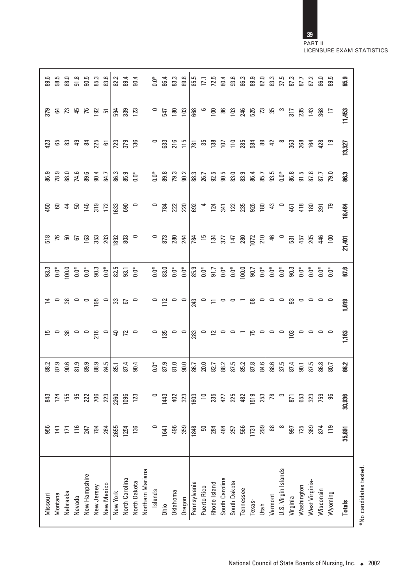| 89.6                                                                                                                                                                                                                                                                                                                  |          |        |               |            |            |          | $\begin{array}{cc}\n 2.2 \\  2.5 \\  3.6 \\  4\n \end{array}$ |                      |                  |         |      |                                                                                                                                                                                                                                                                                                                     |        |              |             |              |                |              |           |        |      |         |                     | 83.3<br>57.5<br>57.7<br>57.2 |            |                | 86.0                          | 39.5    | 85.9          |                                                          |
|-----------------------------------------------------------------------------------------------------------------------------------------------------------------------------------------------------------------------------------------------------------------------------------------------------------------------|----------|--------|---------------|------------|------------|----------|---------------------------------------------------------------|----------------------|------------------|---------|------|---------------------------------------------------------------------------------------------------------------------------------------------------------------------------------------------------------------------------------------------------------------------------------------------------------------------|--------|--------------|-------------|--------------|----------------|--------------|-----------|--------|------|---------|---------------------|------------------------------|------------|----------------|-------------------------------|---------|---------------|----------------------------------------------------------|
| <u>និ ទុ ដ ៩ ៩ ទុ ចុន្ទ្រី ខ្ល</u><br>ដំបូង នេ                                                                                                                                                                                                                                                                        |          |        |               |            |            |          |                                                               |                      |                  |         |      |                                                                                                                                                                                                                                                                                                                     |        |              |             |              |                |              |           |        |      |         |                     |                              |            |                |                               |         | 11,453        |                                                          |
|                                                                                                                                                                                                                                                                                                                       |          |        |               |            |            |          |                                                               |                      |                  |         |      |                                                                                                                                                                                                                                                                                                                     |        |              |             |              |                |              |           |        |      |         |                     |                              |            |                |                               |         | 13,327        |                                                          |
|                                                                                                                                                                                                                                                                                                                       |          |        |               |            |            |          |                                                               | 86.3<br>85.9<br>0.0* |                  |         |      |                                                                                                                                                                                                                                                                                                                     |        |              |             |              |                |              |           |        |      |         |                     |                              |            |                | 87.7<br>79.0                  |         | 86.3          |                                                          |
| $\frac{15}{2}$ $\frac{6}{2}$ $\frac{4}{2}$ $\frac{15}{2}$ $\frac{15}{2}$ $\frac{10}{2}$ $\frac{30}{2}$ $\frac{30}{2}$ $\frac{1}{2}$                                                                                                                                                                                   |          |        |               |            |            |          |                                                               |                      |                  |         |      | $\frac{1}{2}$ $\frac{1}{2}$ $\frac{1}{2}$ $\frac{1}{2}$ $\frac{1}{2}$ $\frac{1}{2}$ $\frac{1}{2}$ $\frac{1}{2}$ $\frac{1}{2}$ $\frac{1}{2}$ $\frac{1}{2}$ $\frac{1}{2}$ $\frac{1}{2}$ $\frac{1}{2}$ $\frac{1}{2}$ $\frac{1}{2}$ $\frac{1}{2}$ $\frac{1}{2}$ $\frac{1}{2}$ $\frac{1}{2}$ $\frac{1}{2}$ $\frac{1}{2}$ |        |              |             |              |                |              |           |        |      |         |                     |                              |            |                | $30 - 52 = 52$                |         | 18,464        |                                                          |
|                                                                                                                                                                                                                                                                                                                       |          |        |               |            |            |          |                                                               |                      |                  |         |      |                                                                                                                                                                                                                                                                                                                     |        |              |             |              |                |              |           |        |      |         |                     |                              |            |                |                               |         | 21,401        |                                                          |
| $3.3$ $\frac{3}{2}$ $\frac{1}{2}$ $\frac{1}{6}$ $\frac{1}{2}$ $\frac{1}{6}$ $\frac{1}{3}$ $\frac{1}{6}$ $\frac{1}{3}$ $\frac{1}{6}$ $\frac{1}{3}$ $\frac{1}{6}$ $\frac{1}{3}$ $\frac{1}{6}$ $\frac{1}{6}$ $\frac{1}{3}$ $\frac{1}{6}$ $\frac{1}{6}$ $\frac{1}{6}$ $\frac{1}{6}$ $\frac{1}{6}$ $\frac{1}{6}$ $\frac{1$ |          |        |               |            |            |          |                                                               |                      |                  |         |      |                                                                                                                                                                                                                                                                                                                     |        |              |             |              |                |              |           |        |      |         |                     |                              |            |                |                               |         | 87.6          |                                                          |
|                                                                                                                                                                                                                                                                                                                       |          |        |               |            |            |          |                                                               |                      |                  |         |      |                                                                                                                                                                                                                                                                                                                     |        |              |             |              |                |              |           |        |      |         |                     |                              |            |                |                               |         | 1,019         |                                                          |
|                                                                                                                                                                                                                                                                                                                       |          |        |               |            |            |          |                                                               |                      |                  |         |      |                                                                                                                                                                                                                                                                                                                     |        |              |             |              |                |              |           |        |      |         |                     |                              |            |                |                               |         | 1,163         |                                                          |
| 2<br>82 52 62 62 62 62<br>82 62 62 62 62 63                                                                                                                                                                                                                                                                           |          |        |               |            |            |          | 85.1<br>87.4<br>90.4                                          |                      |                  |         |      | $0.08$<br>$87.9$<br>$81.0$<br>$80.0$                                                                                                                                                                                                                                                                                |        |              |             |              |                |              |           |        |      |         |                     |                              |            |                | 88.5<br>57.5<br>57.5<br>58.68 | 80.7    | 86.2          |                                                          |
| $\frac{33}{22}$ $\frac{35}{22}$ $\frac{35}{22}$ $\frac{35}{22}$ $\frac{35}{22}$ $\frac{35}{22}$ $\frac{35}{22}$ $\frac{35}{22}$ $\frac{35}{22}$ $\frac{35}{22}$ $\frac{35}{22}$ $\frac{35}{22}$ $\frac{35}{22}$ $\frac{35}{22}$ $\frac{35}{22}$ $\frac{35}{22}$ $\frac{35}{22}$ $\frac{35}{22}$ $\frac{3$             |          |        |               |            |            |          |                                                               |                      |                  |         |      | $\begin{array}{c} 0.676 & 0.676 \\ 0.676 & 0.676 \\ 0.676 & 0.676 \\ 0.676 & 0.676 \\ 0.676 & 0.676 \\ 0.676 & 0.676 \\ 0.676 & 0.676 \\ 0.676 & 0.676 \\ 0.676 & 0.676 \\ 0.676 & 0.676 \\ 0.676 & 0.676 \\ 0.676 & 0.676 \\ 0.676 & 0.676 \\ 0.676 & 0.676 \\ 0.676 & 0.676 \\ 0.$                                |        |              |             |              |                |              |           |        |      |         |                     |                              |            |                |                               |         | 30,936        |                                                          |
|                                                                                                                                                                                                                                                                                                                       |          |        |               |            |            |          |                                                               |                      |                  |         |      | $\frac{1}{2}$ $\frac{1}{3}$ $\frac{1}{3}$ $\frac{1}{3}$ $\frac{1}{3}$ $\frac{1}{3}$ $\frac{1}{3}$ $\frac{1}{3}$ $\frac{1}{3}$ $\frac{1}{3}$ $\frac{1}{3}$ $\frac{1}{3}$ $\frac{1}{3}$ $\frac{1}{3}$ $\frac{1}{3}$ $\frac{1}{3}$ $\frac{1}{3}$ $\frac{1}{3}$ $\frac{1}{3}$ $\frac{1}{3}$ $\frac{1}{3}$ $\frac{1}{3}$ |        |              |             |              |                |              |           |        |      |         |                     |                              |            |                |                               |         | ଛି<br>န       |                                                          |
| Montana<br>Missouri                                                                                                                                                                                                                                                                                                   | Nebraska | Nevada | New Hampshire | New Jersey | New Mexico | New York | North Carolina                                                | North Dakota         | Northern Mariana | Islands | Ohio | Oklahoma                                                                                                                                                                                                                                                                                                            | Oregon | Pennsylvania | Puerto Rico | Rhode Island | South Carolina | South Dakota | Tennessee | Texas- | Utah | Vermont | U.S. Virgin Islands | Virginia                     | Washington | West Virginia- | Wisconsin                     | Wyoming | <b>Totals</b> | *No candidates tested.                                   |
|                                                                                                                                                                                                                                                                                                                       |          |        |               |            |            |          |                                                               |                      |                  |         |      |                                                                                                                                                                                                                                                                                                                     |        |              |             |              |                |              |           |        |      |         |                     |                              |            |                |                               |         |               | National Council of State Boards of Nursing, Inc. • 2002 |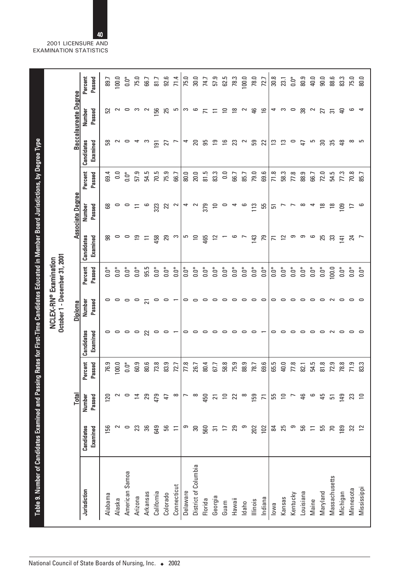| 60.9<br>80.6<br>73.8<br>83.9<br>80.4<br>58.8<br>75.9<br>88.9<br>69.6<br>65.5<br>77.8<br>54.5<br>81.8<br>72.9<br>83.3<br>Percent<br>76.9<br>77.8<br>40.0<br>78.8<br>71.9<br>Passed<br>0.0<br>$0.0*$<br>26.7<br>67.7<br>78.7<br>72.7<br>82.1<br>Total<br>$\overline{1}$<br>$\infty$<br><b>I59</b><br>55<br>$\overline{10}$<br>46<br>ڡ<br>45<br>$\frac{9}{4}$<br>Passed<br>$\sim$<br>$\circ$<br>$\overline{4}$<br>29<br>479<br>$\infty$<br>$\infty$<br>450<br>22<br>23<br>$\overline{1}$<br>$\overline{20}$<br>47<br>21<br>$\overline{ }$<br>Number<br>$\overline{r}$<br>으<br>649<br>84<br>25<br>99<br>189<br>Candidates<br>Examined<br>156<br>$\sim$<br>$\circ$<br>23<br>36<br>56<br>တ<br>30<br>560<br>29<br><b>ာ</b><br>202<br>102<br>တ<br>55<br>70<br>32<br>$\overline{c}$<br>H<br>Ξ<br>Ξ<br>5<br>District of Columbia<br>American Samoa<br>Massachusetts<br>Connecticut<br>Mississippi<br>Minnesota<br>Jurisdiction<br>Delaware<br>Maryland<br>Arkansas<br>California<br>Louisiana<br>Michigan<br>Colorado<br>Kentucky<br>Alabama<br>Arizona<br>Georgia<br>Kansas<br>Indiana<br>Alaska<br>Florida<br>Hawaii<br>Maine<br><b>Illinois</b><br>Guam<br>Idaho<br>lowa | Table 9. Number of Candidates |  |                        |                                                        |                   |                        |                         |                   |                        |                             |                   |
|-------------------------------------------------------------------------------------------------------------------------------------------------------------------------------------------------------------------------------------------------------------------------------------------------------------------------------------------------------------------------------------------------------------------------------------------------------------------------------------------------------------------------------------------------------------------------------------------------------------------------------------------------------------------------------------------------------------------------------------------------------------------------------------------------------------------------------------------------------------------------------------------------------------------------------------------------------------------------------------------------------------------------------------------------------------------------------------------------------------------------------------------------------------------|-------------------------------|--|------------------------|--------------------------------------------------------|-------------------|------------------------|-------------------------|-------------------|------------------------|-----------------------------|-------------------|
|                                                                                                                                                                                                                                                                                                                                                                                                                                                                                                                                                                                                                                                                                                                                                                                                                                                                                                                                                                                                                                                                                                                                                                   |                               |  |                        | October 1 - December 31, 2001<br>NCLEX-RN® Examination |                   |                        |                         |                   |                        |                             |                   |
|                                                                                                                                                                                                                                                                                                                                                                                                                                                                                                                                                                                                                                                                                                                                                                                                                                                                                                                                                                                                                                                                                                                                                                   |                               |  |                        | <b>Diploma</b>                                         |                   |                        | <b>Associate Degree</b> |                   |                        | <b>Baccalaureate Degree</b> |                   |
|                                                                                                                                                                                                                                                                                                                                                                                                                                                                                                                                                                                                                                                                                                                                                                                                                                                                                                                                                                                                                                                                                                                                                                   |                               |  | Examined<br>Candidates | Passed<br>Number                                       | Percent<br>Passed | Candidates<br>Examined | Number<br>Passed        | Percent<br>Passed | Candidates<br>Examined | Number<br>Passed            | Percent<br>Passed |
|                                                                                                                                                                                                                                                                                                                                                                                                                                                                                                                                                                                                                                                                                                                                                                                                                                                                                                                                                                                                                                                                                                                                                                   |                               |  | $\circ$                | 0                                                      | $0.0*$            | ജ                      | 8                       | 69.4              | 38                     | 52                          | 89.7              |
|                                                                                                                                                                                                                                                                                                                                                                                                                                                                                                                                                                                                                                                                                                                                                                                                                                                                                                                                                                                                                                                                                                                                                                   |                               |  | $\circ$                | $\circ$                                                | $0.0*$            | $\circ$                | $\circ$                 | 0.0               | $\sim$                 | $\sim$                      | 0.0               |
|                                                                                                                                                                                                                                                                                                                                                                                                                                                                                                                                                                                                                                                                                                                                                                                                                                                                                                                                                                                                                                                                                                                                                                   |                               |  | $\circ$                | $\circ$                                                | $0.0*$            |                        | $\circ$                 | $0.0*$            | $\circ$                | $\circ$                     | $0.0*$            |
|                                                                                                                                                                                                                                                                                                                                                                                                                                                                                                                                                                                                                                                                                                                                                                                                                                                                                                                                                                                                                                                                                                                                                                   |                               |  | $\circ$                | 0                                                      | $0.0*$            | ာ                      |                         | 57.9              | 4                      | က                           | 75.0              |
|                                                                                                                                                                                                                                                                                                                                                                                                                                                                                                                                                                                                                                                                                                                                                                                                                                                                                                                                                                                                                                                                                                                                                                   |                               |  | 22                     |                                                        | 95.5              | ニ                      | ڡ                       | 54.5              | က                      | $\sim$                      | 66.7              |
|                                                                                                                                                                                                                                                                                                                                                                                                                                                                                                                                                                                                                                                                                                                                                                                                                                                                                                                                                                                                                                                                                                                                                                   |                               |  | 0                      | 0                                                      | $0.0*$            | 458                    | 323                     | 70.5              | $\overline{9}1$        | <b>156</b>                  | 81.7              |
|                                                                                                                                                                                                                                                                                                                                                                                                                                                                                                                                                                                                                                                                                                                                                                                                                                                                                                                                                                                                                                                                                                                                                                   |                               |  | 0                      | 0                                                      | $0.0^\ast$        | 29                     | 22                      | 75.9              | 27                     | 25                          | 92.6              |
|                                                                                                                                                                                                                                                                                                                                                                                                                                                                                                                                                                                                                                                                                                                                                                                                                                                                                                                                                                                                                                                                                                                                                                   |                               |  |                        |                                                        | $0.0^\ast$        | S                      | $\sim$                  | 66.7              |                        | G                           | 71.4              |
|                                                                                                                                                                                                                                                                                                                                                                                                                                                                                                                                                                                                                                                                                                                                                                                                                                                                                                                                                                                                                                                                                                                                                                   |                               |  | 0                      | 0                                                      | $0.0*$            | G                      | 4                       | 80.0              | 4                      | S                           | 75.0              |
|                                                                                                                                                                                                                                                                                                                                                                                                                                                                                                                                                                                                                                                                                                                                                                                                                                                                                                                                                                                                                                                                                                                                                                   |                               |  |                        |                                                        | $0.0^\ast$        | $\approx$              | $\sim$                  | 20.0              | 20                     | G                           | 30.0              |
|                                                                                                                                                                                                                                                                                                                                                                                                                                                                                                                                                                                                                                                                                                                                                                                                                                                                                                                                                                                                                                                                                                                                                                   |                               |  |                        |                                                        | $0.0^\ast$        | 465                    | 379                     | 81.5              | 95                     |                             | 74.7              |
|                                                                                                                                                                                                                                                                                                                                                                                                                                                                                                                                                                                                                                                                                                                                                                                                                                                                                                                                                                                                                                                                                                                                                                   |                               |  |                        |                                                        | $0.0*$            | $\approx$              | $\approx$               | 83.3              | ഇ                      |                             | 57.9              |
|                                                                                                                                                                                                                                                                                                                                                                                                                                                                                                                                                                                                                                                                                                                                                                                                                                                                                                                                                                                                                                                                                                                                                                   |                               |  |                        |                                                        | $0.0^\ast$        |                        | $\circ$                 | $\overline{0}$ .  | $\frac{6}{5}$          | $\approx$                   | 62.5              |
|                                                                                                                                                                                                                                                                                                                                                                                                                                                                                                                                                                                                                                                                                                                                                                                                                                                                                                                                                                                                                                                                                                                                                                   |                               |  |                        |                                                        | $0.0^\ast$        | ڡ                      | 4                       | 66.7              | 23                     | ≌                           | 78.3              |
|                                                                                                                                                                                                                                                                                                                                                                                                                                                                                                                                                                                                                                                                                                                                                                                                                                                                                                                                                                                                                                                                                                                                                                   |                               |  |                        | $\circ$                                                | $0.0^\ast$        | $\overline{ }$         | ڡ                       | 85.7              | $\sim$                 | $\sim$                      | 100.0             |
|                                                                                                                                                                                                                                                                                                                                                                                                                                                                                                                                                                                                                                                                                                                                                                                                                                                                                                                                                                                                                                                                                                                                                                   |                               |  |                        | 0                                                      | $0.0^\ast$        | 143                    | $\frac{3}{11}$          | 79.0              | 59                     | 46                          | 78.0              |
|                                                                                                                                                                                                                                                                                                                                                                                                                                                                                                                                                                                                                                                                                                                                                                                                                                                                                                                                                                                                                                                                                                                                                                   |                               |  |                        | $\circ$                                                | $0.0^\ast$        | 79                     | 55                      | 69.6              | 22                     | $\frac{6}{2}$               | 72.7              |
|                                                                                                                                                                                                                                                                                                                                                                                                                                                                                                                                                                                                                                                                                                                                                                                                                                                                                                                                                                                                                                                                                                                                                                   |                               |  |                        | 0                                                      | $0.0*$            | $\overline{2}$         | 고                       | 71.8              | $\tilde{c}$            | 4                           | 30.8              |
|                                                                                                                                                                                                                                                                                                                                                                                                                                                                                                                                                                                                                                                                                                                                                                                                                                                                                                                                                                                                                                                                                                                                                                   |                               |  |                        |                                                        | $0.0*$            | $\overline{12}$        |                         | 58.3              | ≌                      | S                           | 23.1              |
|                                                                                                                                                                                                                                                                                                                                                                                                                                                                                                                                                                                                                                                                                                                                                                                                                                                                                                                                                                                                                                                                                                                                                                   |                               |  |                        |                                                        | $0.0*$            | ၜ                      |                         | 77.8              | $\circ$                | $\circ$                     | $0.0*$            |
|                                                                                                                                                                                                                                                                                                                                                                                                                                                                                                                                                                                                                                                                                                                                                                                                                                                                                                                                                                                                                                                                                                                                                                   |                               |  |                        |                                                        | $0.0^\ast$        | ၜ                      | $\infty$                | 88.9              | t,                     | 38                          | 80.9              |
|                                                                                                                                                                                                                                                                                                                                                                                                                                                                                                                                                                                                                                                                                                                                                                                                                                                                                                                                                                                                                                                                                                                                                                   |                               |  |                        | $\circ$                                                | $0.0^\ast$        | 9                      | 4                       | 66.7              | G                      | $\sim$                      | 40.0              |
|                                                                                                                                                                                                                                                                                                                                                                                                                                                                                                                                                                                                                                                                                                                                                                                                                                                                                                                                                                                                                                                                                                                                                                   |                               |  |                        |                                                        | $0.0^\ast$        | 25                     | $\approx$               | 72.0              | 50                     | 27                          | 90.0              |
|                                                                                                                                                                                                                                                                                                                                                                                                                                                                                                                                                                                                                                                                                                                                                                                                                                                                                                                                                                                                                                                                                                                                                                   |                               |  |                        |                                                        | 100.0             | 33                     | $\approx$               | 54.5              | 35                     | $\overline{\mathfrak{D}}$   | 88.6              |
|                                                                                                                                                                                                                                                                                                                                                                                                                                                                                                                                                                                                                                                                                                                                                                                                                                                                                                                                                                                                                                                                                                                                                                   |                               |  |                        |                                                        | $0.0*$            | $\overline{141}$       | 109                     | 77.3              | $\frac{8}{4}$          | 40                          | 83.3              |
|                                                                                                                                                                                                                                                                                                                                                                                                                                                                                                                                                                                                                                                                                                                                                                                                                                                                                                                                                                                                                                                                                                                                                                   |                               |  | 0                      | 0                                                      | $0.0*$            | 24                     | Ξ                       | 70.8              | ∞                      | ڡ                           | 75.0              |
|                                                                                                                                                                                                                                                                                                                                                                                                                                                                                                                                                                                                                                                                                                                                                                                                                                                                                                                                                                                                                                                                                                                                                                   |                               |  |                        | 0                                                      | $0.0*$            |                        | ڡ                       | 85.7              | ç                      | 4                           | 80.0              |

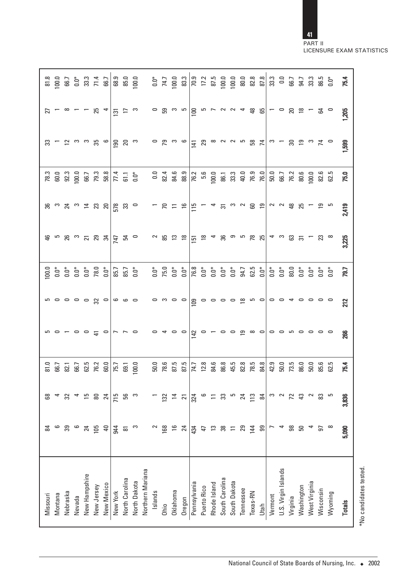|                                                                                                                           |      | 3,836<br>80<br>ທ້                                                                                                                                                                                                                                                                                                                                                                                                                                                                                                                                                                                         |
|---------------------------------------------------------------------------------------------------------------------------|------|-----------------------------------------------------------------------------------------------------------------------------------------------------------------------------------------------------------------------------------------------------------------------------------------------------------------------------------------------------------------------------------------------------------------------------------------------------------------------------------------------------------------------------------------------------------------------------------------------------------|
| 79.7<br>212<br>266                                                                                                        | 75.4 |                                                                                                                                                                                                                                                                                                                                                                                                                                                                                                                                                                                                           |
| notoo <sup>4</sup> o Luco o 400 a do a do a do a o o a do a co o a do a co o a do a co o a co o a co o a co o a co o a co |      | $\begin{array}{l} 0 & \alpha & \beta & \beta \\ \hline 0 & \beta & \beta & \gamma \\ \end{array} \begin{array}{l} \begin{array}{l} \alpha & \beta & \alpha \\ \alpha & \beta & \gamma \\ \alpha & \beta & \gamma \\ \end{array} \end{array} \begin{array}{l} \begin{array}{l} \alpha & \beta & \alpha \\ \alpha & \beta & \gamma \\ \end{array} \end{array} \begin{array}{l} \begin{array}{l} \alpha & \beta & \beta \\ \alpha & \beta & \gamma \\ \end{array} \end{array} \begin{array}{l} \begin{array}{l} \alpha & \beta & \beta \\ \alpha & \beta & \gamma \\ \end{array} \end{array} \begin{array$   |
|                                                                                                                           |      | s a 23 a m B 21 h R 8 w L 23 m 24 m 25 m 26 m 26 m 26 m 26 m 26 m 26 m 27 m 28 m 28 m<br>$\begin{array}{r} \mathbf{a} \times \mathbf{b} \times \mathbf{c} \times \mathbf{c} \times \mathbf{c} \times \mathbf{c} \times \mathbf{c} \times \mathbf{c} \times \mathbf{c} \times \mathbf{c} \times \mathbf{c} \times \mathbf{c} \times \mathbf{c} \times \mathbf{c} \times \mathbf{c} \times \mathbf{c} \times \mathbf{c} \times \mathbf{c} \times \mathbf{c} \times \mathbf{c} \times \mathbf{c} \times \mathbf{c} \times \mathbf{c} \times \mathbf{c} \times \mathbf{c} \times \mathbf{c} \times \mathbf{c$ |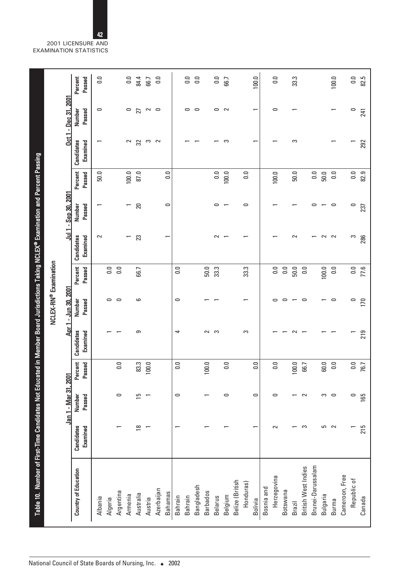| י<br>י |  |
|--------|--|
|        |  |
|        |  |
| I      |  |
|        |  |
|        |  |
|        |  |

| <b>Table IV. INGILIO: VI TIME TIME</b> |                             |                      |                   |                        | NCLEX-RN® Examination | i<br>P            |                          |                          |                   |                               |                      |                   |
|----------------------------------------|-----------------------------|----------------------|-------------------|------------------------|-----------------------|-------------------|--------------------------|--------------------------|-------------------|-------------------------------|----------------------|-------------------|
|                                        |                             | Jan 1 - Mar 31, 2001 |                   |                        | Apr 1 - Jun 30, 2001  |                   |                          | Jul 1 - Sep 30, 2001     |                   |                               | Oct 1 - Dec 31, 2001 |                   |
| Country of Education                   | Sel<br>Examined<br>Candidat | Number<br>Passed     | Percent<br>Passed | Candidates<br>Examined | Number<br>Passed      | Percent<br>Passed | Candidates<br>Examined   | Number<br>Passed         | Percent<br>Passed | <b>Candidates</b><br>Examined | Number<br>Passed     | Percent<br>Passed |
| Albania                                |                             |                      |                   |                        |                       |                   | $\sim$                   |                          | 50.0              |                               | $\circ$              | $\overline{0}$ .  |
| Algeria                                |                             |                      |                   |                        | 0                     | 0.0               |                          |                          |                   |                               |                      |                   |
| Argentina                              |                             | $\circ$              | $\overline{0}$ .  |                        | $\circ$               | $\overline{0}$ .  |                          |                          |                   |                               |                      |                   |
| Armenia                                |                             |                      |                   |                        |                       |                   | $\overline{\phantom{0}}$ | $\overline{\phantom{0}}$ | 100.0             | $\sim$                        |                      | 0.0               |
| Australia                              | $\infty$                    | $\overline{5}$       | 83.3              | ၜ                      | 6                     | 66.7              | 23                       | $\overline{20}$          | 87.0              | 22 32 3                       | 0.500                | 84.4              |
| Austria                                |                             |                      | 100.0             |                        |                       |                   |                          |                          |                   |                               |                      | 66.7              |
| Azerbaijan                             |                             |                      |                   |                        |                       |                   |                          |                          |                   |                               |                      | $\overline{0}$ .  |
| Bahamas                                |                             |                      |                   |                        |                       |                   |                          | $\circ$                  | $\overline{0}$    |                               |                      |                   |
| Bahrain                                |                             | $\circ$              | 0.0               | 4                      | $\circ$               | $\overline{0}$ .  |                          |                          |                   |                               |                      |                   |
| Bahrain                                |                             |                      |                   |                        |                       |                   |                          |                          |                   |                               | 0                    | $\overline{0}$    |
| Bangladesh                             |                             |                      |                   |                        |                       |                   |                          |                          |                   |                               | $\circ$              | $\overline{0}$ .  |
| <b>Barbados</b>                        |                             |                      | 100.0             | $\sim$                 |                       | 50.0              |                          |                          |                   |                               |                      |                   |
| Belarus                                |                             |                      |                   | က                      |                       | 33.3              | $\sim$ $\sim$            | $\circ$                  | $0.0\,$           |                               | $\circ$              | 0.0               |
| Belgium                                |                             | 0                    | $\Xi$             |                        |                       |                   |                          |                          | 100.0             | S                             | $\sim$               | 66.7              |
| Belize (British                        |                             |                      |                   |                        |                       |                   |                          |                          |                   |                               |                      |                   |
| Honduras)                              |                             |                      |                   | S                      |                       | 33.3              |                          | 0                        | $\overline{0}$ .  |                               |                      |                   |
| Bolivia                                |                             | $\circ$              | $\overline{0}$ .  |                        |                       |                   |                          |                          |                   |                               | $\overline{ }$       | 100.0             |
| Bosnia and                             |                             |                      |                   |                        |                       |                   |                          |                          |                   |                               |                      |                   |
| Herzegovina                            | 2                           | 0                    | 0.0               |                        |                       | $\overline{0}$ .  |                          |                          | 100.0             |                               | $\circ$              | 0.0               |
| Botswana                               |                             |                      |                   |                        |                       | $\overline{0}$ .  |                          |                          |                   |                               |                      |                   |
| Brazil                                 |                             |                      | 100.0             |                        |                       | $50.0\,$          | $\sim$                   |                          | 50.0              | S                             |                      | 33.3              |
| British West Indies                    | S                           | $\sim$               | 66.7              |                        | $\circ$               | $\overline{0}$ .  |                          |                          |                   |                               |                      |                   |
| Brunei-Darussalam                      |                             |                      |                   |                        |                       |                   |                          |                          | 0.0               |                               |                      |                   |
| Bulgaria                               | 5                           | S                    | 60.0              |                        |                       | 100.0             | $\sim$ $\sim$            |                          | 50.0              |                               |                      |                   |
| Burma                                  | $\sim$                      | $\circ$              | 0.0               |                        | $\circ$               | $\overline{0}$ .  |                          | $\circ$                  | $\overline{0.0}$  |                               |                      | 100.0             |
| Cameroon, Free                         |                             |                      |                   |                        |                       |                   |                          |                          |                   |                               |                      |                   |
| Republic of                            |                             | $\circ$              | 0.0               |                        | $\circ$               | 0.0               | S                        | $\circ$                  | $\overline{0.0}$  |                               | $\circ$              | $\overline{0}$ .  |
| Canada                                 | 215                         | 165                  | 76.7              | 219                    | 170                   | 77.6              | 286                      | 237                      | 82.9              | 292                           | 241                  | 82.5              |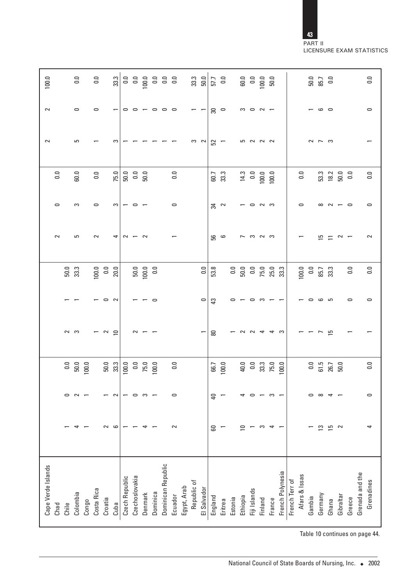PART II LICENSURE EXAM STATISTICS

| 100.0                      |       | 0.0                                                     |       | 0.0        |                                                   |           | $\frac{33}{10}$ a a a a a a a                                                  |                |                                                      |          |                    |         |             |             |             | $\begin{array}{cc} 33.3 \\ 33.0 \\ 50.0 \\ 50.0 \\ 60.0 \\ 70.0 \\ 80.0 \\ 90.0 \\ 90.0 \\ 90.0 \\ 90.0 \\ 90.0 \\ 90.0 \\ 90.0 \\ 90.0 \\ 90.0 \\ 90.0 \\ 90.0 \\ 90.0 \\ 90.0 \\ 90.0 \\ 90.0 \\ 90.0 \\ 90.0 \\ 90.0 \\ 90.0 \\ 90.0 \\ 90.0 \\ 90.0 \\ 90.0 \\ 90.0 \\ 90.0 \\ 90.0 \\ 90.0 \\ 90.0 \\ 90$ |              |         |                                                                                                                                                                            |                 |                                                                     |        |                  |                |               |                      | 50.<br>85.7<br>0.0 |                             |                       |         |                 | 0.0        |
|----------------------------|-------|---------------------------------------------------------|-------|------------|---------------------------------------------------|-----------|--------------------------------------------------------------------------------|----------------|------------------------------------------------------|----------|--------------------|---------|-------------|-------------|-------------|----------------------------------------------------------------------------------------------------------------------------------------------------------------------------------------------------------------------------------------------------------------------------------------------------------------|--------------|---------|----------------------------------------------------------------------------------------------------------------------------------------------------------------------------|-----------------|---------------------------------------------------------------------|--------|------------------|----------------|---------------|----------------------|--------------------|-----------------------------|-----------------------|---------|-----------------|------------|
| $\sim$                     |       | $\circ$                                                 |       |            |                                                   |           |                                                                                |                | $\circ$ $\circ$ $\circ$                              |          | $\circ$            | $\circ$ |             |             |             | $\approx$ $\sim$                                                                                                                                                                                                                                                                                               |              |         |                                                                                                                                                                            | $\circ$ $\circ$ |                                                                     |        |                  |                |               |                      | 6                  | $\Box$                      |                       |         |                 | 0          |
| $\sim$                     |       | 5                                                       |       |            |                                                   | S         |                                                                                |                |                                                      |          |                    |         |             | S           | $\sim$      | $52 -$                                                                                                                                                                                                                                                                                                         |              |         |                                                                                                                                                                            |                 | 5222                                                                |        |                  |                |               |                      |                    |                             |                       |         |                 |            |
| $0.0\,$                    |       | 60.0                                                    |       | 0.0        |                                                   |           | $\frac{15.0}{5.0}$ 8 50                                                        |                |                                                      |          |                    | $0.0\,$ |             |             |             |                                                                                                                                                                                                                                                                                                                | 60.7<br>33.3 |         | $14.3$<br>$0.0$<br>$100.0$                                                                                                                                                 |                 |                                                                     |        |                  |                | $0.0\,$       |                      |                    |                             | 53<br>182<br>50<br>50 |         |                 | 0.0        |
| $\circ$                    |       | S                                                       |       | $\circ$    |                                                   | S         |                                                                                |                |                                                      |          |                    | $\circ$ |             |             |             | $34$ $\degree$                                                                                                                                                                                                                                                                                                 |              |         |                                                                                                                                                                            |                 | $-$ 0 $\sim$ 0                                                      |        |                  |                | $\circ$       |                      |                    |                             |                       | $\circ$ |                 | 0          |
|                            |       | 5                                                       |       |            |                                                   | 4         |                                                                                |                |                                                      |          |                    |         |             |             |             | 9 a                                                                                                                                                                                                                                                                                                            |              |         |                                                                                                                                                                            |                 |                                                                     | S      |                  |                |               |                      | Ľ5                 | Ξ                           |                       |         |                 |            |
|                            |       | $\begin{array}{c} 50.0 \\ 33.3 \end{array}$             |       |            | $\begin{array}{c} 0.0 \\ 0.0 \\ 20.0 \end{array}$ |           |                                                                                |                | $\begin{array}{c} 50.0 \\ 0.0 \\ 0.0 \\ \end{array}$ |          |                    |         |             |             | 0.0         | 53.8                                                                                                                                                                                                                                                                                                           |              |         | <b>0.0</b><br><b>1</b> 0.0<br><b>1</b> 0.0<br><b>1</b> 0.0<br><b>1</b> 0.0<br><b>1</b> 0.0<br><b>1</b> 0.0<br><b>1</b> 0.0<br><b>1</b> 0.0<br><b>1</b> 0.0<br><b>1</b> 0.0 |                 |                                                                     |        |                  |                |               | $\frac{10000}{6500}$ |                    |                             |                       | $0.0\,$ |                 | 0.0        |
|                            |       |                                                         |       |            |                                                   | $\sim$    |                                                                                |                |                                                      | $\circ$  |                    |         |             |             | $\circ$     | $43\,$                                                                                                                                                                                                                                                                                                         |              |         | $\circ$ $\sim$ $\circ$ $\circ$                                                                                                                                             |                 |                                                                     |        |                  |                |               |                      |                    | G                           |                       | 0       |                 | 0          |
|                            |       |                                                         |       |            | $\sim$                                            | $\approx$ |                                                                                | $\sim$         |                                                      |          |                    |         |             |             |             | $\rm 80$                                                                                                                                                                                                                                                                                                       |              |         | $\sim$                                                                                                                                                                     |                 |                                                                     |        | က                |                |               |                      |                    | 의                           |                       |         |                 |            |
|                            |       | $\begin{array}{c} 0.0 \\ 5.0 \\ 0.0 \\ 0.0 \end{array}$ |       |            |                                                   |           | $\begin{array}{c c}\n50.0 \\ 33.3 \\ 100.0 \\ 0.0 \\ 75.0 \\ 0.0\n\end{array}$ |                |                                                      |          |                    | 0.0     |             |             |             | 66.7<br>100.0                                                                                                                                                                                                                                                                                                  |              |         |                                                                                                                                                                            |                 | $\begin{array}{c} 40.0 \\ 0.0 \\ 33.3 \\ 75.0 \\ 100.0 \end{array}$ |        |                  |                |               |                      |                    | 0.0<br>61.5<br>50.0<br>50.0 |                       |         |                 | 0.0        |
|                            |       |                                                         |       |            |                                                   | $\sim$    |                                                                                |                | က                                                    |          |                    | $\circ$ |             |             |             | $\overline{a}$ -                                                                                                                                                                                                                                                                                               |              |         |                                                                                                                                                                            | 9 ⊅             |                                                                     | က      |                  |                |               |                      |                    |                             |                       |         |                 | 0          |
|                            |       |                                                         |       |            |                                                   | ڡ         |                                                                                |                |                                                      |          |                    |         |             |             |             | $\approx$ -                                                                                                                                                                                                                                                                                                    |              |         | ≘                                                                                                                                                                          |                 | က                                                                   | 4      |                  |                |               |                      | ី ដ                |                             | $\sim$                |         |                 |            |
| Cape Verde Islands<br>Chad | Chile | Colombia                                                | Congo | Costa Rica | Croatia                                           | Cuba      | Czech Republic                                                                 | Czechoslovakia | Denmark                                              | Dominica | Dominican Republic | Ecuador | Egypt, Arab | Republic of | El Salvador | England                                                                                                                                                                                                                                                                                                        | Eritrea      | Estonia | Ethiopia                                                                                                                                                                   | Fiji Islands    | Finland                                                             | France | French Polynesia | French Terr of | Afars & Issas | Gambia               | Germany            | Ghana                       | Gibraltar             | Greece  | Grenada and the | Grenadines |

Table 10 continues on page 44.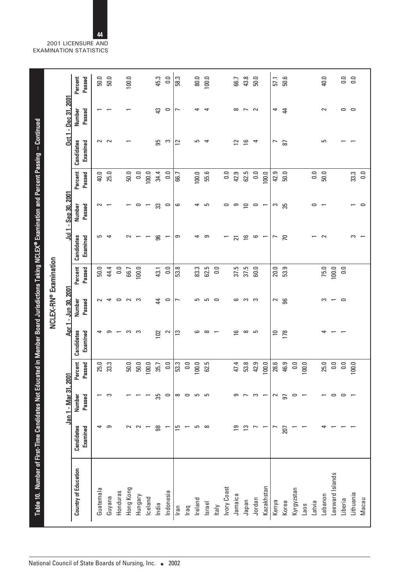| ו<br>וויסטורי                                                                                                                   |  |
|---------------------------------------------------------------------------------------------------------------------------------|--|
|                                                                                                                                 |  |
|                                                                                                                                 |  |
|                                                                                                                                 |  |
|                                                                                                                                 |  |
|                                                                                                                                 |  |
|                                                                                                                                 |  |
|                                                                                                                                 |  |
|                                                                                                                                 |  |
|                                                                                                                                 |  |
|                                                                                                                                 |  |
|                                                                                                                                 |  |
|                                                                                                                                 |  |
|                                                                                                                                 |  |
|                                                                                                                                 |  |
|                                                                                                                                 |  |
|                                                                                                                                 |  |
|                                                                                                                                 |  |
|                                                                                                                                 |  |
|                                                                                                                                 |  |
|                                                                                                                                 |  |
|                                                                                                                                 |  |
|                                                                                                                                 |  |
|                                                                                                                                 |  |
|                                                                                                                                 |  |
| $\mathcal{L}^{\text{max}}_{\text{max}}$ and $\mathcal{L}^{\text{max}}_{\text{max}}$ and $\mathcal{L}^{\text{max}}_{\text{max}}$ |  |
|                                                                                                                                 |  |
|                                                                                                                                 |  |
|                                                                                                                                 |  |
|                                                                                                                                 |  |
|                                                                                                                                 |  |
|                                                                                                                                 |  |
|                                                                                                                                 |  |
| $\ddot{ }$                                                                                                                      |  |
|                                                                                                                                 |  |
|                                                                                                                                 |  |
|                                                                                                                                 |  |

|                      |                        |                          |                   |                        | NCLEX-RN® Examination |                   |                        |                          |                   |                        |                      |                   |
|----------------------|------------------------|--------------------------|-------------------|------------------------|-----------------------|-------------------|------------------------|--------------------------|-------------------|------------------------|----------------------|-------------------|
|                      |                        | Jan 1 - Mar 31, 2001     |                   |                        | Apr 1 - Jun 30, 2001  |                   |                        | Jul 1 - Sep 30, 2001     |                   |                        | Oct 1 - Dec 31, 2001 |                   |
| Country of Education | Candidates<br>Examined | Number<br>Passed         | Percent<br>Passed | Candidates<br>Examined | Number<br>Passed      | Percent<br>Passed | Candidates<br>Examined | Number<br>Passed         | Percent<br>Passed | Candidates<br>Examined | Passed<br>Number     | Percent<br>Passed |
| Guatemala            | 4                      |                          | 25.0              | ᆉ                      | $\sim$                | 50.0              | ما                     |                          | 40.0              | $\sim$                 |                      | 50.0              |
| Guyana               | တ                      | က                        | 33.3              | တ                      | 4                     | 44.4              | 4                      |                          | 25.0              | $\sim$                 |                      | 50.0              |
| Honduras             |                        |                          |                   |                        | $\circ$               | $\overline{0}$ .  |                        |                          |                   |                        |                      |                   |
| Hong Kong            |                        |                          | 50.0              | S                      | $\sim$                | 66.7              | $\sim$                 |                          | 50.0              |                        |                      | 100.0             |
| Hungary              | $\sim$                 |                          | 50.0              | S                      | S                     | 100.0             |                        | $\circ$                  | 0.0               |                        |                      |                   |
| Iceland              |                        |                          | 100.0             |                        |                       |                   |                        |                          | 100.0             |                        |                      |                   |
| India                | 98                     | 35                       | 35.7              | 102                    | 44                    | 43.1              | 96                     | 33                       | 34.4              | 95                     | 43                   | 45.3              |
| Indonesia            |                        | $\circ$                  | $\overline{0}$ .  | 2                      | $\circ$               | $\overline{0}$ .  |                        | $\circ$                  | $\overline{0}$ .  | က                      | $\circ$              | $\overline{0}$ .  |
| Iran                 | 51                     | ∞                        | 53.3              | 13                     | L                     | 53.8              | တ                      | م                        | 66.7              | $\mathbf{r}$           | ∼                    | 58.3              |
| Iraq                 |                        | $\circ$                  | 0.0               |                        |                       |                   |                        |                          |                   |                        |                      |                   |
| Ireland              | E                      | 5                        | 100.0             | 6                      | 5                     | 83.3              | 4                      | 4                        | 100.0             | 5                      | 4                    | 80.0              |
| Israel               | $\infty$               | 5                        | 62.5              | $\infty$               | 5                     | 62.5              | တ                      | ç                        | 55.6              | 4                      | 4                    | 100.0             |
| Italy                |                        |                          |                   |                        | $\circ$               | $\overline{0}$ .  |                        |                          |                   |                        |                      |                   |
| Ivory Coast          |                        |                          |                   |                        |                       |                   |                        | $\circ$                  | 0.0               |                        |                      |                   |
| Jamaica              | ഇ                      | ၜ                        | 47.4              | ڡ                      | 6                     | 37.5              | 21                     | ၜ                        | 42.9              | ≌                      | $\infty$             | 66.7              |
| Japan                | $\frac{1}{2}$          | $\overline{ }$           | 53.8              | $\infty$               | ო ო                   | 37.5              | $\frac{6}{2}$          | $\approx$                | 62.5              | $\frac{6}{1}$          | $\overline{ }$       | 43.8              |
| Jordan               |                        | က                        | 42.9              | ما                     |                       | 60.0              | $\circ$                | $\circ$                  | $\overline{0}$ .  | 4                      | $\sim$               | 50.0              |
| Kazakhstan           |                        | $\overline{\phantom{0}}$ | 100.0             |                        |                       |                   |                        | $\overline{\phantom{0}}$ | 100.0             |                        |                      |                   |
| Kenya                | L                      | $\sim$                   | 28.6              | $\overline{1}$         | $\sim$                | 20.0              | $\overline{ }$         | S                        | 42.9              | $\overline{ }$         | 4                    | 57.1              |
| Korea                | 207                    | 57                       | 46.9              | 178                    | 96                    | 53.9              | 70                     | 35                       | 50.0              | 87                     | $\overline{4}$       | 50.6              |
| Kyrgyzstan           |                        | $\circ$                  | 0.0               |                        |                       |                   |                        |                          |                   |                        |                      |                   |
| Laos                 |                        | $\overline{\phantom{0}}$ | 100.0             |                        |                       |                   |                        |                          |                   |                        |                      |                   |
| Latvia               |                        |                          |                   |                        |                       |                   |                        | 0                        | 0.0               |                        |                      |                   |
| Lebanon              |                        |                          | 25.0              |                        | က                     | $75.0$<br>100.0   | $\sim$                 |                          | 50.0              | 5                      | $\sim$               | 40.0              |
| Leeward Islands      |                        | $\circ$                  | 0.0               |                        |                       |                   |                        |                          |                   |                        |                      |                   |
| Liberia              |                        | $\circ$                  | $\overline{0}$ .  |                        | $\circ$               | $\overline{0}$    |                        |                          |                   |                        | 0                    | 0.0               |
| Lithuania            |                        |                          | 100.0             |                        |                       |                   | က                      |                          | 33.3              |                        | $\circ$              | 0.0               |
| Macau                |                        |                          |                   |                        |                       |                   |                        | 0                        | $\overline{0}$    |                        |                      |                   |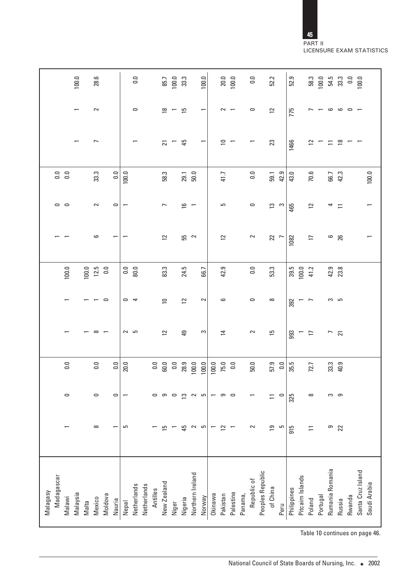

PART II LICENSURE EXAM STATISTICS

|                        |                    | 100.0    |                      | 28.6    |         |         |              | 0.0                      |             |          | 85.7<br>100.0<br>33.3 |       |                                      |                  | 100.0             |                      |                | 20.0      |         | $0.0\,$     |                  | 52.2           |               | 52.9             |                                                      |                | $\begin{array}{c} 63.3 \\ 62.5 \\ 64.5 \\ 73.3 \\ 100.0 \\ \hline \end{array}$ |                     |                |        |                   |              |
|------------------------|--------------------|----------|----------------------|---------|---------|---------|--------------|--------------------------|-------------|----------|-----------------------|-------|--------------------------------------|------------------|-------------------|----------------------|----------------|-----------|---------|-------------|------------------|----------------|---------------|------------------|------------------------------------------------------|----------------|--------------------------------------------------------------------------------|---------------------|----------------|--------|-------------------|--------------|
|                        |                    |          |                      | $\sim$  |         |         |              | $\circ$                  |             |          | $\approx$ -           |       | <u>يا</u>                            |                  |                   |                      |                |           |         | 0           |                  | $\overline{c}$ |               | 775              |                                                      |                | $ -$                                                                           |                     | 9              |        |                   |              |
|                        |                    |          |                      |         |         |         |              |                          |             |          | $\overline{21}$       | π.    | 45                                   |                  |                   |                      | ≘              |           |         |             |                  | 23             |               | 1466             |                                                      | $\Xi$          |                                                                                | $ =$ $\frac{8}{10}$ |                |        |                   |              |
|                        | $rac{0}{10}$       |          |                      | 33.3    |         | 0.0     | 100.0        |                          |             |          | 58.3                  |       | $29.1$<br>$50.0$                     |                  |                   |                      | 41.7           |           |         | $0.0\,$     |                  |                | 59.1<br>42.9  | 43.0             |                                                      | 70.6           |                                                                                | 66.7<br>42.3        |                |        |                   | 100.0        |
| $\circ$                | $\mathbf{\subset}$ |          |                      | $\sim$  |         | 0       |              |                          |             |          | r                     |       | $\frac{6}{1}$                        |                  |                   |                      | 5              |           |         | 0           |                  |                | <u>ო</u> ო    | 465              |                                                      | $\mathbf{S}$   |                                                                                |                     | $\Xi$          |        |                   |              |
|                        |                    |          |                      | 6       |         |         |              |                          |             |          | $\overline{c}$        |       | 55                                   | $\sim$           |                   |                      | $\overline{c}$ |           |         | $\sim$      |                  | 22             |               | 1082             |                                                      | $\overline{1}$ |                                                                                | $rac{6}{26}$        |                |        |                   |              |
|                        | 100.0              |          | 100.0<br>12.5<br>0.0 |         |         |         | $rac{6}{80}$ |                          |             |          | 83.3                  |       | 24.5                                 |                  | 66.7              |                      | 42.9           |           |         | 0.0         |                  | 53.3           |               |                  | $\begin{array}{c} 39.5 \\ 100.0 \\ 41.2 \end{array}$ |                |                                                                                | 42.9<br>23.8        |                |        |                   |              |
|                        |                    |          |                      |         | $\Box$  |         | $\circ$      | $\overline{\phantom{a}}$ |             |          | $\overline{a}$        |       | $\overline{c}$                       |                  | $\sim$            |                      | 9              |           |         | 0           |                  | $\infty$       |               |                  | $\frac{32}{7}$ - $\frac{1}{7}$                       |                |                                                                                |                     | m က            |        |                   |              |
|                        |                    |          |                      |         |         |         | 2<br>5       |                          |             |          | $\overline{c}$        |       | 49                                   |                  | S                 |                      | $\overline{1}$ |           |         | $\sim$      |                  | <u>يا</u>      |               |                  | $\frac{3}{5}$ - $\frac{1}{5}$                        |                |                                                                                |                     | $\frac{7}{21}$ |        |                   |              |
|                        | $0.0\,$            |          |                      | $0.0\,$ |         | $0.0\,$ | 20.0         |                          |             |          |                       |       | 0.0<br>60.0<br>00.0<br>28.3<br>100.0 |                  | $\frac{100}{100}$ | $\frac{100.0}{75.0}$ |                |           |         | 50.0        |                  |                | $57.9$<br>0.0 | 35.5             |                                                      | 72.7           |                                                                                | $33.3$<br>40.9      |                |        |                   |              |
|                        | $\circ$            |          |                      | $\circ$ |         | $\circ$ |              |                          |             |          |                       |       |                                      |                  |                   |                      |                |           |         |             |                  | $\Xi$          | $\circ$       | 325              |                                                      | $\infty$       |                                                                                |                     | က တ            |        |                   |              |
|                        |                    |          |                      | ∞       |         |         | G            |                          |             |          | 은                     |       | – ස                                  |                  | പ പ               |                      | $-2$           |           |         | $\sim$      |                  |                | പ്പ           | $\overline{915}$ |                                                      | $\equiv$       |                                                                                |                     | თ <u>გ</u>     |        |                   |              |
| Madagascar<br>Malagasy | Malawi             | Malaysia | Malta                | Mexico  | Moldova | Nauria  | Nepal        | Netherlands              | Netherlands | Antilles | New Zealand           | Niger | Nigeria                              | Northern Ireland | Norway            | <b>Okinawa</b>       | Pakistan       | Palestine | Panama, | Republic of | Peoples Republic | of China       | Peru          | Philippines      | Pitcairn Islands                                     | Poland         | Portugal                                                                       | Rumania Romania     | Russia         | Rwanda | Santa Cruz Island | Saudi Arabia |

Table 10 continues on page 46.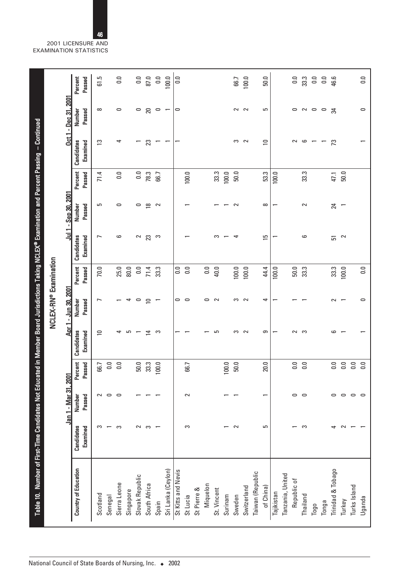| Table 10. Number of First-Time |                        |                         |                   | Candidates Not Educated in Member Board Jurisdictions Taking NCLEX® Examination and Percent Passing – Continued |                       |                   |                        |                      |                   |                        |                      |                   |
|--------------------------------|------------------------|-------------------------|-------------------|-----------------------------------------------------------------------------------------------------------------|-----------------------|-------------------|------------------------|----------------------|-------------------|------------------------|----------------------|-------------------|
|                                |                        |                         |                   |                                                                                                                 | NCLEX-RN® Examination |                   |                        |                      |                   |                        |                      |                   |
|                                |                        | Jan 1 - Mar 31, 2001    |                   |                                                                                                                 | Apr 1 - Jun 30, 2001  |                   |                        | Jul 1 - Sep 30, 2001 |                   |                        | Oct 1 - Dec 31, 2001 |                   |
| Country of Education           | Candidates<br>Examined | Passed<br>Number        | Percent<br>Passed | <b>Candidates</b><br>Examined                                                                                   | Passed<br>Number      | Percent<br>Passed | Candidates<br>Examined | Passed<br>Number     | Percent<br>Passed | Candidates<br>Examined | Passed<br>Number     | Percent<br>Passed |
| Scotland                       |                        | $\sim$                  | 66.7              | $\overline{1}$                                                                                                  |                       | 70.0              |                        | 5                    | 71.4              | $\tilde{c}$            | $\infty$             | 61.5              |
| Senegal                        |                        | $\circ$                 | 0.0               |                                                                                                                 |                       |                   |                        |                      |                   |                        |                      |                   |
| Sierra Leone                   | S                      | $\circ$                 | $\overline{0}$ .  |                                                                                                                 |                       | 25.0              | ص                      | $\circ$              | $\overline{0}$ .  |                        | $\circ$              | $\overline{0}$ .  |
| Singapore                      |                        |                         |                   |                                                                                                                 |                       | 80.0              |                        |                      |                   |                        |                      |                   |
| Slovak Republic                |                        |                         | 50.0              |                                                                                                                 | $\circ$               | $\overline{0.0}$  | $\sim$                 | $\circ$              | 0.0               |                        | $\circ$              | $\overline{0.0}$  |
| South Africa                   | ∾                      |                         | 33.3              | ⋣                                                                                                               | ₽                     | 71.4              | 23                     | $\infty$             | 78.3              | 23                     | 20                   | 87.0              |
| Spain                          |                        |                         | 100.0             | က                                                                                                               |                       | 33.3              | က                      | $\sim$               | 66.7              |                        | $\circ$              | $\overline{0}$ .  |
| Sri Lanka (Ceylon)             |                        |                         |                   |                                                                                                                 |                       |                   |                        |                      |                   |                        |                      | 100.0             |
| St Kitts and Nevis             |                        |                         |                   |                                                                                                                 | $\circ$               | 0.0               |                        |                      |                   |                        | $\circ$              | 0.0               |
| St Lucia                       | S                      | 2                       | 66.7              |                                                                                                                 | $\circ$               | $\overline{0}$ .  |                        |                      | 100.0             |                        |                      |                   |
| St Pierre &                    |                        |                         |                   |                                                                                                                 |                       |                   |                        |                      |                   |                        |                      |                   |
| Miquelon                       |                        |                         |                   |                                                                                                                 | 0                     | 0.0               |                        |                      |                   |                        |                      |                   |
| St. Vincent                    |                        |                         |                   | 5                                                                                                               | $\sim$                | 40.0              |                        |                      | 33.3              |                        |                      |                   |
| Surinam                        |                        |                         | 100.0             |                                                                                                                 |                       |                   |                        |                      | 100.0             |                        |                      |                   |
| Sweden                         |                        |                         | 50.0              | S                                                                                                               | က                     | 100.0             |                        | $\sim$               | 50.0              | S                      | $\sim$               | 66.7              |
| Switzerland                    |                        |                         |                   | $\sim$                                                                                                          | $\sim$                | 100.0             |                        |                      |                   | $\sim$                 | $\sim$               | 100.0             |
| Taiwan (Republic               |                        |                         |                   |                                                                                                                 |                       |                   |                        |                      |                   |                        |                      |                   |
| of China)                      | 5                      |                         | 20.0              | ၜ                                                                                                               | 4                     | 44.4              | 15                     | $\infty$             | 53.3              | $\overline{1}$         | 5                    | 50.0              |
| Tajikistan                     |                        |                         |                   |                                                                                                                 |                       | 100.0             |                        |                      | 100.0             |                        |                      |                   |
| Tanzania, United               |                        |                         |                   |                                                                                                                 |                       |                   |                        |                      |                   |                        |                      |                   |
| Republic of                    |                        | $\circ$                 | $\overline{0}$    | $\sim$                                                                                                          |                       | 50.0              |                        |                      |                   | $\sim$                 |                      | 0.0               |
| Thailand                       | S                      | $\Box$                  | $\overline{0}$    | S                                                                                                               |                       | 33.3              | ڡ                      | 2                    | 33.3              | မ                      | 0 N O                | 33.3              |
| Togo                           |                        |                         |                   |                                                                                                                 |                       |                   |                        |                      |                   |                        |                      | 0.0               |
| Tonga                          |                        |                         |                   |                                                                                                                 |                       |                   |                        |                      |                   |                        | $\circ$              | 0.0               |
| Trinidad & Tobago              |                        | 0                       | $\overline{0}$ .  | ഥ                                                                                                               |                       | 33.3              | 51                     | 24                   | 47.1              | 73                     | ಸ                    | 46.6              |
| Turkey                         |                        |                         | 0.0               |                                                                                                                 |                       | 100.0             | $\sim$                 | $\overline{a}$       | 50.0              |                        |                      |                   |
| Turks Island                   |                        | $\circ$ $\circ$ $\circ$ | $\overline{0}$ .  |                                                                                                                 |                       |                   |                        |                      |                   |                        |                      |                   |
| Uganda                         |                        |                         | O.O               |                                                                                                                 | $\circ$               | 0.0               |                        |                      |                   |                        | $\circ$              | 0.0               |

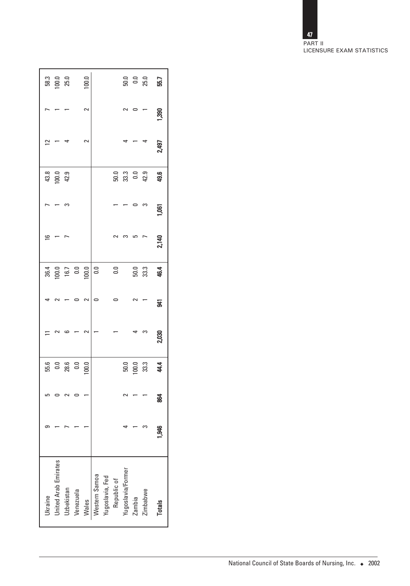| Jkraine                     |       |            |                                                      |       |                |                                | $\frac{6}{1}$ |             |                            | $\overline{c}$ |     |                       |
|-----------------------------|-------|------------|------------------------------------------------------|-------|----------------|--------------------------------|---------------|-------------|----------------------------|----------------|-----|-----------------------|
| <b>Jnited Arab Emirates</b> |       |            |                                                      |       |                |                                |               |             | $43.8$<br>100.0<br>42.9    |                |     |                       |
| <b>Uzbekistan</b>           |       |            | 550<br>000<br>5000<br>0000                           |       |                | 36.4<br>100.0<br>16.7<br>100.0 |               |             |                            |                |     | 58.3<br>100.0<br>25.0 |
| Venezuela                   |       |            |                                                      |       |                |                                |               |             |                            |                |     |                       |
| Wales                       |       |            |                                                      |       |                |                                |               |             |                            | 2              | 2   | 100.0                 |
| <b>Nestern Samoa</b>        |       |            |                                                      |       | $\circ$        | 0.0                            |               |             |                            |                |     |                       |
| Yugoslavia, Fed             |       |            |                                                      |       |                |                                |               |             |                            |                |     |                       |
| Republic of                 |       |            |                                                      |       | 0              | $\overline{0}$                 |               |             |                            |                |     |                       |
| Yugoslavia/Former           |       |            |                                                      |       |                |                                |               |             | 50 30 30 42<br>50 30 50 42 |                | 2   |                       |
| Zambia                      |       |            | $\begin{array}{c} 50.0 \\ 100.0 \\ 33.3 \end{array}$ |       |                | 50.0<br>33.3                   |               |             |                            |                |     |                       |
| Zimbabwe                    |       |            |                                                      | က     |                |                                |               |             |                            |                |     | 50.0<br>0.0<br>25.0   |
| <b>Totals</b>               | 1,946 | <b>SS4</b> | 44                                                   | 2,030 | $\overline{a}$ | 46.4                           | 2,140         | <b>LOG1</b> | 49.6                       | 2,497          | 390 | 55.7                  |

47 PART II LICENSURE EXAM STATISTICS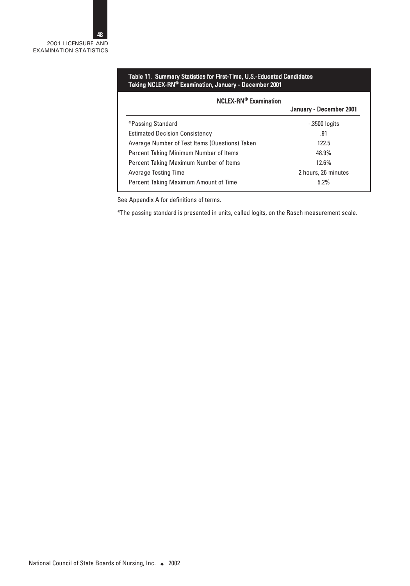#### Table 11. Summary Statistics for First-Time, U.S.-Educated Candidates Taking NCLEX-RN® Examination, January - December 2001

| <b>NCLEX-RN®</b> Examination                   |                         |
|------------------------------------------------|-------------------------|
|                                                | January - December 2001 |
| *Passing Standard                              | $-.3500$ logits         |
| <b>Estimated Decision Consistency</b>          | .91                     |
| Average Number of Test Items (Questions) Taken | 122.5                   |
| Percent Taking Minimum Number of Items         | 48.9%                   |
| Percent Taking Maximum Number of Items         | 12.6%                   |
| Average Testing Time                           | 2 hours, 26 minutes     |
| Percent Taking Maximum Amount of Time          | 5.2%                    |

See Appendix A for definitions of terms.

\*The passing standard is presented in units, called logits, on the Rasch measurement scale.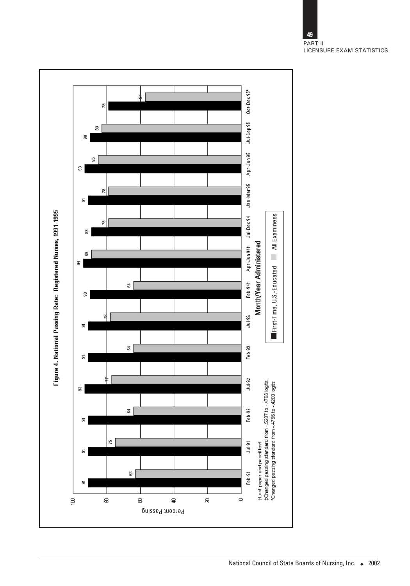

49 PART II LICENSURE EXAM STATISTICS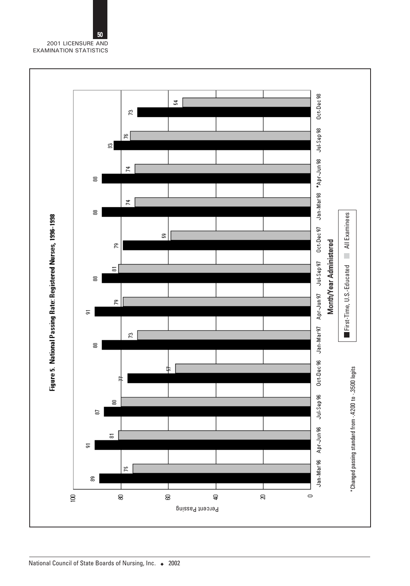

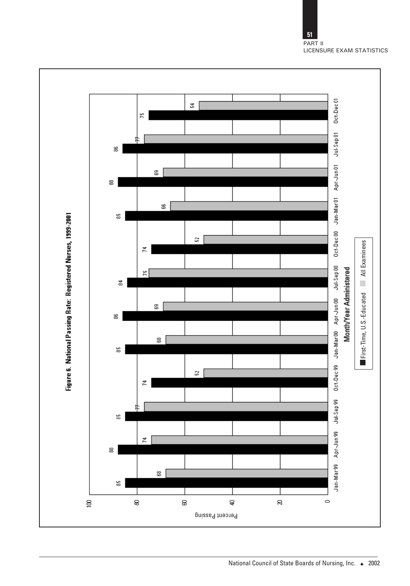Oct-Dec00 Jan-Mar01 Apr-Jun01 Jul-Sep01 Oct-Dec01  $\sharp$ 旨 g g,  $\pmb{\mathbb{S}}$ g జ Figure 6. National Passing Rate: Registered Nurses, 1999-2001  $\approx$  [ All Examinees First-Time, U.S.-Educated All Examinees ¥, Jan-Mar99 Apr-Jun99 Jul-Sep99 Oct-Dec99 Jan-Mar00 Apr-Jun00 Jul-Sep00 Month/Year Administered  $\tilde{\kappa}$ Month/Year Administered  $_{\rm s}^{\rm t}$ First-Time, U.S.-Educated g. æ, జ ∣ 8  $\approx$  [ Ä, 55 본 8 S. 5S  $\circ$ ğ g 8 ą  $\mathbf{a}$ Percent Passing

#### 51 PART II LICENSURE EXAM STATISTICS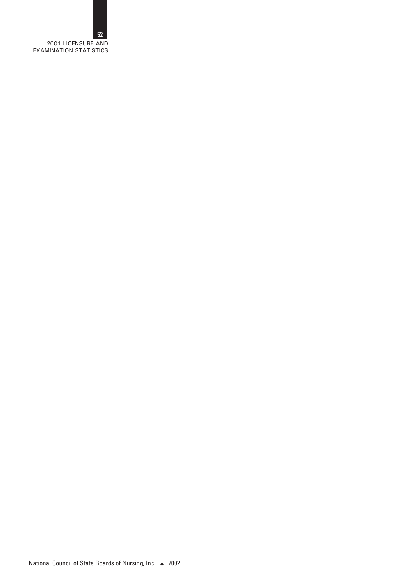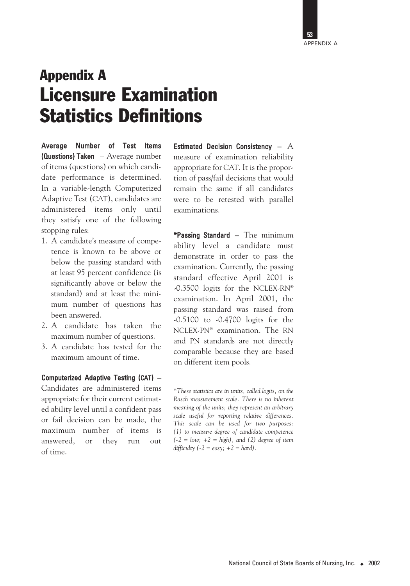

## Appendix A Licensure Examination Statistics Definitions

Average Number of Test Items (Questions) Taken – Average number of items (questions) on which candidate performance is determined. In a variable-length Computerized Adaptive Test (CAT), candidates are administered items only until they satisfy one of the following stopping rules:

- 1. A candidate's measure of competence is known to be above or below the passing standard with at least 95 percent confidence (is significantly above or below the standard) and at least the minimum number of questions has been answered.
- 2. A candidate has taken the maximum number of questions.
- 3. A candidate has tested for the maximum amount of time.

### Computerized Adaptive Testing (CAT) –

Candidates are administered items appropriate for their current estimated ability level until a confident pass or fail decision can be made, the maximum number of items is answered, or they run out of time.

Estimated Decision Consistency **–** A measure of examination reliability appropriate for CAT. It is the proportion of pass/fail decisions that would remain the same if all candidates were to be retested with parallel examinations.

\*Passing Standard **–** The minimum ability level a candidate must demonstrate in order to pass the examination. Currently, the passing standard effective April 2001 is -0.3500 logits for the NCLEX-RN® examination. In April 2001, the passing standard was raised from -0.5100 to -0.4700 logits for the NCLEX-PN® examination. The RN and PN standards are not directly comparable because they are based on different item pools.

*\*These statistics are in units, called logits, on the Rasch measurement scale. There is no inherent meaning of the units; they represent an arbitrary scale useful for reporting relative differences. This scale can be used for two purposes: (1) to measure degree of candidate competence*   $(-2 = low; +2 = high)$ , and (2) degree of item *difficulty (-2 = easy; +2 = hard).*